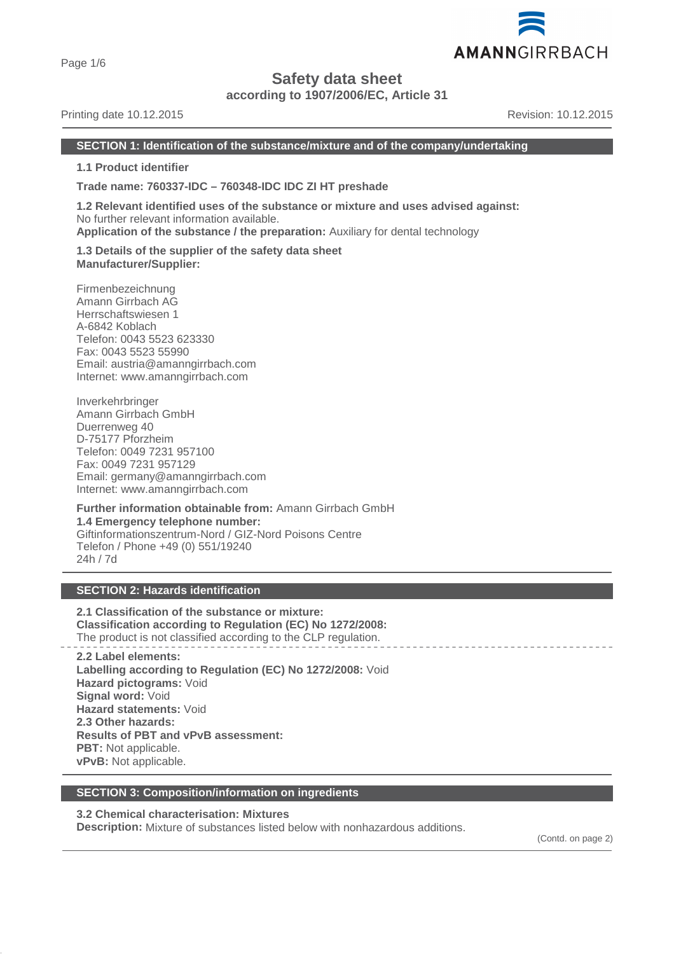Page 1/6

# **Safety data sheet**

**according to 1907/2006/EC, Article 31**

# Printing date 10.12.2015 **Revision: 10.12.2015** Revision: 10.12.2015

#### **SECTION 1: Identification of the substance/mixture and of the company/undertaking**

**1.1 Product identifier**

**Trade name: 760337-IDC – 760348-IDC IDC ZI HT preshade**

**1.2 Relevant identified uses of the substance or mixture and uses advised against:** No further relevant information available. **Application of the substance / the preparation:** Auxiliary for dental technology

**1.3 Details of the supplier of the safety data sheet Manufacturer/Supplier:**

Firmenbezeichnung Amann Girrbach AG Herrschaftswiesen 1 A-6842 Koblach Telefon: 0043 5523 623330 Fax: 0043 5523 55990 Email: austria@amanngirrbach.com Internet: www.amanngirrbach.com

Inverkehrbringer Amann Girrbach GmbH Duerrenweg 40 D-75177 Pforzheim Telefon: 0049 7231 957100 Fax: 0049 7231 957129 Email: germany@amanngirrbach.com Internet: www.amanngirrbach.com

**Further information obtainable from:** Amann Girrbach GmbH **1.4 Emergency telephone number:** Giftinformationszentrum-Nord / GIZ-Nord Poisons Centre Telefon / Phone +49 (0) 551/19240 24h / 7d

# **SECTION 2: Hazards identification**

**2.1 Classification of the substance or mixture: Classification according to Regulation (EC) No 1272/2008:** The product is not classified according to the CLP regulation.

**2.2 Label elements: Labelling according to Regulation (EC) No 1272/2008:** Void **Hazard pictograms:** Void **Signal word:** Void **Hazard statements:** Void **2.3 Other hazards: Results of PBT and vPvB assessment: PBT:** Not applicable. **vPvB:** Not applicable.

# **SECTION 3: Composition/information on ingredients**

# **3.2 Chemical characterisation: Mixtures**

**Description:** Mixture of substances listed below with nonhazardous additions.

(Contd. on page 2)

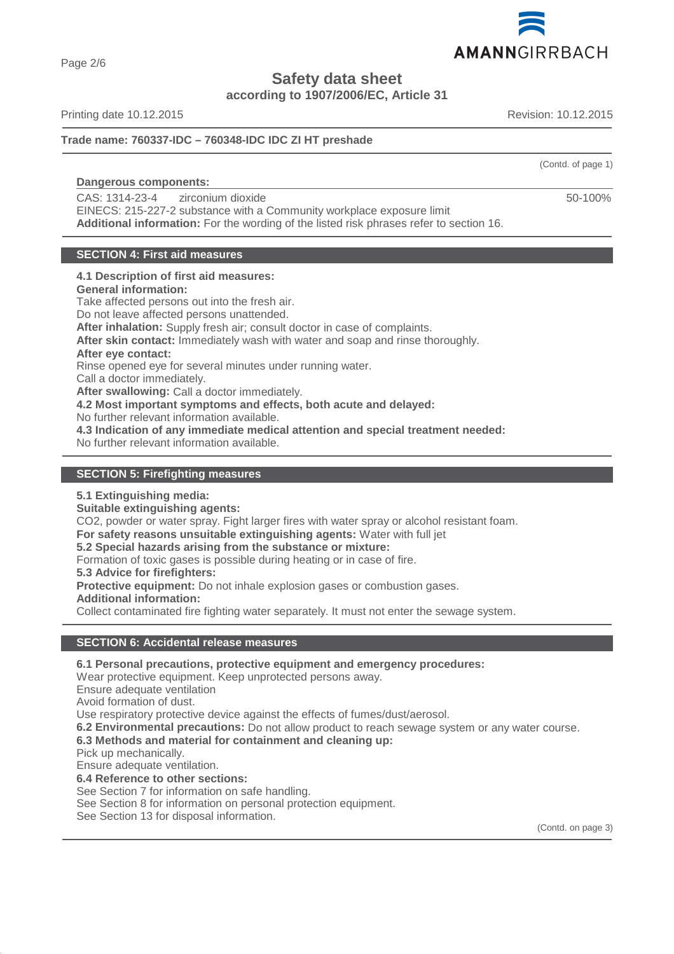

**Safety data sheet**

**according to 1907/2006/EC, Article 31**

Printing date 10.12.2015 **Revision: 10.12.2015** Revision: 10.12.2015

**Trade name: 760337-IDC – 760348-IDC IDC ZI HT preshade**

# **Dangerous components:**

CAS: 1314-23-4 zirconium dioxide

EINECS: 215-227-2 substance with a Community workplace exposure limit **Additional information:** For the wording of the listed risk phrases refer to section 16.

# **SECTION 4: First aid measures**

# **4.1 Description of first aid measures:**

**General information:**

Take affected persons out into the fresh air.

Do not leave affected persons unattended.

**After inhalation:** Supply fresh air; consult doctor in case of complaints.

**After skin contact:** Immediately wash with water and soap and rinse thoroughly.

**After eye contact:**

Rinse opened eye for several minutes under running water.

Call a doctor immediately.

**After swallowing:** Call a doctor immediately.

**4.2 Most important symptoms and effects, both acute and delayed:**

No further relevant information available.

**4.3 Indication of any immediate medical attention and special treatment needed:**

No further relevant information available.

# **SECTION 5: Firefighting measures**

**5.1 Extinguishing media:**

**Suitable extinguishing agents:**

CO2, powder or water spray. Fight larger fires with water spray or alcohol resistant foam.

**For safety reasons unsuitable extinguishing agents:** Water with full jet

# **5.2 Special hazards arising from the substance or mixture:**

Formation of toxic gases is possible during heating or in case of fire.

**5.3 Advice for firefighters:**

**Protective equipment:** Do not inhale explosion gases or combustion gases.

**Additional information:**

Collect contaminated fire fighting water separately. It must not enter the sewage system.

# **SECTION 6: Accidental release measures**

**6.1 Personal precautions, protective equipment and emergency procedures:**

Wear protective equipment. Keep unprotected persons away.

Ensure adequate ventilation

Avoid formation of dust.

Use respiratory protective device against the effects of fumes/dust/aerosol.

**6.2 Environmental precautions:** Do not allow product to reach sewage system or any water course.

**6.3 Methods and material for containment and cleaning up:**

Pick up mechanically.

Ensure adequate ventilation.

**6.4 Reference to other sections:**

See Section 7 for information on safe handling.

See Section 8 for information on personal protection equipment.

See Section 13 for disposal information.

(Contd. on page 3)

(Contd. of page 1)

50-100%

Page 2/6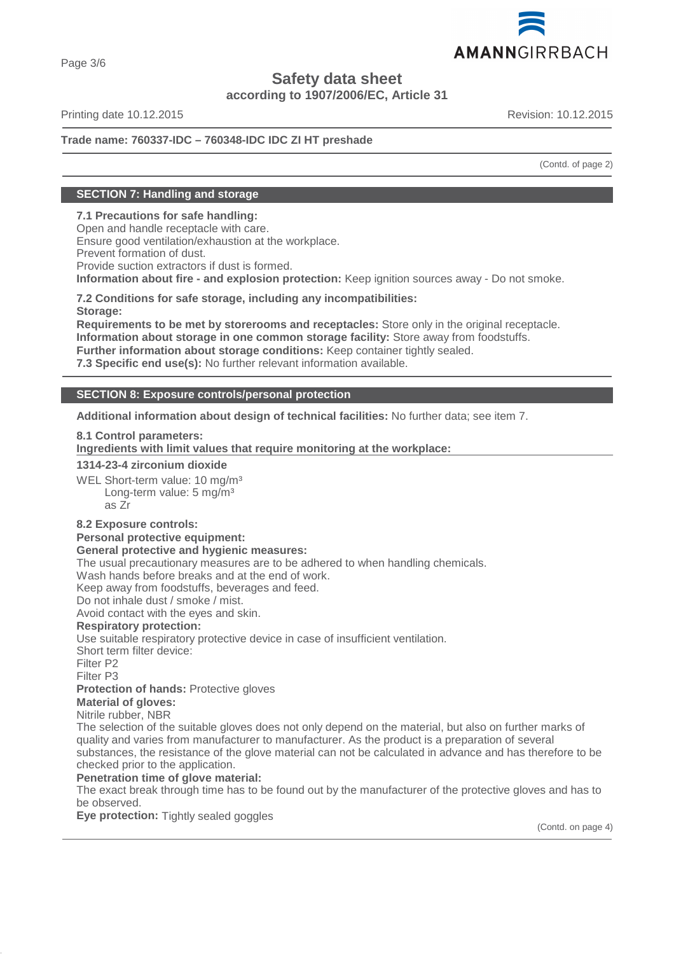

Page 3/6

# **Safety data sheet**

**according to 1907/2006/EC, Article 31**

Printing date 10.12.2015 **Revision: 10.12.2015** Revision: 10.12.2015

# **Trade name: 760337-IDC – 760348-IDC IDC ZI HT preshade**

(Contd. of page 2)

# **SECTION 7: Handling and storage**

# **7.1 Precautions for safe handling:**

Open and handle receptacle with care. Ensure good ventilation/exhaustion at the workplace. Prevent formation of dust. Provide suction extractors if dust is formed. **Information about fire - and explosion protection:** Keep ignition sources away - Do not smoke.

**7.2 Conditions for safe storage, including any incompatibilities: Storage:**

**Requirements to be met by storerooms and receptacles:** Store only in the original receptacle. **Information about storage in one common storage facility:** Store away from foodstuffs. **Further information about storage conditions:** Keep container tightly sealed. **7.3 Specific end use(s):** No further relevant information available.

# **SECTION 8: Exposure controls/personal protection**

**Additional information about design of technical facilities:** No further data; see item 7.

**8.1 Control parameters:**

**Ingredients with limit values that require monitoring at the workplace:** 

**1314-23-4 zirconium dioxide**

WEL Short-term value: 10 mg/m<sup>3</sup> Long-term value: 5 mg/m<sup>3</sup> as Zr

# **8.2 Exposure controls:**

**Personal protective equipment: General protective and hygienic measures:**

The usual precautionary measures are to be adhered to when handling chemicals.

Wash hands before breaks and at the end of work.

Keep away from foodstuffs, beverages and feed.

Do not inhale dust / smoke / mist.

Avoid contact with the eyes and skin.

# **Respiratory protection:**

Use suitable respiratory protective device in case of insufficient ventilation.

Short term filter device:

Filter P2

Filter P3

**Protection of hands:** Protective gloves

**Material of gloves:**

Nitrile rubber, NBR

The selection of the suitable gloves does not only depend on the material, but also on further marks of quality and varies from manufacturer to manufacturer. As the product is a preparation of several substances, the resistance of the glove material can not be calculated in advance and has therefore to be checked prior to the application.

# **Penetration time of glove material:**

The exact break through time has to be found out by the manufacturer of the protective gloves and has to be observed.

**Eye protection:** Tightly sealed goggles

(Contd. on page 4)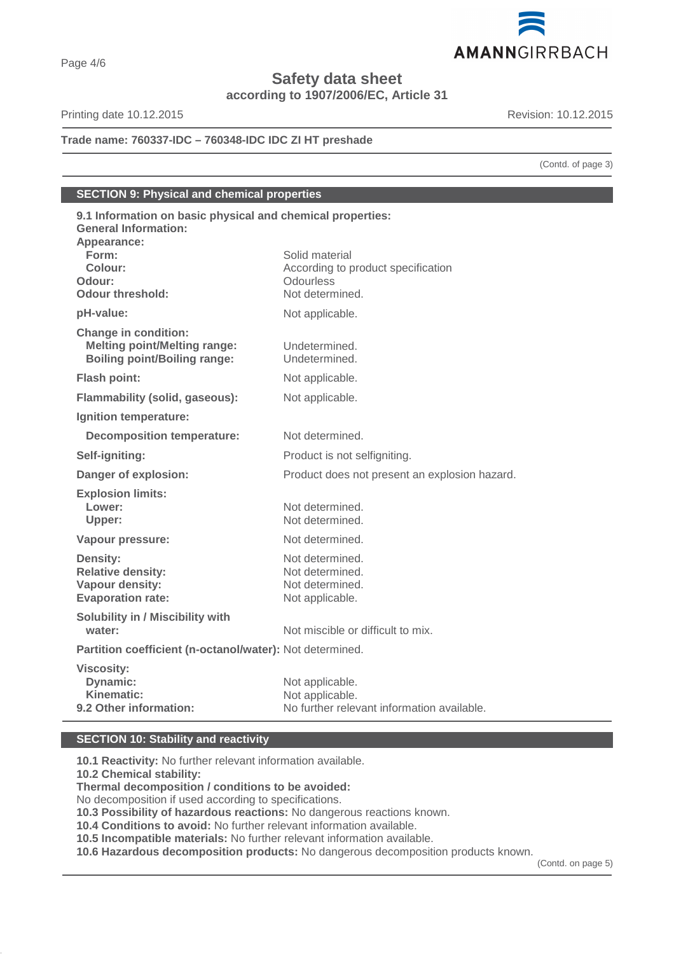

**Safety data sheet**

**according to 1907/2006/EC, Article 31**

Printing date 10.12.2015 **Revision: 10.12.2015** 

**Trade name: 760337-IDC – 760348-IDC IDC ZI HT preshade**

(Contd. of page 3)

**SECTION 9: Physical and chemical properties**

| 9.1 Information on basic physical and chemical properties:<br><b>General Information:</b><br>Appearance:<br>Form:<br>Colour:<br>Odour:<br><b>Odour threshold:</b> | Solid material<br>According to product specification<br><b>Odourless</b><br>Not determined. |
|-------------------------------------------------------------------------------------------------------------------------------------------------------------------|---------------------------------------------------------------------------------------------|
| pH-value:                                                                                                                                                         | Not applicable.                                                                             |
| <b>Change in condition:</b><br><b>Melting point/Melting range:</b><br><b>Boiling point/Boiling range:</b>                                                         | Undetermined.<br>Undetermined.                                                              |
| <b>Flash point:</b>                                                                                                                                               | Not applicable.                                                                             |
| <b>Flammability (solid, gaseous):</b>                                                                                                                             | Not applicable.                                                                             |
| Ignition temperature:                                                                                                                                             |                                                                                             |
| <b>Decomposition temperature:</b>                                                                                                                                 | Not determined.                                                                             |
| Self-igniting:                                                                                                                                                    | Product is not selfigniting.                                                                |
| Danger of explosion:                                                                                                                                              | Product does not present an explosion hazard.                                               |
| <b>Explosion limits:</b><br>Lower:<br>Upper:                                                                                                                      | Not determined.<br>Not determined.                                                          |
| Vapour pressure:                                                                                                                                                  | Not determined.                                                                             |
| <b>Density:</b><br><b>Relative density:</b><br>Vapour density:<br><b>Evaporation rate:</b>                                                                        | Not determined.<br>Not determined.<br>Not determined.<br>Not applicable.                    |
| <b>Solubility in / Miscibility with</b><br>water:                                                                                                                 | Not miscible or difficult to mix.                                                           |
| Partition coefficient (n-octanol/water): Not determined.                                                                                                          |                                                                                             |
| <b>Viscosity:</b><br>Dynamic:<br>Kinematic:<br>9.2 Other information:                                                                                             | Not applicable.<br>Not applicable.<br>No further relevant information available.            |

# **SECTION 10: Stability and reactivity**

**10.1 Reactivity:** No further relevant information available.

**10.2 Chemical stability:**

**Thermal decomposition / conditions to be avoided:**

No decomposition if used according to specifications.

**10.3 Possibility of hazardous reactions:** No dangerous reactions known.

**10.4 Conditions to avoid:** No further relevant information available.

**10.5 Incompatible materials:** No further relevant information available.

**10.6 Hazardous decomposition products:** No dangerous decomposition products known.

(Contd. on page 5)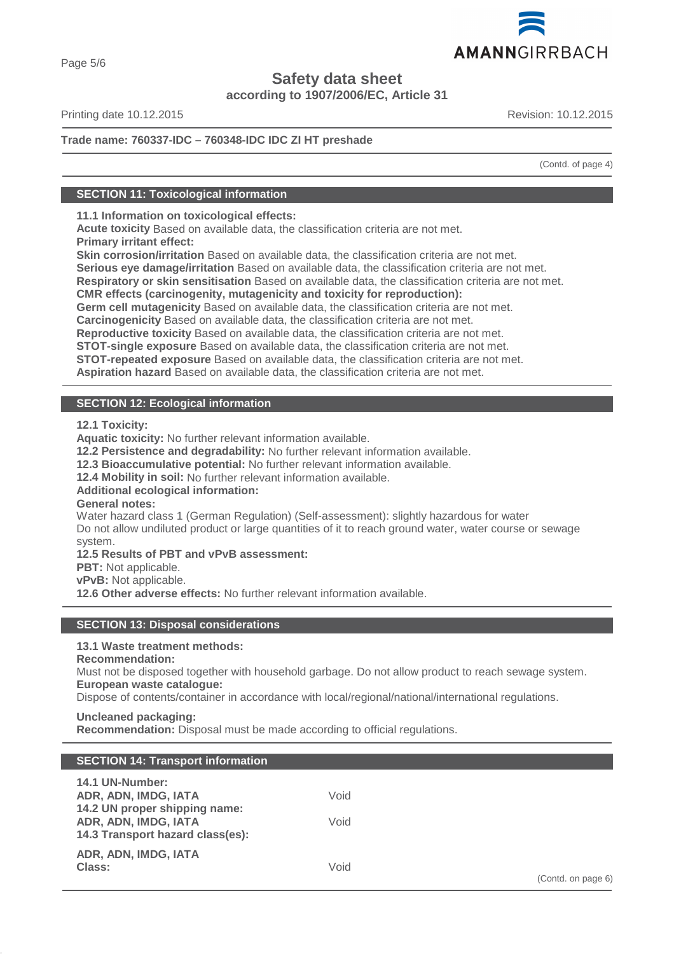

Page 5/6

# **Safety data sheet**

**according to 1907/2006/EC, Article 31**

Printing date 10.12.2015 **Revision: 10.12.2015** Revision: 10.12.2015

# **Trade name: 760337-IDC – 760348-IDC IDC ZI HT preshade**

(Contd. of page 4)

# **SECTION 11: Toxicological information**

**11.1 Information on toxicological effects:**

**Acute toxicity** Based on available data, the classification criteria are not met. **Primary irritant effect:**

**Skin corrosion/irritation** Based on available data, the classification criteria are not met.

**Serious eye damage/irritation** Based on available data, the classification criteria are not met.

**Respiratory or skin sensitisation** Based on available data, the classification criteria are not met.

**CMR effects (carcinogenity, mutagenicity and toxicity for reproduction):**

**Germ cell mutagenicity** Based on available data, the classification criteria are not met.

**Carcinogenicity** Based on available data, the classification criteria are not met.

**Reproductive toxicity** Based on available data, the classification criteria are not met.

**STOT-single exposure** Based on available data, the classification criteria are not met.

**STOT-repeated exposure** Based on available data, the classification criteria are not met.

**Aspiration hazard** Based on available data, the classification criteria are not met.

# **SECTION 12: Ecological information**

**12.1 Toxicity:**

**Aquatic toxicity:** No further relevant information available.

**12.2 Persistence and degradability:** No further relevant information available.

**12.3 Bioaccumulative potential:** No further relevant information available.

**12.4 Mobility in soil:** No further relevant information available.

# **Additional ecological information:**

**General notes:**

Water hazard class 1 (German Regulation) (Self-assessment): slightly hazardous for water Do not allow undiluted product or large quantities of it to reach ground water, water course or sewage system.

# **12.5 Results of PBT and vPvB assessment:**

**PBT:** Not applicable.

**vPvB:** Not applicable.

**12.6 Other adverse effects:** No further relevant information available.

# **SECTION 13: Disposal considerations**

# **13.1 Waste treatment methods:**

# **Recommendation:**

Must not be disposed together with household garbage. Do not allow product to reach sewage system. **European waste catalogue:**

Dispose of contents/container in accordance with local/regional/national/international regulations.

# **Uncleaned packaging:**

**Recommendation:** Disposal must be made according to official regulations.

# **SECTION 14: Transport information**

| 14.1 UN-Number:<br>ADR, ADN, IMDG, IATA<br>14.2 UN proper shipping name:<br>ADR, ADN, IMDG, IATA | Void<br>Void |
|--------------------------------------------------------------------------------------------------|--------------|
| 14.3 Transport hazard class(es):                                                                 |              |
| ADR, ADN, IMDG, IATA<br>Class:                                                                   | Void         |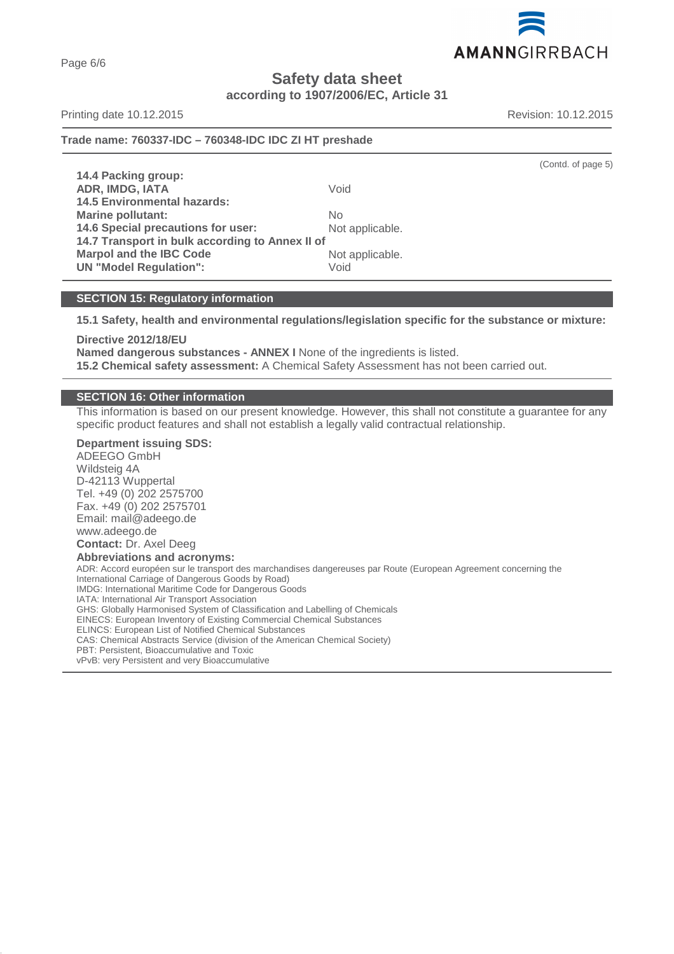AMANNGIRRBACH

# **Safety data sheet**

# **according to 1907/2006/EC, Article 31**

Printing date 10.12.2015 **Revision: 10.12.2015** Revision: 10.12.2015

(Contd. of page 5)

# **Trade name: 760337-IDC – 760348-IDC IDC ZI HT preshade**

**14.4 Packing group: ADR, IMDG, IATA** Void **14.5 Environmental hazards: Marine pollutant:** No **14.6 Special precautions for user:** Not applicable. **14.7 Transport in bulk according to Annex II of Marpol and the IBC Code** Not applicable. **UN "Model Requlation":** Void

# **SECTION 15: Regulatory information**

**15.1 Safety, health and environmental regulations/legislation specific for the substance or mixture:**

**Directive 2012/18/EU Named dangerous substances - ANNEX I** None of the ingredients is listed. **15.2 Chemical safety assessment:** A Chemical Safety Assessment has not been carried out.

# **SECTION 16: Other information**

This information is based on our present knowledge. However, this shall not constitute a guarantee for any specific product features and shall not establish a legally valid contractual relationship.

**Department issuing SDS:** ADEEGO GmbH Wildsteig 4A D-42113 Wuppertal Tel. +49 (0) 202 2575700 Fax. +49 (0) 202 2575701 Email: mail@adeego.de www.adeego.de **Contact:** Dr. Axel Deeg **Abbreviations and acronyms:** ADR: Accord européen sur le transport des marchandises dangereuses par Route (European Agreement concerning the International Carriage of Dangerous Goods by Road) IMDG: International Maritime Code for Dangerous Goods IATA: International Air Transport Association GHS: Globally Harmonised System of Classification and Labelling of Chemicals EINECS: European Inventory of Existing Commercial Chemical Substances ELINCS: European List of Notified Chemical Substances CAS: Chemical Abstracts Service (division of the American Chemical Society) PBT: Persistent, Bioaccumulative and Toxic vPvB: very Persistent and very Bioaccumulative

Page 6/6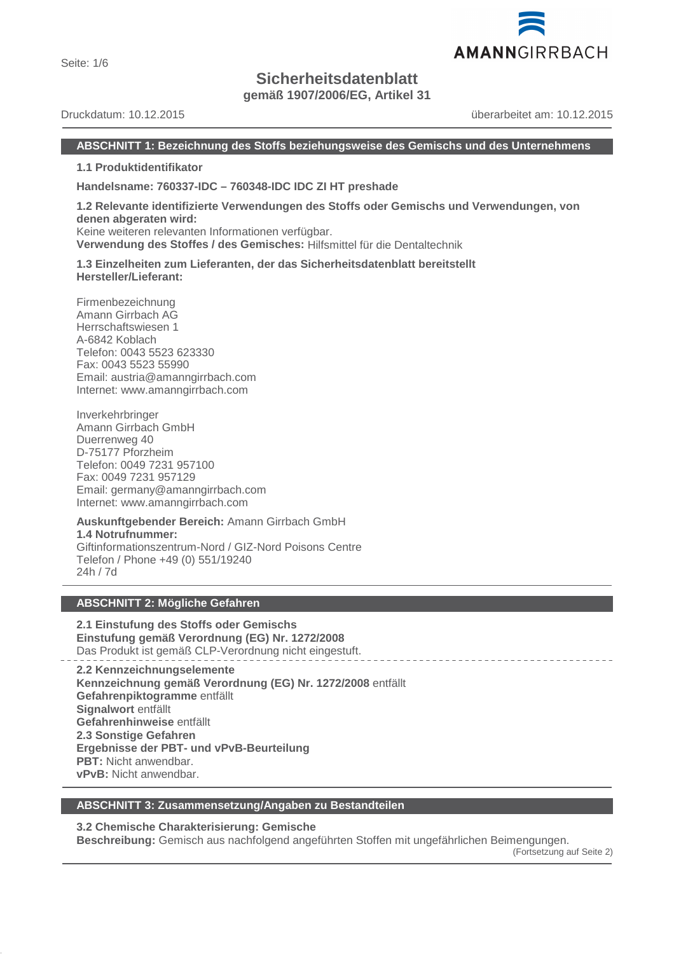Seite: 1/6

# **Sicherheitsdatenblatt**

**gemäß 1907/2006/EG, Artikel 31**

Druckdatum: 10.12.2015 überarbeitet am: 10.12.2015

# **ABSCHNITT 1: Bezeichnung des Stoffs beziehungsweise des Gemischs und des Unternehmens**

**1.1 Produktidentifikator**

**Handelsname: 760337-IDC – 760348-IDC IDC ZI HT preshade**

#### **1.2 Relevante identifizierte Verwendungen des Stoffs oder Gemischs und Verwendungen, von denen abgeraten wird:** Keine weiteren relevanten Informationen verfügbar.

**Verwendung des Stoffes / des Gemisches:** Hilfsmittel für die Dentaltechnik

**1.3 Einzelheiten zum Lieferanten, der das Sicherheitsdatenblatt bereitstellt Hersteller/Lieferant:**

Firmenbezeichnung Amann Girrbach AG Herrschaftswiesen 1 A-6842 Koblach Telefon: 0043 5523 623330 Fax: 0043 5523 55990 Email: austria@amanngirrbach.com Internet: www.amanngirrbach.com

Inverkehrbringer Amann Girrbach GmbH Duerrenweg 40 D-75177 Pforzheim Telefon: 0049 7231 957100 Fax: 0049 7231 957129 Email: germany@amanngirrbach.com Internet: www.amanngirrbach.com

**Auskunftgebender Bereich:** Amann Girrbach GmbH **1.4 Notrufnummer:** Giftinformationszentrum-Nord / GIZ-Nord Poisons Centre Telefon / Phone +49 (0) 551/19240 24h / 7d

# **ABSCHNITT 2: Mögliche Gefahren**

**2.1 Einstufung des Stoffs oder Gemischs Einstufung gemäß Verordnung (EG) Nr. 1272/2008** Das Produkt ist gemäß CLP-Verordnung nicht eingestuft.

**2.2 Kennzeichnungselemente Kennzeichnung gemäß Verordnung (EG) Nr. 1272/2008** entfällt **Gefahrenpiktogramme** entfällt **Signalwort** entfällt **Gefahrenhinweise** entfällt **2.3 Sonstige Gefahren Ergebnisse der PBT- und vPvB-Beurteilung PBT:** Nicht anwendbar. **vPvB:** Nicht anwendbar.

# **ABSCHNITT 3: Zusammensetzung/Angaben zu Bestandteilen**

**3.2 Chemische Charakterisierung: Gemische**

**Beschreibung:** Gemisch aus nachfolgend angeführten Stoffen mit ungefährlichen Beimengungen.

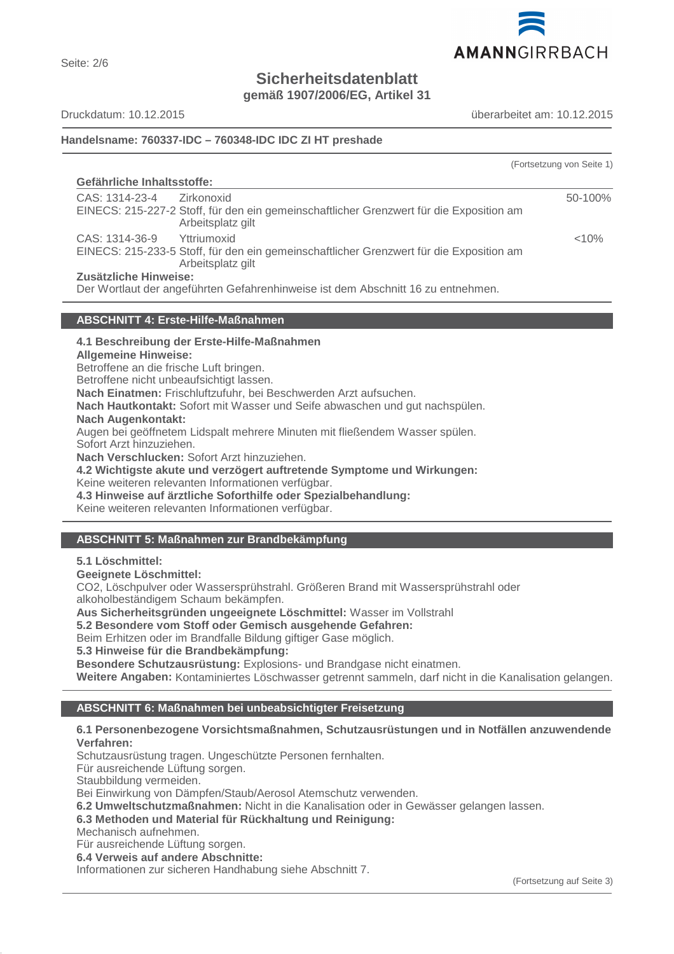

Seite: 2/6

# **Sicherheitsdatenblatt**

**gemäß 1907/2006/EG, Artikel 31**

Druckdatum: 10.12.2015 überarbeitet am: 10.12.2015

# **Handelsname: 760337-IDC – 760348-IDC IDC ZI HT preshade**

|                                                                                                                                              | (Fortsetzung von Seite 1) |
|----------------------------------------------------------------------------------------------------------------------------------------------|---------------------------|
| Gefährliche Inhaltsstoffe:                                                                                                                   |                           |
| CAS: 1314-23-4<br>Zirkonoxid<br>EINECS: 215-227-2 Stoff, für den ein gemeinschaftlicher Grenzwert für die Exposition am<br>Arbeitsplatz gilt | 50-100%                   |
| CAS: 1314-36-9 Yttriumoxid<br>EINECS: 215-233-5 Stoff, für den ein gemeinschaftlicher Grenzwert für die Exposition am<br>Arbeitsplatz gilt   | < 10%                     |
| Zusätzliche Hinweise:<br>Der Wortlaut der angeführten Gefahrenhinweise ist dem Abschnitt 16 zu entnehmen.                                    |                           |

# **ABSCHNITT 4: Erste-Hilfe-Maßnahmen**

# **4.1 Beschreibung der Erste-Hilfe-Maßnahmen**

**Allgemeine Hinweise:**

Betroffene an die frische Luft bringen.

Betroffene nicht unbeaufsichtigt lassen.

**Nach Einatmen:** Frischluftzufuhr, bei Beschwerden Arzt aufsuchen.

**Nach Hautkontakt:** Sofort mit Wasser und Seife abwaschen und gut nachspülen.

#### **Nach Augenkontakt:**

Augen bei geöffnetem Lidspalt mehrere Minuten mit fließendem Wasser spülen.

Sofort Arzt hinzuziehen.

**Nach Verschlucken:** Sofort Arzt hinzuziehen.

**4.2 Wichtigste akute und verzögert auftretende Symptome und Wirkungen:**

Keine weiteren relevanten Informationen verfügbar.

**4.3 Hinweise auf ärztliche Soforthilfe oder Spezialbehandlung:**

Keine weiteren relevanten Informationen verfügbar.

# **ABSCHNITT 5: Maßnahmen zur Brandbekämpfung**

**5.1 Löschmittel:**

**Geeignete Löschmittel:**

CO2, Löschpulver oder Wassersprühstrahl. Größeren Brand mit Wassersprühstrahl oder alkoholbeständigem Schaum bekämpfen.

**Aus Sicherheitsgründen ungeeignete Löschmittel:** Wasser im Vollstrahl

# **5.2 Besondere vom Stoff oder Gemisch ausgehende Gefahren:**

Beim Erhitzen oder im Brandfalle Bildung giftiger Gase möglich.

**5.3 Hinweise für die Brandbekämpfung:**

**Besondere Schutzausrüstung:** Explosions- und Brandgase nicht einatmen.

**Weitere Angaben:** Kontaminiertes Löschwasser getrennt sammeln, darf nicht in die Kanalisation gelangen.

# **ABSCHNITT 6: Maßnahmen bei unbeabsichtigter Freisetzung**

# **6.1 Personenbezogene Vorsichtsmaßnahmen, Schutzausrüstungen und in Notfällen anzuwendende Verfahren:**

Schutzausrüstung tragen. Ungeschützte Personen fernhalten.

Für ausreichende Lüftung sorgen.

Staubbildung vermeiden.

Bei Einwirkung von Dämpfen/Staub/Aerosol Atemschutz verwenden.

**6.2 Umweltschutzmaßnahmen:** Nicht in die Kanalisation oder in Gewässer gelangen lassen.

**6.3 Methoden und Material für Rückhaltung und Reinigung:**

Mechanisch aufnehmen.

Für ausreichende Lüftung sorgen.

**6.4 Verweis auf andere Abschnitte:**

Informationen zur sicheren Handhabung siehe Abschnitt 7.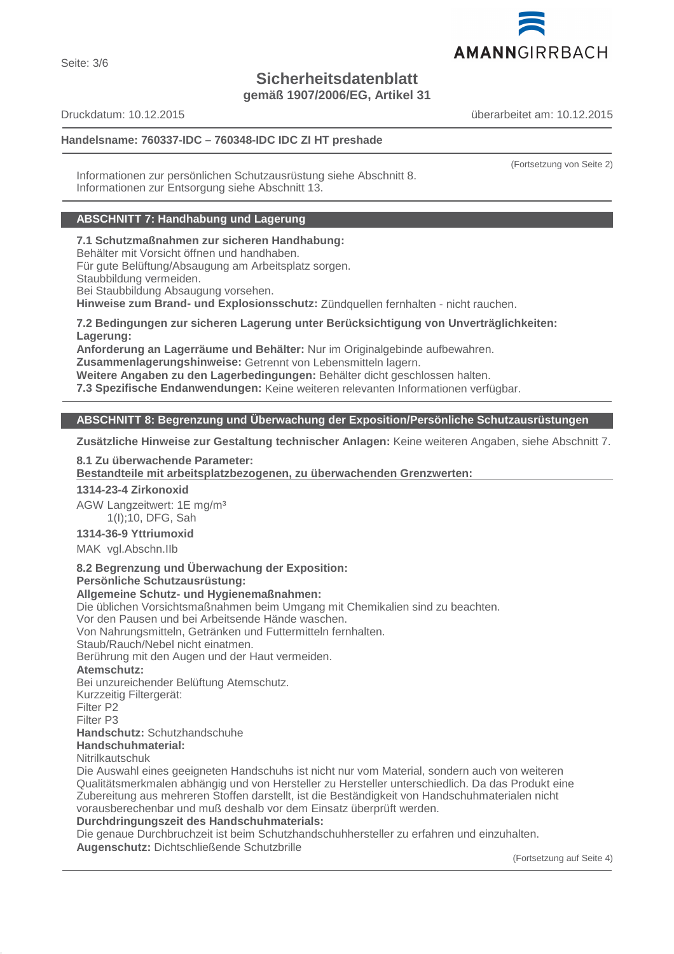

Seite: 3/6

# **Sicherheitsdatenblatt**

**gemäß 1907/2006/EG, Artikel 31**

Druckdatum: 10.12.2015 überarbeitet am: 10.12.2015

# **Handelsname: 760337-IDC – 760348-IDC IDC ZI HT preshade**

(Fortsetzung von Seite 2)

Informationen zur persönlichen Schutzausrüstung siehe Abschnitt 8. Informationen zur Entsorgung siehe Abschnitt 13.

# **ABSCHNITT 7: Handhabung und Lagerung**

**7.1 Schutzmaßnahmen zur sicheren Handhabung:**

Behälter mit Vorsicht öffnen und handhaben.

Für gute Belüftung/Absaugung am Arbeitsplatz sorgen.

Staubbildung vermeiden.

Bei Staubbildung Absaugung vorsehen.

**Hinweise zum Brand- und Explosionsschutz:** Zündquellen fernhalten - nicht rauchen.

**7.2 Bedingungen zur sicheren Lagerung unter Berücksichtigung von Unverträglichkeiten: Lagerung:**

**Anforderung an Lagerräume und Behälter:** Nur im Originalgebinde aufbewahren.

**Zusammenlagerungshinweise:** Getrennt von Lebensmitteln lagern.

**Weitere Angaben zu den Lagerbedingungen:** Behälter dicht geschlossen halten.

**7.3 Spezifische Endanwendungen:** Keine weiteren relevanten Informationen verfügbar.

# **ABSCHNITT 8: Begrenzung und Überwachung der Exposition/Persönliche Schutzausrüstungen**

**Zusätzliche Hinweise zur Gestaltung technischer Anlagen:** Keine weiteren Angaben, siehe Abschnitt 7.

# **8.1 Zu überwachende Parameter:**

Bestandteile mit arbeitsplatzbezogenen, zu überwachenden Grenzwerten:

**1314-23-4 Zirkonoxid**

AGW Langzeitwert: 1E mg/m³ 1(I);10, DFG, Sah

**1314-36-9 Yttriumoxid**

MAK vgl.Abschn.IIb

**8.2 Begrenzung und Überwachung der Exposition:**

**Persönliche Schutzausrüstung:**

**Allgemeine Schutz- und Hygienemaßnahmen:**

Die üblichen Vorsichtsmaßnahmen beim Umgang mit Chemikalien sind zu beachten.

Vor den Pausen und bei Arbeitsende Hände waschen.

Von Nahrungsmitteln, Getränken und Futtermitteln fernhalten.

Staub/Rauch/Nebel nicht einatmen.

Berührung mit den Augen und der Haut vermeiden.

**Atemschutz:**

Bei unzureichender Belüftung Atemschutz.

Kurzzeitig Filtergerät:

Filter P2

Filter P3

**Handschutz:** Schutzhandschuhe

**Handschuhmaterial:**

Nitrilkautschuk

Die Auswahl eines geeigneten Handschuhs ist nicht nur vom Material, sondern auch von weiteren Qualitätsmerkmalen abhängig und von Hersteller zu Hersteller unterschiedlich. Da das Produkt eine Zubereitung aus mehreren Stoffen darstellt, ist die Beständigkeit von Handschuhmaterialen nicht vorausberechenbar und muß deshalb vor dem Einsatz überprüft werden.

# **Durchdringungszeit des Handschuhmaterials:**

Die genaue Durchbruchzeit ist beim Schutzhandschuhhersteller zu erfahren und einzuhalten. **Augenschutz:** Dichtschließende Schutzbrille

(Fortsetzung auf Seite 4)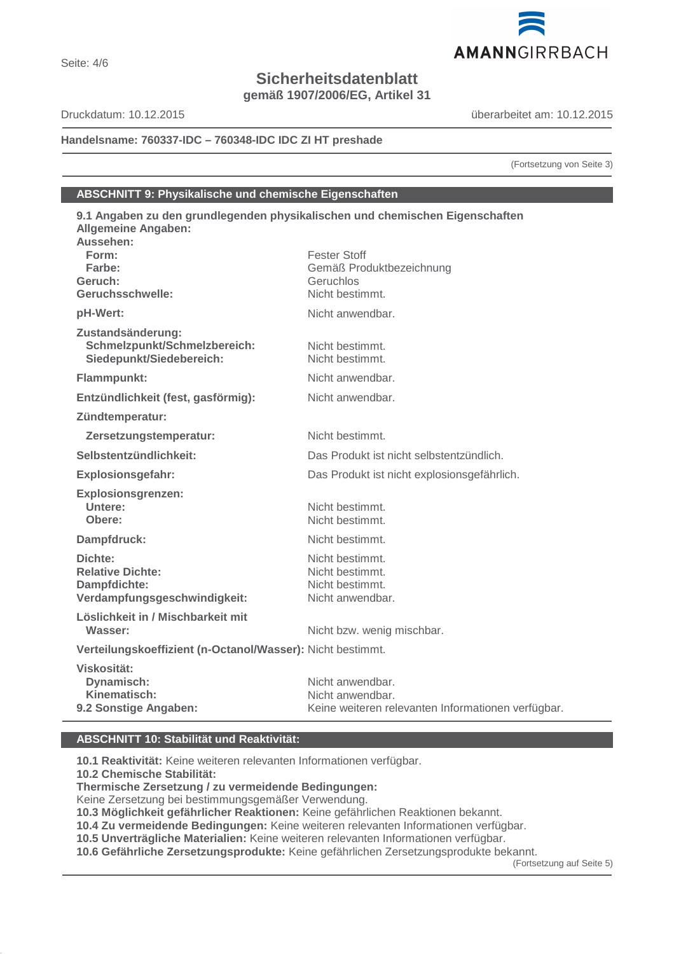# **Sicherheitsdatenblatt**

**gemäß 1907/2006/EG, Artikel 31**

Druckdatum: 10.12.2015 überarbeitet am: 10.12.2015

AMANNGIRRBACH

# **Handelsname: 760337-IDC – 760348-IDC IDC ZI HT preshade**

(Fortsetzung von Seite 3)

# **ABSCHNITT 9: Physikalische und chemische Eigenschaften**

| 9.1 Angaben zu den grundlegenden physikalischen und chemischen Eigenschaften<br><b>Allgemeine Angaben:</b> |                                                    |
|------------------------------------------------------------------------------------------------------------|----------------------------------------------------|
| Aussehen:                                                                                                  |                                                    |
| Form:                                                                                                      | <b>Fester Stoff</b>                                |
| Farbe:                                                                                                     | Gemäß Produktbezeichnung                           |
| Geruch:                                                                                                    | Geruchlos                                          |
| Geruchsschwelle:                                                                                           | Nicht bestimmt.                                    |
| pH-Wert:                                                                                                   | Nicht anwendbar.                                   |
| Zustandsänderung:<br>Schmelzpunkt/Schmelzbereich:<br>Siedepunkt/Siedebereich:                              | Nicht bestimmt.<br>Nicht bestimmt.                 |
| Flammpunkt:                                                                                                | Nicht anwendbar.                                   |
| Entzündlichkeit (fest, gasförmig):                                                                         | Nicht anwendbar.                                   |
| Zündtemperatur:                                                                                            |                                                    |
| Zersetzungstemperatur:                                                                                     | Nicht bestimmt.                                    |
| Selbstentzündlichkeit:                                                                                     | Das Produkt ist nicht selbstentzündlich.           |
| <b>Explosionsgefahr:</b>                                                                                   | Das Produkt ist nicht explosionsgefährlich.        |
| <b>Explosionsgrenzen:</b>                                                                                  |                                                    |
| Untere:                                                                                                    | Nicht bestimmt.                                    |
| Obere:                                                                                                     | Nicht bestimmt.                                    |
| Dampfdruck:                                                                                                | Nicht bestimmt.                                    |
| Dichte:                                                                                                    | Nicht bestimmt.                                    |
| <b>Relative Dichte:</b>                                                                                    | Nicht bestimmt.                                    |
| Dampfdichte:                                                                                               | Nicht bestimmt.                                    |
| Verdampfungsgeschwindigkeit:                                                                               | Nicht anwendbar.                                   |
| Löslichkeit in / Mischbarkeit mit                                                                          |                                                    |
| Wasser:                                                                                                    | Nicht bzw. wenig mischbar.                         |
| Verteilungskoeffizient (n-Octanol/Wasser): Nicht bestimmt.                                                 |                                                    |
| Viskosität:                                                                                                |                                                    |
| Dynamisch:                                                                                                 | Nicht anwendbar.                                   |
| Kinematisch:                                                                                               | Nicht anwendbar.                                   |
| 9.2 Sonstige Angaben:                                                                                      | Keine weiteren relevanten Informationen verfügbar. |

#### **ABSCHNITT 10: Stabilität und Reaktivität:**

**10.1 Reaktivität:** Keine weiteren relevanten Informationen verfügbar.

**10.2 Chemische Stabilität:**

**Thermische Zersetzung / zu vermeidende Bedingungen:**

Keine Zersetzung bei bestimmungsgemäßer Verwendung.

**10.3 Möglichkeit gefährlicher Reaktionen:** Keine gefährlichen Reaktionen bekannt.

**10.4 Zu vermeidende Bedingungen:** Keine weiteren relevanten Informationen verfügbar.

**10.5 Unverträgliche Materialien:** Keine weiteren relevanten Informationen verfügbar.

**10.6 Gefährliche Zersetzungsprodukte:** Keine gefährlichen Zersetzungsprodukte bekannt.

(Fortsetzung auf Seite 5)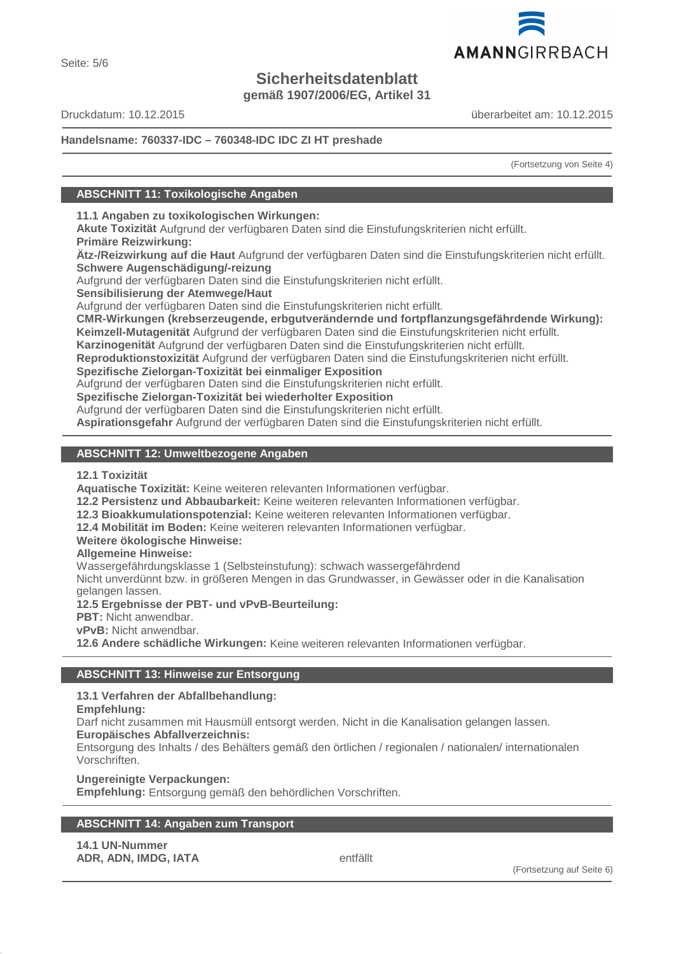# **Sicherheitsdatenblatt**

**gemäß 1907/2006/EG, Artikel 31**

Druckdatum: 10.12.2015 überarbeitet am: 10.12.2015

# **Handelsname: 760337-IDC – 760348-IDC IDC ZI HT preshade**

(Fortsetzung von Seite 4)

# **ABSCHNITT 11: Toxikologische Angaben**

**11.1 Angaben zu toxikologischen Wirkungen:**

**Akute Toxizität** Aufgrund der verfügbaren Daten sind die Einstufungskriterien nicht erfüllt. **Primäre Reizwirkung:**

**Ätz-/Reizwirkung auf die Haut** Aufgrund der verfügbaren Daten sind die Einstufungskriterien nicht erfüllt. **Schwere Augenschädigung/-reizung**

Aufgrund der verfügbaren Daten sind die Einstufungskriterien nicht erfüllt.

**Sensibilisierung der Atemwege/Haut**

Aufgrund der verfügbaren Daten sind die Einstufungskriterien nicht erfüllt.

**CMR-Wirkungen (krebserzeugende, erbgutverändernde und fortpflanzungsgefährdende Wirkung): Keimzell-Mutagenität** Aufgrund der verfügbaren Daten sind die Einstufungskriterien nicht erfüllt.

**Karzinogenität** Aufgrund der verfügbaren Daten sind die Einstufungskriterien nicht erfüllt.

**Reproduktionstoxizität** Aufgrund der verfügbaren Daten sind die Einstufungskriterien nicht erfüllt.

**Spezifische Zielorgan-Toxizität bei einmaliger Exposition**

Aufgrund der verfügbaren Daten sind die Einstufungskriterien nicht erfüllt.

**Spezifische Zielorgan-Toxizität bei wiederholter Exposition**

Aufgrund der verfügbaren Daten sind die Einstufungskriterien nicht erfüllt.

**Aspirationsgefahr** Aufgrund der verfügbaren Daten sind die Einstufungskriterien nicht erfüllt.

# **ABSCHNITT 12: Umweltbezogene Angaben**

# **12.1 Toxizität**

**Aquatische Toxizität:** Keine weiteren relevanten Informationen verfügbar.

**12.2 Persistenz und Abbaubarkeit:** Keine weiteren relevanten Informationen verfügbar.

**12.3 Bioakkumulationspotenzial:** Keine weiteren relevanten Informationen verfügbar.

**12.4 Mobilität im Boden:** Keine weiteren relevanten Informationen verfügbar.

# **Weitere ökologische Hinweise:**

**Allgemeine Hinweise:**

Wassergefährdungsklasse 1 (Selbsteinstufung): schwach wassergefährdend

Nicht unverdünnt bzw. in größeren Mengen in das Grundwasser, in Gewässer oder in die Kanalisation gelangen lassen.

**12.5 Ergebnisse der PBT- und vPvB-Beurteilung:**

**PBT:** Nicht anwendbar.

**vPvB:** Nicht anwendbar.

**12.6 Andere schädliche Wirkungen:** Keine weiteren relevanten Informationen verfügbar.

# **ABSCHNITT 13: Hinweise zur Entsorgung**

**13.1 Verfahren der Abfallbehandlung:**

**Empfehlung:**

Darf nicht zusammen mit Hausmüll entsorgt werden. Nicht in die Kanalisation gelangen lassen.

**Europäisches Abfallverzeichnis:**

Entsorgung des Inhalts / des Behälters gemäß den örtlichen / regionalen / nationalen/ internationalen Vorschriften.

**Ungereinigte Verpackungen:**

**Empfehlung:** Entsorgung gemäß den behördlichen Vorschriften.

# **ABSCHNITT 14: Angaben zum Transport**

**14.1 UN-Nummer ADR, ADN, IMDG, IATA** entfällt

(Fortsetzung auf Seite 6)

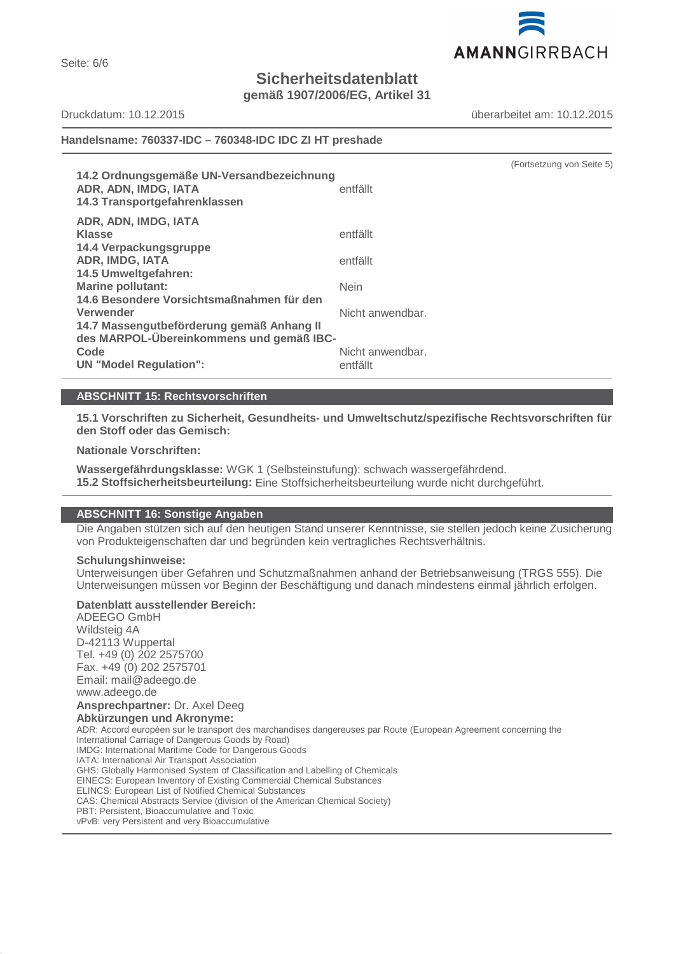AMANNGIRRBACH

**Sicherheitsdatenblatt**

**gemäß 1907/2006/EG, Artikel 31**

Seite: 6/6

Druckdatum: 10.12.2015 überarbeitet am: 10.12.2015

(Fortsetzung von Seite 5)

# **Handelsname: 760337-IDC – 760348-IDC IDC ZI HT preshade**

| 14.2 Ordnungsgemäße UN-Versandbezeichnung<br>ADR, ADN, IMDG, IATA<br>14.3 Transportgefahrenklassen | entfällt         |
|----------------------------------------------------------------------------------------------------|------------------|
| ADR, ADN, IMDG, IATA                                                                               |                  |
| <b>Klasse</b>                                                                                      | entfällt         |
| 14.4 Verpackungsgruppe                                                                             |                  |
| <b>ADR, IMDG, IATA</b>                                                                             | entfällt         |
| 14.5 Umweltgefahren:                                                                               |                  |
| <b>Marine pollutant:</b>                                                                           | <b>Nein</b>      |
| 14.6 Besondere Vorsichtsmaßnahmen für den                                                          |                  |
| Verwender                                                                                          | Nicht anwendbar. |
| 14.7 Massengutbeförderung gemäß Anhang II                                                          |                  |
| des MARPOL-Übereinkommens und gemäß IBC-                                                           |                  |
| Code                                                                                               | Nicht anwendbar. |
| <b>UN "Model Regulation":</b>                                                                      | entfällt         |

# **ABSCHNITT 15: Rechtsvorschriften**

**15.1 Vorschriften zu Sicherheit, Gesundheits- und Umweltschutz/spezifische Rechtsvorschriften für den Stoff oder das Gemisch:**

# **Nationale Vorschriften:**

**Wassergefährdungsklasse:** WGK 1 (Selbsteinstufung): schwach wassergefährdend. **15.2 Stoffsicherheitsbeurteilung:** Eine Stoffsicherheitsbeurteilung wurde nicht durchgeführt.

# **ABSCHNITT 16: Sonstige Angaben**

Die Angaben stützen sich auf den heutigen Stand unserer Kenntnisse, sie stellen jedoch keine Zusicherung von Produkteigenschaften dar und begründen kein vertragliches Rechtsverhältnis.

#### **Schulungshinweise:**

Unterweisungen über Gefahren und Schutzmaßnahmen anhand der Betriebsanweisung (TRGS 555). Die Unterweisungen müssen vor Beginn der Beschäftigung und danach mindestens einmal jährlich erfolgen.

# **Datenblatt ausstellender Bereich:**

ADEEGO GmbH Wildsteig 4A D-42113 Wuppertal Tel. +49 (0) 202 2575700 Fax. +49 (0) 202 2575701 Email: mail@adeego.de www.adeego.de **Ansprechpartner:** Dr. Axel Deeg **Abkürzungen und Akronyme:** ADR: Accord européen sur le transport des marchandises dangereuses par Route (European Agreement concerning the International Carriage of Dangerous Goods by Road) IMDG: International Maritime Code for Dangerous Goods IATA: International Air Transport Association GHS: Globally Harmonised System of Classification and Labelling of Chemicals EINECS: European Inventory of Existing Commercial Chemical Substances ELINCS: European List of Notified Chemical Substances CAS: Chemical Abstracts Service (division of the American Chemical Society) PBT: Persistent, Bioaccumulative and Toxic vPvB: very Persistent and very Bioaccumulative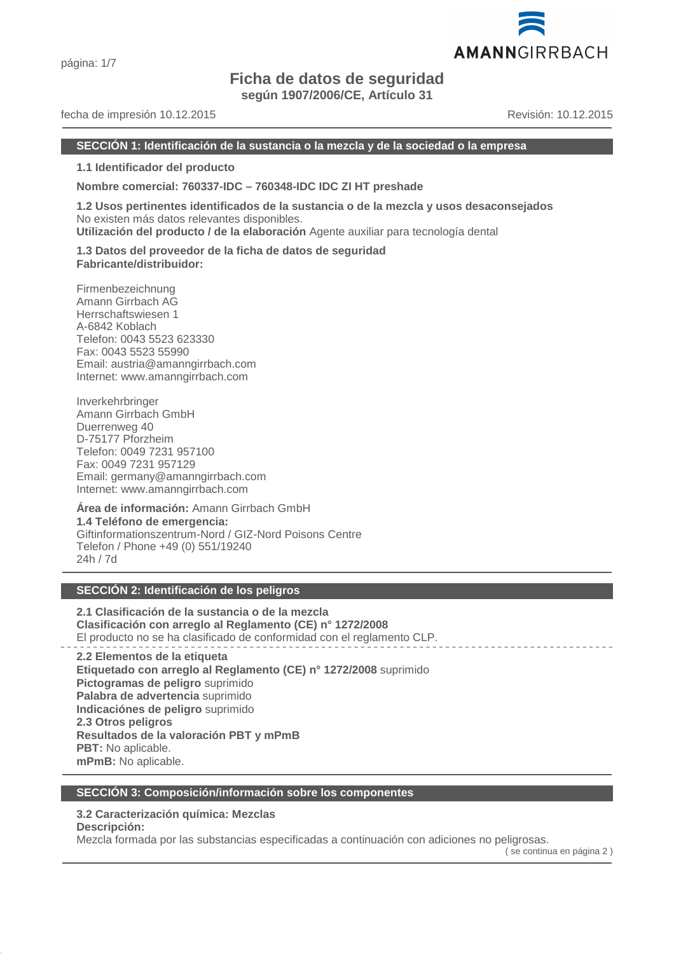# **Ficha de datos de seguridad**

**según 1907/2006/CE, Artículo 31**

# fecha de impresión 10.12.2015 Revisión: 10.12.2015

#### **SECCIÓN 1: Identificación de la sustancia o la mezcla y de la sociedad o la empresa**

**1.1 Identificador del producto**

**Nombre comercial: 760337-IDC – 760348-IDC IDC ZI HT preshade**

**1.2 Usos pertinentes identificados de la sustancia o de la mezcla y usos desaconsejados** No existen más datos relevantes disponibles.

**Utilización del producto / de la elaboración** Agente auxiliar para tecnología dental

**1.3 Datos del proveedor de la ficha de datos de seguridad Fabricante/distribuidor:**

Firmenbezeichnung Amann Girrbach AG Herrschaftswiesen 1 A-6842 Koblach Telefon: 0043 5523 623330 Fax: 0043 5523 55990 Email: austria@amanngirrbach.com Internet: www.amanngirrbach.com

Inverkehrbringer Amann Girrbach GmbH Duerrenweg 40 D-75177 Pforzheim Telefon: 0049 7231 957100 Fax: 0049 7231 957129 Email: germany@amanngirrbach.com Internet: www.amanngirrbach.com

**Área de información:** Amann Girrbach GmbH **1.4 Teléfono de emergencia:** Giftinformationszentrum-Nord / GIZ-Nord Poisons Centre Telefon / Phone +49 (0) 551/19240 24h / 7d

# **SECCIÓN 2: Identificación de los peligros**

**2.1 Clasificación de la sustancia o de la mezcla Clasificación con arreglo al Reglamento (CE) n° 1272/2008** El producto no se ha clasificado de conformidad con el reglamento CLP.

**2.2 Elementos de la etiqueta Etiquetado con arreglo al Reglamento (CE) n° 1272/2008** suprimido **Pictogramas de peligro** suprimido **Palabra de advertencia** suprimido **Indicaciónes de peligro** suprimido **2.3 Otros peligros Resultados de la valoración PBT y mPmB PBT:** No aplicable. **mPmB:** No aplicable.

# **SECCIÓN 3: Composición/información sobre los componentes**

# **3.2 Caracterización química: Mezclas**

**Descripción:**

Mezcla formada por las substancias especificadas a continuación con adiciones no peligrosas.

( se continua en página 2 )

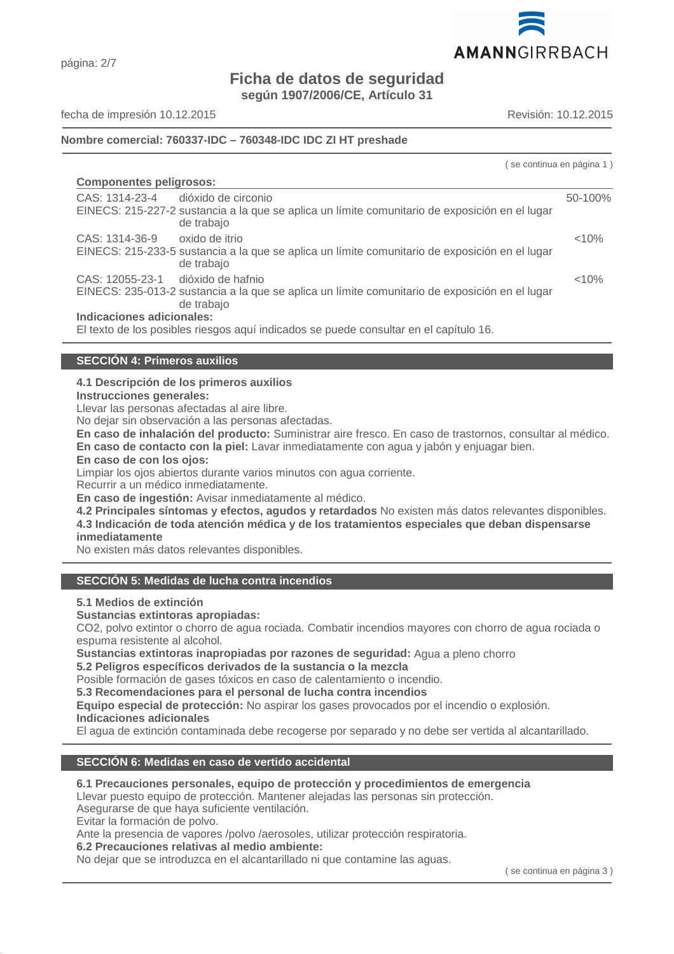

# página: 2/7

# **Ficha de datos de seguridad**

**según 1907/2006/CE, Artículo 31**

fecha de impresión 10.12.2015 Revisión: 10.12.2015

# **Nombre comercial: 760337-IDC – 760348-IDC IDC ZI HT preshade**

|                                                                                                                                                    | se continua en página 1) |
|----------------------------------------------------------------------------------------------------------------------------------------------------|--------------------------|
| <b>Componentes peligrosos:</b>                                                                                                                     |                          |
| CAS: 1314-23-4 dióxido de circonio<br>EINECS: 215-227-2 sustancia a la que se aplica un límite comunitario de exposición en el lugar<br>de trabajo | 50-100%                  |
| oxido de itrio<br>CAS: 1314-36-9<br>EINECS: 215-233-5 sustancia a la que se aplica un límite comunitario de exposición en el lugar<br>de trabajo   | < 10%                    |
| CAS: 12055-23-1 dióxido de hafnio<br>EINECS: 235-013-2 sustancia a la que se aplica un límite comunitario de exposición en el lugar<br>de trabajo  | < 10%                    |
| Indicaciones adicionales:<br>El texto de los posibles riesgos aquí indicados se puede consultar en el capítulo 16.                                 |                          |

# **SECCIÓN 4: Primeros auxilios**

**4.1 Descripción de los primeros auxilios**

**Instrucciones generales:**

Llevar las personas afectadas al aire libre.

No dejar sin observación a las personas afectadas.

**En caso de inhalación del producto:** Suministrar aire fresco. En caso de trastornos, consultar al médico. **En caso de contacto con la piel:** Lavar inmediatamente con agua y jabón y enjuagar bien.

**En caso de con los ojos:**

Limpiar los ojos abiertos durante varios minutos con agua corriente.

Recurrir a un médico inmediatamente.

**En caso de ingestión:** Avisar inmediatamente al médico.

**4.2 Principales síntomas y efectos, agudos y retardados** No existen más datos relevantes disponibles. **4.3 Indicación de toda atención médica y de los tratamientos especiales que deban dispensarse inmediatamente**

No existen más datos relevantes disponibles.

# **SECCIÓN 5: Medidas de lucha contra incendios**

**5.1 Medios de extinción**

**Sustancias extintoras apropiadas:**

CO2, polvo extintor o chorro de agua rociada. Combatir incendios mayores con chorro de agua rociada o espuma resistente al alcohol.

**Sustancias extintoras inapropiadas por razones de seguridad:** Agua a pleno chorro

**5.2 Peligros específicos derivados de la sustancia o la mezcla**

Posible formación de gases tóxicos en caso de calentamiento o incendio.

**5.3 Recomendaciones para el personal de lucha contra incendios**

**Equipo especial de protección:** No aspirar los gases provocados por el incendio o explosión.

**Indicaciones adicionales**

El agua de extinción contaminada debe recogerse por separado y no debe ser vertida al alcantarillado.

# **SECCIÓN 6: Medidas en caso de vertido accidental**

# **6.1 Precauciones personales, equipo de protección y procedimientos de emergencia**

Llevar puesto equipo de protección. Mantener alejadas las personas sin protección.

Asegurarse de que haya suficiente ventilación.

Evitar la formación de polvo.

Ante la presencia de vapores /polvo /aerosoles, utilizar protección respiratoria.

**6.2 Precauciones relativas al medio ambiente:**

No dejar que se introduzca en el alcantarillado ni que contamine las aguas.

( se continua en página 3 )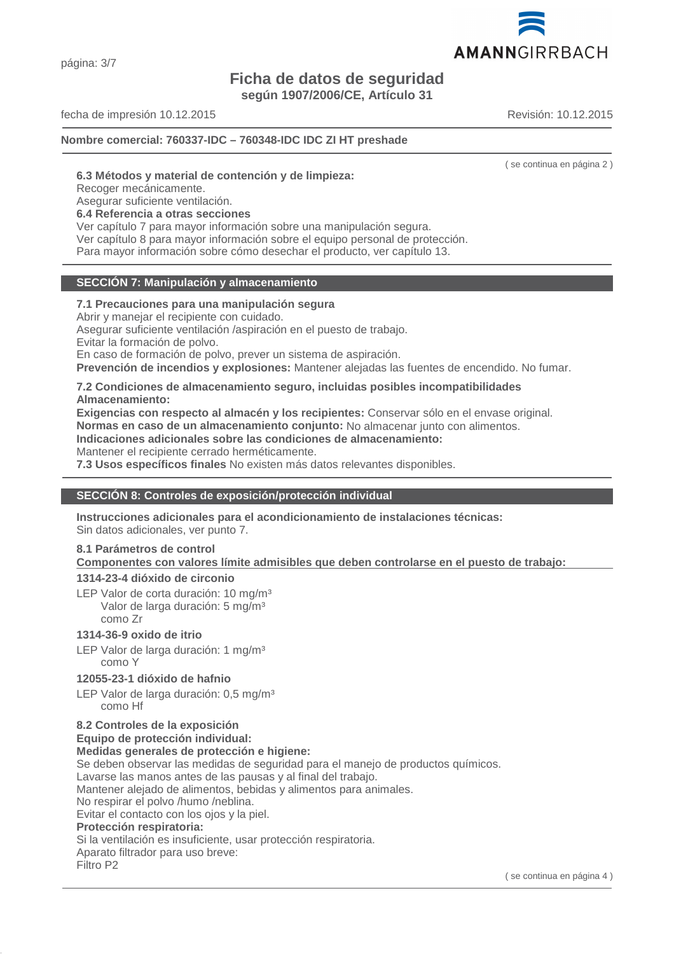página: 3/7

# **Ficha de datos de seguridad**

**según 1907/2006/CE, Artículo 31**

fecha de impresión 10.12.2015 Revisión: 10.12.2015

**Nombre comercial: 760337-IDC – 760348-IDC IDC ZI HT preshade**

( se continua en página 2 )

# **6.3 Métodos y material de contención y de limpieza:**

Recoger mecánicamente.

Asegurar suficiente ventilación.

#### **6.4 Referencia a otras secciones**

Ver capítulo 7 para mayor información sobre una manipulación segura.

Ver capítulo 8 para mayor información sobre el equipo personal de protección.

Para mayor información sobre cómo desechar el producto, ver capítulo 13.

#### **SECCIÓN 7: Manipulación y almacenamiento**

# **7.1 Precauciones para una manipulación segura**

Abrir y manejar el recipiente con cuidado.

Asegurar suficiente ventilación /aspiración en el puesto de trabajo.

Evitar la formación de polvo.

En caso de formación de polvo, prever un sistema de aspiración.

**Prevención de incendios y explosiones:** Mantener alejadas las fuentes de encendido. No fumar.

# **7.2 Condiciones de almacenamiento seguro, incluidas posibles incompatibilidades Almacenamiento:**

**Exigencias con respecto al almacén y los recipientes:** Conservar sólo en el envase original. **Normas en caso de un almacenamiento conjunto:** No almacenar junto con alimentos. **Indicaciones adicionales sobre las condiciones de almacenamiento:**

Mantener el recipiente cerrado herméticamente.

**7.3 Usos específicos finales** No existen más datos relevantes disponibles.

# **SECCIÓN 8: Controles de exposición/protección individual**

**Instrucciones adicionales para el acondicionamiento de instalaciones técnicas:** Sin datos adicionales, ver punto 7.

# **8.1 Parámetros de control**

**Componentes con valores límite admisibles que deben controlarse en el puesto de trabajo:** 

# **1314-23-4 dióxido de circonio**

LEP Valor de corta duración: 10 mg/m<sup>3</sup> Valor de larga duración: 5 mg/m³ como Zr

# **1314-36-9 oxido de itrio**

LEP Valor de larga duración: 1 mg/m<sup>3</sup> como Y

# **12055-23-1 dióxido de hafnio**

LEP Valor de larga duración: 0,5 mg/m<sup>3</sup> como Hf

# **8.2 Controles de la exposición**

**Equipo de protección individual:**

# **Medidas generales de protección e higiene:**

Se deben observar las medidas de seguridad para el manejo de productos químicos.

Lavarse las manos antes de las pausas y al final del trabajo.

Mantener alejado de alimentos, bebidas y alimentos para animales.

No respirar el polvo /humo /neblina.

Evitar el contacto con los ojos y la piel.

# **Protección respiratoria:**

Si la ventilación es insuficiente, usar protección respiratoria.

Aparato filtrador para uso breve:

Filtro P2

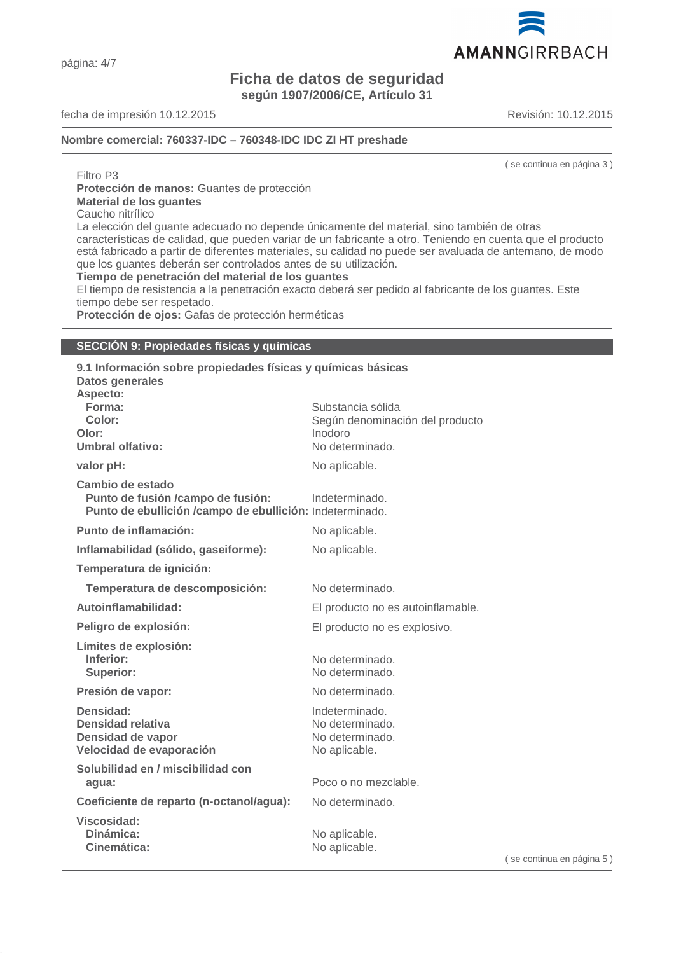página: 4/7

# **Ficha de datos de seguridad según 1907/2006/CE, Artículo 31**

fecha de impresión 10.12.2015 Revisión: 10.12.2015

**Nombre comercial: 760337-IDC – 760348-IDC IDC ZI HT preshade**

( se continua en página 3 )

Filtro P3 **Protección de manos:** Guantes de protección **Material de los guantes** Caucho nitrílico

La elección del guante adecuado no depende únicamente del material, sino también de otras características de calidad, que pueden variar de un fabricante a otro. Teniendo en cuenta que el producto está fabricado a partir de diferentes materiales, su calidad no puede ser avaluada de antemano, de modo que los guantes deberán ser controlados antes de su utilización.

**Tiempo de penetración del material de los guantes**

El tiempo de resistencia a la penetración exacto deberá ser pedido al fabricante de los guantes. Este tiempo debe ser respetado.

**Protección de ojos:** Gafas de protección herméticas

#### **SECCIÓN 9: Propiedades físicas y químicas**

**9.1 Información sobre propiedades físicas y químicas básicas Datos generales Aspecto: Forma:** Substancia sólida Color: Color: Según denominación del producto **Olor:** Inodoro **Umbral olfativo:** No determinado. **valor pH:** No aplicable. **Cambio de estado Punto de fusión /campo de fusión:** Indeterminado. **Punto de ebullición /campo de ebullición:** Indeterminado. **Punto de inflamación:** No aplicable. **Inflamabilidad (sólido, gaseiforme):** No aplicable. **Temperatura de ignición: Temperatura de descomposición:** No determinado. **Autoinflamabilidad:** El producto no es autoinflamable. Peligro de explosión: El producto no es explosivo. **Límites de explosión: Inferior:** No determinado. **Superior:** No determinado. **Presión de vapor:** No determinado. **Densidad:** Indeterminado.<br> **Densidad relativa** in the San Indeterminado.<br>
No determinado. **Densidad relativa Densidad de vapor** No determinado. **Velocidad de evaporación** No aplicable. **Solubilidad en / miscibilidad con agua:** Poco o no mezclable. **Coeficiente de reparto (n-octanol/agua):** No determinado. **Viscosidad: Dinámica:** No aplicable. Cinemática: No aplicable.

( se continua en página 5 )

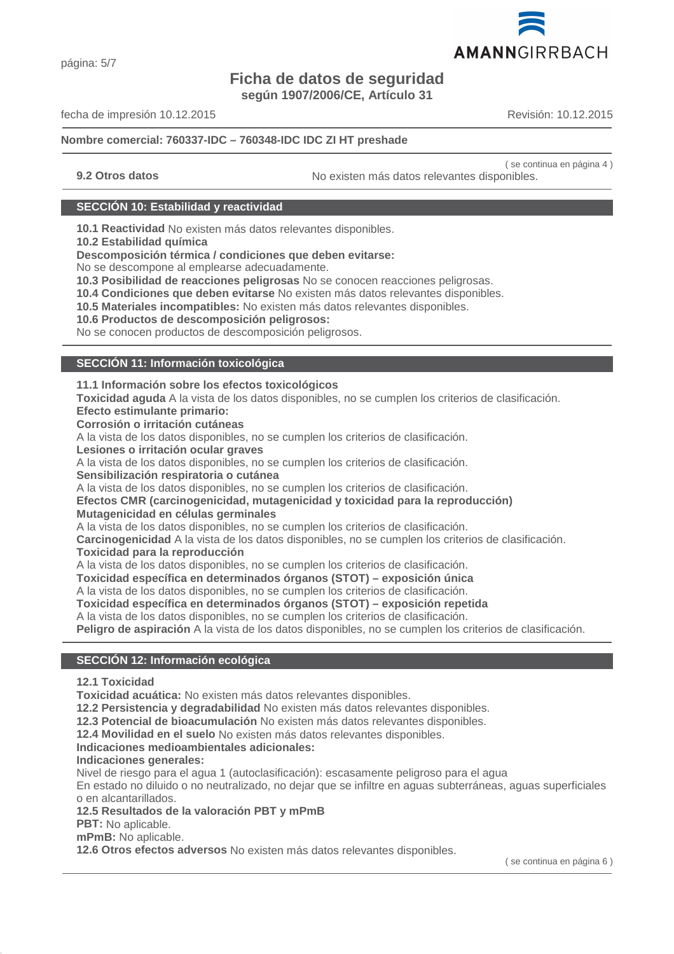# **Ficha de datos de seguridad**

**según 1907/2006/CE, Artículo 31**

fecha de impresión 10.12.2015 Revisión: 10.12.2015

# **Nombre comercial: 760337-IDC – 760348-IDC IDC ZI HT preshade**

( se continua en página 4 ) **9.2 Otros datos** No existen más datos relevantes disponibles.

# **SECCIÓN 10: Estabilidad y reactividad**

**10.1 Reactividad** No existen más datos relevantes disponibles.

**10.2 Estabilidad química**

**Descomposición térmica / condiciones que deben evitarse:**

No se descompone al emplearse adecuadamente.

**10.3 Posibilidad de reacciones peligrosas** No se conocen reacciones peligrosas.

**10.4 Condiciones que deben evitarse** No existen más datos relevantes disponibles.

**10.5 Materiales incompatibles:** No existen más datos relevantes disponibles.

**10.6 Productos de descomposición peligrosos:**

No se conocen productos de descomposición peligrosos.

#### **SECCIÓN 11: Información toxicológica**

#### **11.1 Información sobre los efectos toxicológicos**

**Toxicidad aguda** A la vista de los datos disponibles, no se cumplen los criterios de clasificación.

**Efecto estimulante primario:**

**Corrosión o irritación cutáneas**

A la vista de los datos disponibles, no se cumplen los criterios de clasificación.

**Lesiones o irritación ocular graves**

A la vista de los datos disponibles, no se cumplen los criterios de clasificación.

**Sensibilización respiratoria o cutánea**

A la vista de los datos disponibles, no se cumplen los criterios de clasificación.

#### **Efectos CMR (carcinogenicidad, mutagenicidad y toxicidad para la reproducción) Mutagenicidad en células germinales**

A la vista de los datos disponibles, no se cumplen los criterios de clasificación.

**Carcinogenicidad** A la vista de los datos disponibles, no se cumplen los criterios de clasificación.

**Toxicidad para la reproducción**

A la vista de los datos disponibles, no se cumplen los criterios de clasificación.

**Toxicidad específica en determinados órganos (STOT) – exposición única**

A la vista de los datos disponibles, no se cumplen los criterios de clasificación.

**Toxicidad específica en determinados órganos (STOT) – exposición repetida**

A la vista de los datos disponibles, no se cumplen los criterios de clasificación.

**Peligro de aspiración** A la vista de los datos disponibles, no se cumplen los criterios de clasificación.

# **SECCIÓN 12: Información ecológica**

**12.1 Toxicidad**

**Toxicidad acuática:** No existen más datos relevantes disponibles.

**12.2 Persistencia y degradabilidad** No existen más datos relevantes disponibles.

**12.3 Potencial de bioacumulación** No existen más datos relevantes disponibles.

**12.4 Movilidad en el suelo** No existen más datos relevantes disponibles.

# **Indicaciones medioambientales adicionales:**

# **Indicaciones generales:**

Nivel de riesgo para el agua 1 (autoclasificación): escasamente peligroso para el agua

En estado no diluido o no neutralizado, no dejar que se infiltre en aguas subterráneas, aguas superficiales o en alcantarillados.

**12.5 Resultados de la valoración PBT y mPmB**

**PBT:** No aplicable.

**mPmB:** No aplicable.

**12.6 Otros efectos adversos** No existen más datos relevantes disponibles.

( se continua en página 6 )

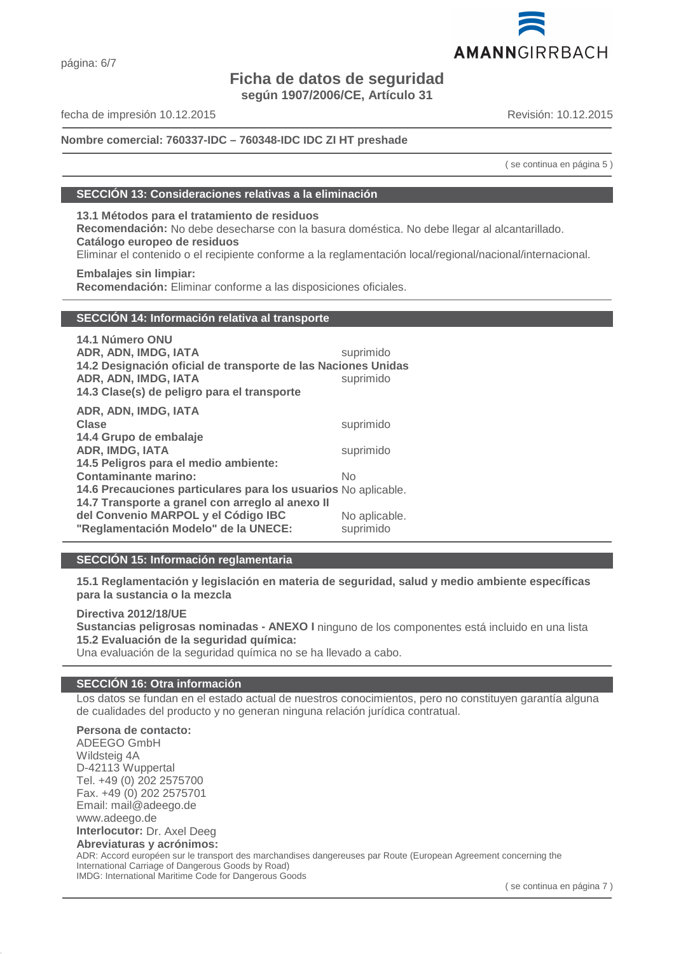# **Ficha de datos de seguridad**

**según 1907/2006/CE, Artículo 31**

fecha de impresión 10.12.2015 Revisión: 10.12.2015

# **Nombre comercial: 760337-IDC – 760348-IDC IDC ZI HT preshade**

( se continua en página 5 )

#### **SECCIÓN 13: Consideraciones relativas a la eliminación**

**13.1 Métodos para el tratamiento de residuos Recomendación:** No debe desecharse con la basura doméstica. No debe llegar al alcantarillado. **Catálogo europeo de residuos** Eliminar el contenido o el recipiente conforme a la reglamentación local/regional/nacional/internacional.

**Embalajes sin limpiar: Recomendación:** Eliminar conforme a las disposiciones oficiales.

# **SECCIÓN 14: Información relativa al transporte**

| 14.1 Número ONU<br>ADR, ADN, IMDG, IATA<br>14.2 Designación oficial de transporte de las Naciones Unidas<br>ADR, ADN, IMDG, IATA<br>14.3 Clase(s) de peligro para el transporte | suprimido<br>suprimido |
|---------------------------------------------------------------------------------------------------------------------------------------------------------------------------------|------------------------|
| ADR, ADN, IMDG, IATA<br><b>Clase</b><br>14.4 Grupo de embalaje                                                                                                                  | suprimido              |
| <b>ADR, IMDG, IATA</b>                                                                                                                                                          | suprimido              |
| 14.5 Peligros para el medio ambiente:                                                                                                                                           |                        |
| <b>Contaminante marino:</b>                                                                                                                                                     | No                     |
| 14.6 Precauciones particulares para los usuarios No aplicable.                                                                                                                  |                        |
| 14.7 Transporte a granel con arreglo al anexo II                                                                                                                                |                        |
| del Convenio MARPOL y el Código IBC                                                                                                                                             | No aplicable.          |
| "Reglamentación Modelo" de la UNECE:                                                                                                                                            | suprimido              |

# **SECCIÓN 15: Información reglamentaria**

**15.1 Reglamentación y legislación en materia de seguridad, salud y medio ambiente específicas para la sustancia o la mezcla**

#### **Directiva 2012/18/UE**

**Sustancias peligrosas nominadas - ANEXO I** ninguno de los componentes está incluido en una lista **15.2 Evaluación de la seguridad química:**

Una evaluación de la seguridad química no se ha llevado a cabo.

#### **SECCIÓN 16: Otra información**

Los datos se fundan en el estado actual de nuestros conocimientos, pero no constituyen garantía alguna de cualidades del producto y no generan ninguna relación jurídica contratual.

# **Persona de contacto:**

ADEEGO GmbH Wildsteig 4A D-42113 Wuppertal Tel. +49 (0) 202 2575700 Fax. +49 (0) 202 2575701 Email: mail@adeego.de www.adeego.de **Interlocutor:** Dr. Axel Deeg **Abreviaturas y acrónimos:** ADR: Accord européen sur le transport des marchandises dangereuses par Route (European Agreement concerning the

International Carriage of Dangerous Goods by Road) IMDG: International Maritime Code for Dangerous Goods

( se continua en página 7 )

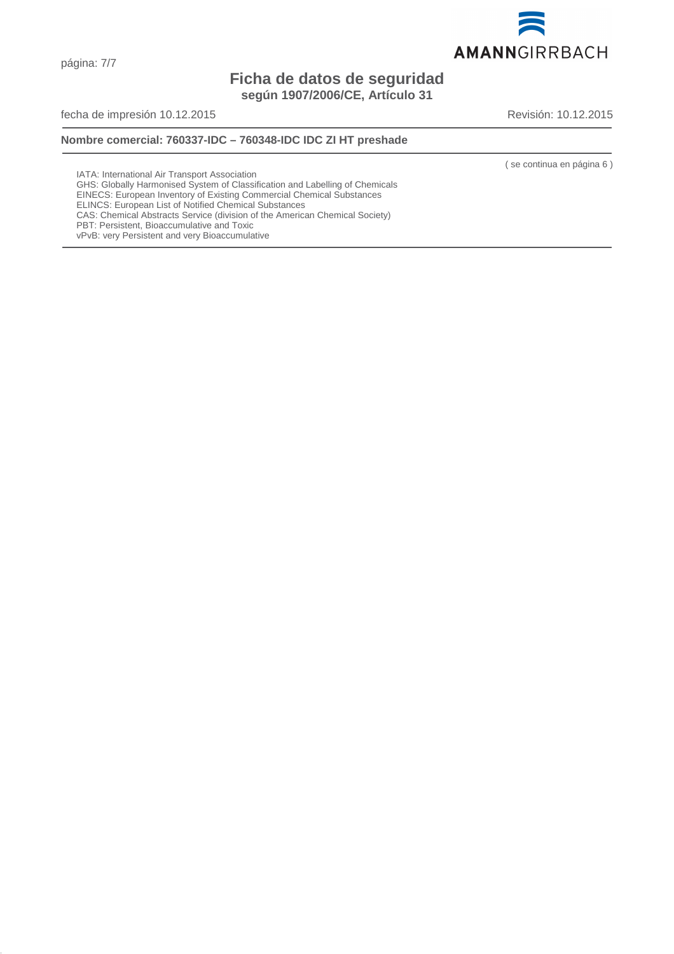AMANNGIRRBACH

# **Ficha de datos de seguridad según 1907/2006/CE, Artículo 31**

fecha de impresión 10.12.2015 **Revisión: 10.12.2015** Revisión: 10.12.2015

# **Nombre comercial: 760337-IDC – 760348-IDC IDC ZI HT preshade**

( se continua en página 6 )

IATA: International Air Transport Association

- GHS: Globally Harmonised System of Classification and Labelling of Chemicals
- EINECS: European Inventory of Existing Commercial Chemical Substances
- ELINCS: European List of Notified Chemical Substances CAS: Chemical Abstracts Service (division of the American Chemical Society)
- PBT: Persistent, Bioaccumulative and Toxic
- vPvB: very Persistent and very Bioaccumulative

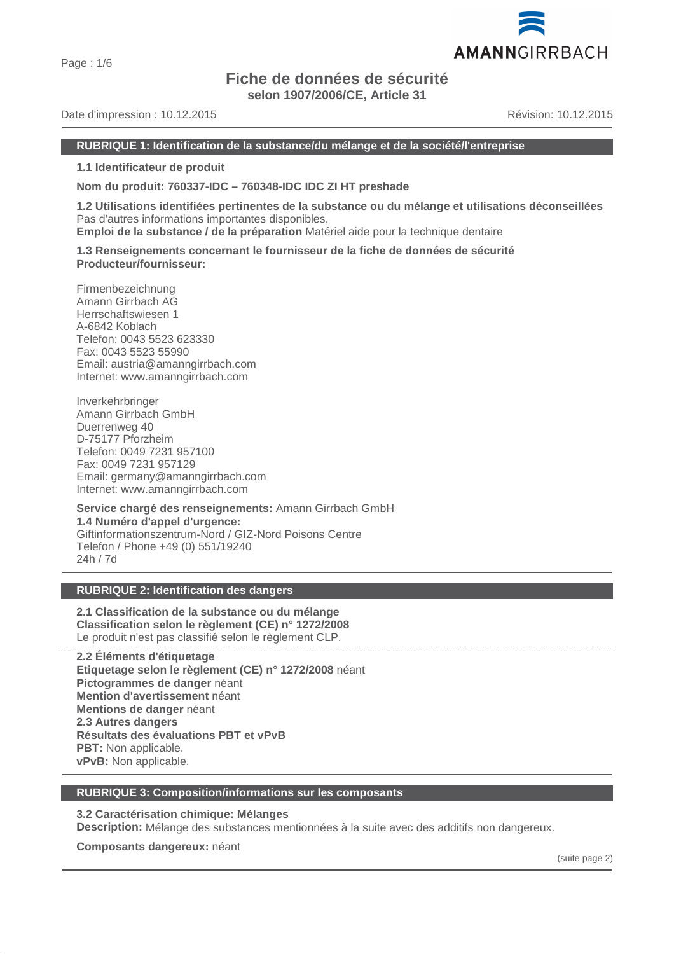# **Fiche de données de sécurité**

**selon 1907/2006/CE, Article 31**

Date d'impression : 10.12.2015 Révision: 10.12.2015

**1.1 Identificateur de produit**

**Nom du produit: 760337-IDC – 760348-IDC IDC ZI HT preshade**

**1.2 Utilisations identifiées pertinentes de la substance ou du mélange et utilisations déconseillées** Pas d'autres informations importantes disponibles.

**Emploi de la substance / de la préparation** Matériel aide pour la technique dentaire

**1.3 Renseignements concernant le fournisseur de la fiche de données de sécurité Producteur/fournisseur:**

Firmenbezeichnung Amann Girrbach AG Herrschaftswiesen 1 A-6842 Koblach Telefon: 0043 5523 623330 Fax: 0043 5523 55990 Email: austria@amanngirrbach.com Internet: www.amanngirrbach.com

Inverkehrbringer Amann Girrbach GmbH Duerrenweg 40 D-75177 Pforzheim Telefon: 0049 7231 957100 Fax: 0049 7231 957129 Email: germany@amanngirrbach.com Internet: www.amanngirrbach.com

**Service chargé des renseignements:** Amann Girrbach GmbH **1.4 Numéro d'appel d'urgence:** Giftinformationszentrum-Nord / GIZ-Nord Poisons Centre Telefon / Phone +49 (0) 551/19240 24h / 7d

# **RUBRIQUE 2: Identification des dangers**

**2.1 Classification de la substance ou du mélange Classification selon le règlement (CE) n° 1272/2008** Le produit n'est pas classifié selon le règlement CLP.

**2.2 Éléments d'étiquetage Etiquetage selon le règlement (CE) n° 1272/2008** néant **Pictogrammes de danger** néant **Mention d'avertissement** néant **Mentions de danger** néant **2.3 Autres dangers Résultats des évaluations PBT et vPvB PBT:** Non applicable. **vPvB:** Non applicable.

# **RUBRIQUE 3: Composition/informations sur les composants**

**3.2 Caractérisation chimique: Mélanges**

**Description:** Mélange des substances mentionnées à la suite avec des additifs non dangereux.

**Composants dangereux:** néant

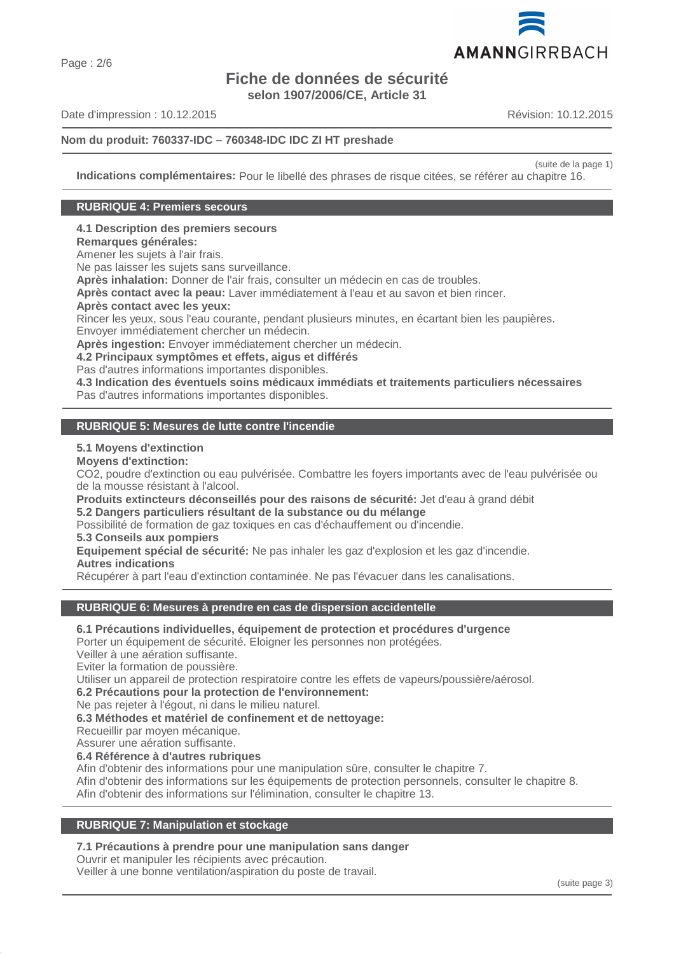# **Fiche de données de sécurité selon 1907/2006/CE, Article 31**

Date d'impression : 10.12.2015 Révision: 10.12.2015

(suite de la page 1)

**Indications complémentaires:** Pour le libellé des phrases de risque citées, se référer au chapitre 16.

#### **RUBRIQUE 4: Premiers secours**

**4.1 Description des premiers secours**

**Remarques générales:**

Amener les sujets à l'air frais.

Ne pas laisser les sujets sans surveillance.

**Après inhalation:** Donner de l'air frais, consulter un médecin en cas de troubles.

**Après contact avec la peau:** Laver immédiatement à l'eau et au savon et bien rincer.

**Après contact avec les yeux:**

Rincer les yeux, sous l'eau courante, pendant plusieurs minutes, en écartant bien les paupières.

Envoyer immédiatement chercher un médecin.

**Après ingestion:** Envoyer immédiatement chercher un médecin.

**4.2 Principaux symptômes et effets, aigus et différés**

Pas d'autres informations importantes disponibles.

**4.3 Indication des éventuels soins médicaux immédiats et traitements particuliers nécessaires** Pas d'autres informations importantes disponibles.

#### **RUBRIQUE 5: Mesures de lutte contre l'incendie**

#### **5.1 Moyens d'extinction**

**Moyens d'extinction:**

CO2, poudre d'extinction ou eau pulvérisée. Combattre les foyers importants avec de l'eau pulvérisée ou de la mousse résistant à l'alcool.

**Produits extincteurs déconseillés pour des raisons de sécurité:** Jet d'eau à grand débit

**5.2 Dangers particuliers résultant de la substance ou du mélange**

Possibilité de formation de gaz toxiques en cas d'échauffement ou d'incendie.

# **5.3 Conseils aux pompiers**

**Equipement spécial de sécurité:** Ne pas inhaler les gaz d'explosion et les gaz d'incendie. **Autres indications**

Récupérer à part l'eau d'extinction contaminée. Ne pas l'évacuer dans les canalisations.

# **RUBRIQUE 6: Mesures à prendre en cas de dispersion accidentelle**

**6.1 Précautions individuelles, équipement de protection et procédures d'urgence**

Porter un équipement de sécurité. Eloigner les personnes non protégées.

Veiller à une aération suffisante.

Eviter la formation de poussière.

Utiliser un appareil de protection respiratoire contre les effets de vapeurs/poussière/aérosol.

**6.2 Précautions pour la protection de l'environnement:**

Ne pas rejeter à l'égout, ni dans le milieu naturel.

**6.3 Méthodes et matériel de confinement et de nettoyage:**

Recueillir par moyen mécanique.

Assurer une aération suffisante.

**6.4 Référence à d'autres rubriques**

Afin d'obtenir des informations pour une manipulation sûre, consulter le chapitre 7.

Afin d'obtenir des informations sur les équipements de protection personnels, consulter le chapitre 8.

Afin d'obtenir des informations sur l'élimination, consulter le chapitre 13.

# **RUBRIQUE 7: Manipulation et stockage**

#### **7.1 Précautions à prendre pour une manipulation sans danger**

Ouvrir et manipuler les récipients avec précaution.

Veiller à une bonne ventilation/aspiration du poste de travail.

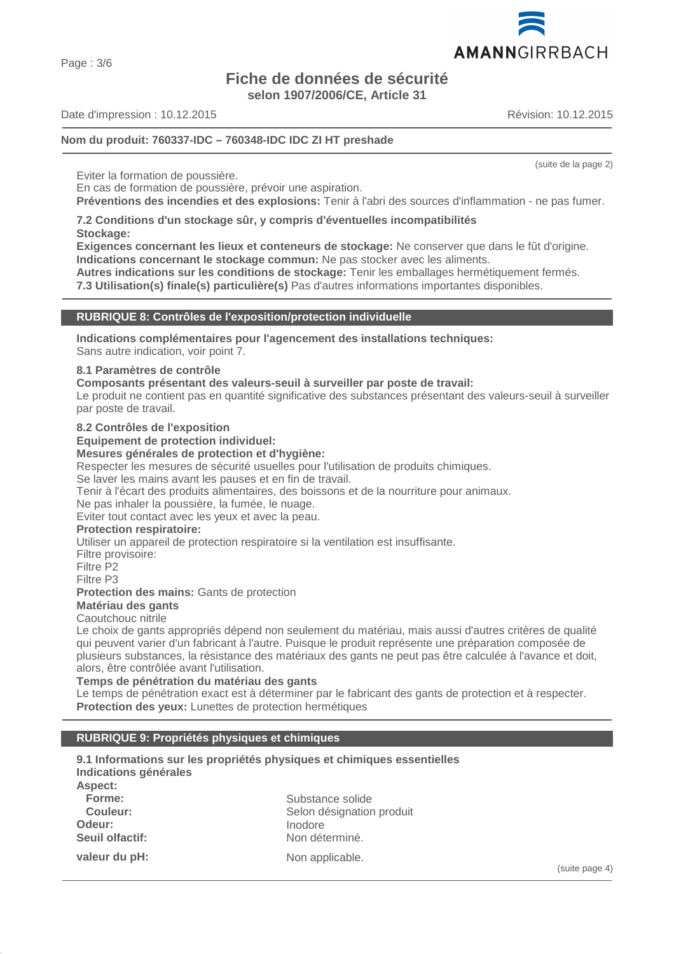Page : 3/6

# **Fiche de données de sécurité**

**selon 1907/2006/CE, Article 31**

Date d'impression : 10.12.2015 Révision: 10.12.2015

# **Nom du produit: 760337-IDC – 760348-IDC IDC ZI HT preshade**

Eviter la formation de poussière.

En cas de formation de poussière, prévoir une aspiration.

**Préventions des incendies et des explosions:** Tenir à l'abri des sources d'inflammation - ne pas fumer.

#### **7.2 Conditions d'un stockage sûr, y compris d'éventuelles incompatibilités Stockage:**

**Exigences concernant les lieux et conteneurs de stockage:** Ne conserver que dans le fût d'origine. **Indications concernant le stockage commun:** Ne pas stocker avec les aliments.

**Autres indications sur les conditions de stockage:** Tenir les emballages hermétiquement fermés.

**7.3 Utilisation(s) finale(s) particulière(s)** Pas d'autres informations importantes disponibles.

# **RUBRIQUE 8: Contrôles de l'exposition/protection individuelle**

**Indications complémentaires pour l'agencement des installations techniques:**

Sans autre indication, voir point 7.

# **8.1 Paramètres de contrôle**

**Composants présentant des valeurs-seuil à surveiller par poste de travail:**

Le produit ne contient pas en quantité significative des substances présentant des valeurs-seuil à surveiller par poste de travail.

#### **8.2 Contrôles de l'exposition**

**Equipement de protection individuel:**

#### **Mesures générales de protection et d'hygiène:**

Respecter les mesures de sécurité usuelles pour l'utilisation de produits chimiques.

Se laver les mains avant les pauses et en fin de travail.

Tenir à l'écart des produits alimentaires, des boissons et de la nourriture pour animaux.

Ne pas inhaler la poussière, la fumée, le nuage.

Eviter tout contact avec les yeux et avec la peau.

#### **Protection respiratoire:**

Utiliser un appareil de protection respiratoire si la ventilation est insuffisante.

Filtre provisoire:

Filtre P2

Filtre P3

**Protection des mains:** Gants de protection

# **Matériau des gants**

Caoutchouc nitrile

Le choix de gants appropriés dépend non seulement du matériau, mais aussi d'autres critères de qualité qui peuvent varier d'un fabricant à l'autre. Puisque le produit représente une préparation composée de plusieurs substances, la résistance des matériaux des gants ne peut pas être calculée à l'avance et doit, alors, être contrôlée avant l'utilisation.

#### **Temps de pénétration du matériau des gants**

Le temps de pénétration exact est à déterminer par le fabricant des gants de protection et à respecter. **Protection des yeux:** Lunettes de protection hermétiques

# **RUBRIQUE 9: Propriétés physiques et chimiques**

| Indications générales | 9.1 Informations sur les propriétés physiques et chimiques essentielles |
|-----------------------|-------------------------------------------------------------------------|
| Aspect:               |                                                                         |
| Forme:                | Substance solide                                                        |
| Couleur:              | Selon désignation produit                                               |
| Odeur:                | Inodore                                                                 |
| Seuil olfactif:       | Non déterminé.                                                          |
| valeur du pH:         | Non applicable.                                                         |



(suite de la page 2)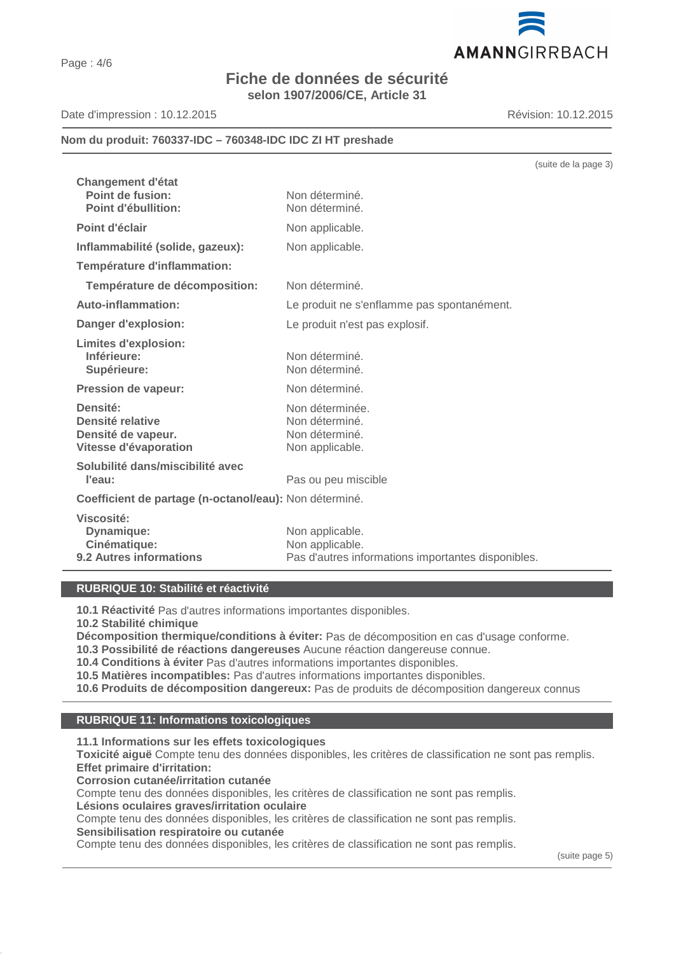# **Fiche de données de sécurité selon 1907/2006/CE, Article 31**

Date d'impression : 10.12.2015 Révision: 10.12.2015

# **Nom du produit: 760337-IDC – 760348-IDC IDC ZI HT preshade**

|                                                                             | (suite de la page 3)                                                                     |
|-----------------------------------------------------------------------------|------------------------------------------------------------------------------------------|
| <b>Changement d'état</b><br>Point de fusion:<br><b>Point d'ébullition:</b>  | Non déterminé.<br>Non déterminé.                                                         |
| Point d'éclair                                                              | Non applicable.                                                                          |
| Inflammabilité (solide, gazeux):                                            | Non applicable.                                                                          |
| Température d'inflammation:                                                 |                                                                                          |
| Température de décomposition:                                               | Non déterminé.                                                                           |
| Auto-inflammation:                                                          | Le produit ne s'enflamme pas spontanément.                                               |
| Danger d'explosion:                                                         | Le produit n'est pas explosif.                                                           |
| <b>Limites d'explosion:</b><br>Inférieure:<br>Supérieure:                   | Non déterminé.<br>Non déterminé.                                                         |
| <b>Pression de vapeur:</b>                                                  | Non déterminé.                                                                           |
| Densité:<br>Densité relative<br>Densité de vapeur.<br>Vitesse d'évaporation | Non déterminée.<br>Non déterminé.<br>Non déterminé.<br>Non applicable.                   |
| Solubilité dans/miscibilité avec<br>l'eau:                                  | Pas ou peu miscible                                                                      |
| Coefficient de partage (n-octanol/eau): Non déterminé.                      |                                                                                          |
| Viscosité:<br>Dynamique:<br>Cinématique:<br>9.2 Autres informations         | Non applicable.<br>Non applicable.<br>Pas d'autres informations importantes disponibles. |

# **RUBRIQUE 10: Stabilité et réactivité**

**10.1 Réactivité** Pas d'autres informations importantes disponibles.

**10.2 Stabilité chimique**

**Décomposition thermique/conditions à éviter:** Pas de décomposition en cas d'usage conforme.

**10.3 Possibilité de réactions dangereuses** Aucune réaction dangereuse connue.

**10.4 Conditions à éviter** Pas d'autres informations importantes disponibles.

**10.5 Matières incompatibles:** Pas d'autres informations importantes disponibles.

**10.6 Produits de décomposition dangereux:** Pas de produits de décomposition dangereux connus

#### **RUBRIQUE 11: Informations toxicologiques**

**11.1 Informations sur les effets toxicologiques**

**Toxicité aiguë** Compte tenu des données disponibles, les critères de classification ne sont pas remplis. **Effet primaire d'irritation:**

**Corrosion cutanée/irritation cutanée**

Compte tenu des données disponibles, les critères de classification ne sont pas remplis.

**Lésions oculaires graves/irritation oculaire**

Compte tenu des données disponibles, les critères de classification ne sont pas remplis.

**Sensibilisation respiratoire ou cutanée**

Compte tenu des données disponibles, les critères de classification ne sont pas remplis.

(suite page 5)

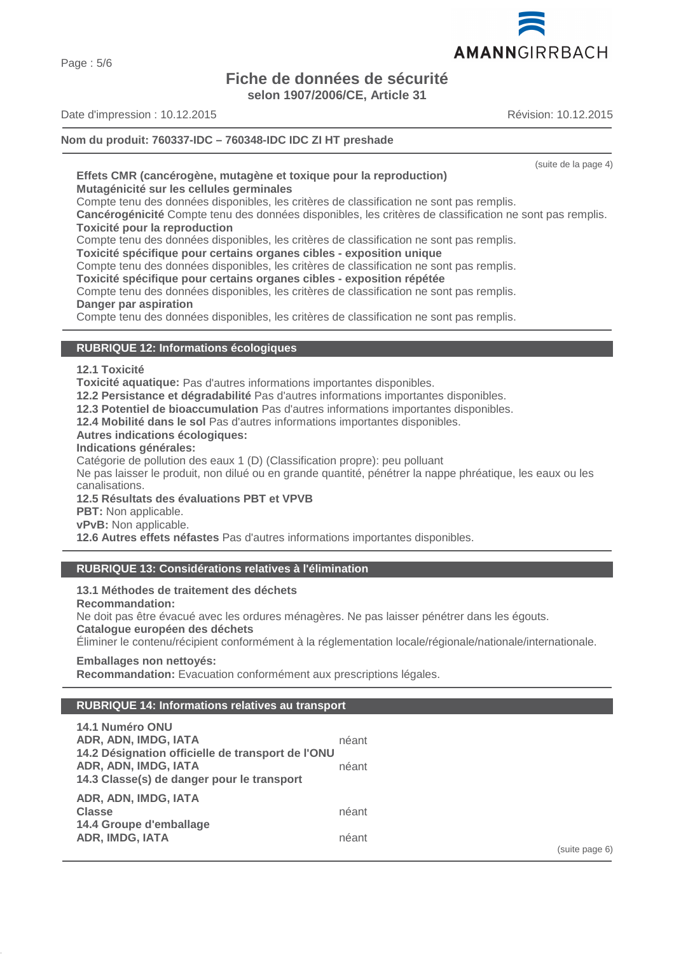Page : 5/6

# **Fiche de données de sécurité**

**selon 1907/2006/CE, Article 31**

AMANNGIRRBACH

Date d'impression : 10.12.2015 Révision: 10.12.2015

**Nom du produit: 760337-IDC – 760348-IDC IDC ZI HT preshade**

(suite de la page 4)

#### **Effets CMR (cancérogène, mutagène et toxique pour la reproduction) Mutagénicité sur les cellules germinales**

Compte tenu des données disponibles, les critères de classification ne sont pas remplis.

**Cancérogénicité** Compte tenu des données disponibles, les critères de classification ne sont pas remplis. **Toxicité pour la reproduction**

Compte tenu des données disponibles, les critères de classification ne sont pas remplis.

**Toxicité spécifique pour certains organes cibles - exposition unique**

Compte tenu des données disponibles, les critères de classification ne sont pas remplis.

# **Toxicité spécifique pour certains organes cibles - exposition répétée**

Compte tenu des données disponibles, les critères de classification ne sont pas remplis. **Danger par aspiration**

Compte tenu des données disponibles, les critères de classification ne sont pas remplis.

# **RUBRIQUE 12: Informations écologiques**

# **12.1 Toxicité**

**Toxicité aquatique:** Pas d'autres informations importantes disponibles.

**12.2 Persistance et dégradabilité** Pas d'autres informations importantes disponibles.

**12.3 Potentiel de bioaccumulation** Pas d'autres informations importantes disponibles.

**12.4 Mobilité dans le sol** Pas d'autres informations importantes disponibles.

# **Autres indications écologiques:**

# **Indications générales:**

Catégorie de pollution des eaux 1 (D) (Classification propre): peu polluant

Ne pas laisser le produit, non dilué ou en grande quantité, pénétrer la nappe phréatique, les eaux ou les canalisations.

# **12.5 Résultats des évaluations PBT et VPVB**

**PBT:** Non applicable.

**vPvB:** Non applicable.

**12.6 Autres effets néfastes** Pas d'autres informations importantes disponibles.

# **RUBRIQUE 13: Considérations relatives à l'élimination**

# **13.1 Méthodes de traitement des déchets**

**Recommandation:**

Ne doit pas être évacué avec les ordures ménagères. Ne pas laisser pénétrer dans les égouts.

# **Catalogue européen des déchets**

Éliminer le contenu/récipient conformément à la réglementation locale/régionale/nationale/internationale.

# **Emballages non nettoyés:**

**Recommandation:** Evacuation conformément aux prescriptions légales.

# **RUBRIQUE 14: Informations relatives au transport**

| 14.1 Numéro ONU                                   |       |
|---------------------------------------------------|-------|
|                                                   |       |
| ADR, ADN, IMDG, IATA                              | néant |
| 14.2 Désignation officielle de transport de l'ONU |       |
| ADR, ADN, IMDG, IATA                              | néant |
| 14.3 Classe(s) de danger pour le transport        |       |
| ADR, ADN, IMDG, IATA                              |       |
| <b>Classe</b>                                     | néant |
| 14.4 Groupe d'emballage                           |       |
| <b>ADR, IMDG, IATA</b>                            | néant |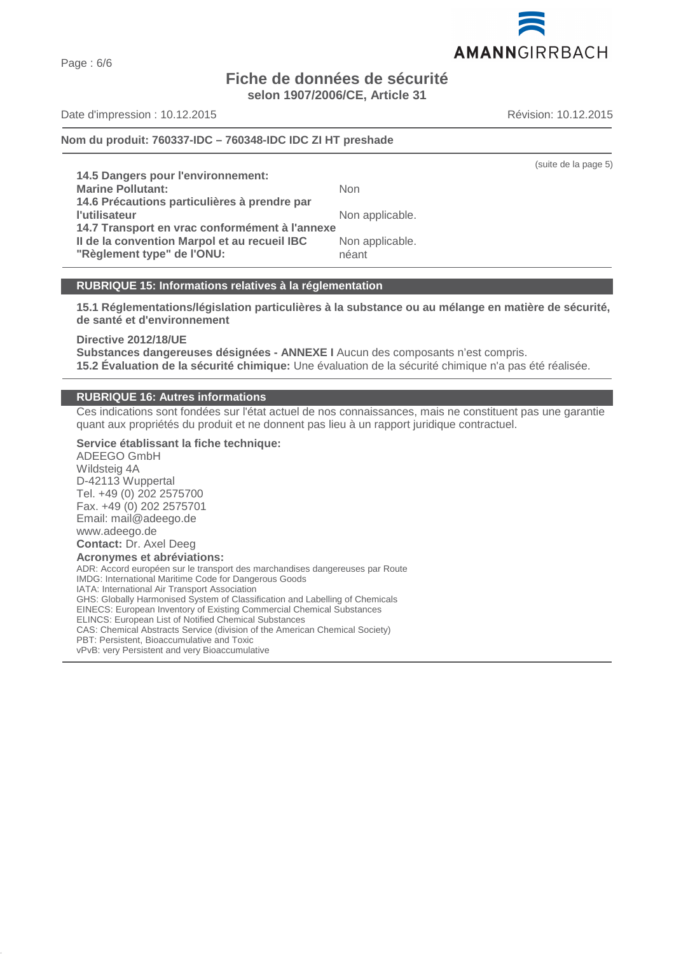Page : 6/6

# **Fiche de données de sécurité selon 1907/2006/CE, Article 31**

Date d'impression : 10.12.2015 Révision: 10.12.2015

# **Nom du produit: 760337-IDC – 760348-IDC IDC ZI HT preshade**

**14.5 Dangers pour l'environnement: Marine Pollutant:** Non **14.6 Précautions particulières à prendre par l'utilisateur** Non applicable. **14.7 Transport en vrac conformément à l'annexe II de la convention Marpol et au recueil IBC** Non applicable. **"Règlement type" de l'ONU:** néant

# **RUBRIQUE 15: Informations relatives à la réglementation**

**15.1 Réglementations/législation particulières à la substance ou au mélange en matière de sécurité, de santé et d'environnement**

**Directive 2012/18/UE**

**Substances dangereuses désignées - ANNEXE I** Aucun des composants n'est compris. **15.2 Évaluation de la sécurité chimique:** Une évaluation de la sécurité chimique n'a pas été réalisée.

# **RUBRIQUE 16: Autres informations**

Ces indications sont fondées sur l'état actuel de nos connaissances, mais ne constituent pas une garantie quant aux propriétés du produit et ne donnent pas lieu à un rapport juridique contractuel.

**Service établissant la fiche technique:** ADEEGO GmbH Wildsteig 4A D-42113 Wuppertal Tel. +49 (0) 202 2575700 Fax. +49 (0) 202 2575701 Email: mail@adeego.de www.adeego.de **Contact:** Dr. Axel Deeg **Acronymes et abréviations:** ADR: Accord européen sur le transport des marchandises dangereuses par Route IMDG: International Maritime Code for Dangerous Goods IATA: International Air Transport Association GHS: Globally Harmonised System of Classification and Labelling of Chemicals EINECS: European Inventory of Existing Commercial Chemical Substances ELINCS: European List of Notified Chemical Substances CAS: Chemical Abstracts Service (division of the American Chemical Society) PBT: Persistent, Bioaccumulative and Toxic vPvB: very Persistent and very Bioaccumulative



(suite de la page 5)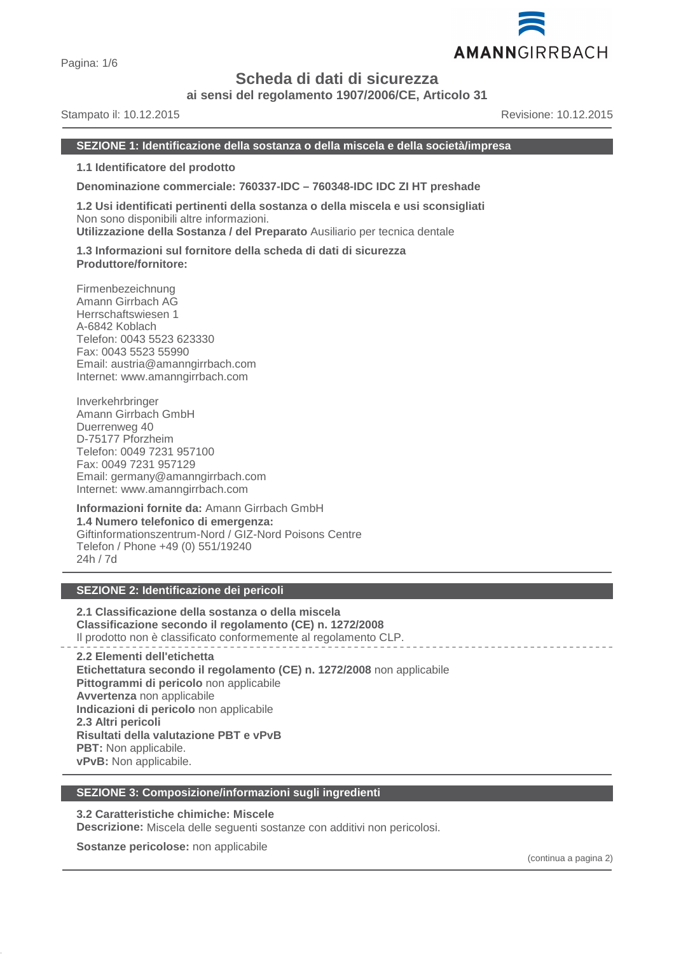

# **Scheda di dati di sicurezza**

**ai sensi del regolamento 1907/2006/CE, Articolo 31**

Stampato il: 10.12.2015 Revisione: 10.12.2015

AMANNGIRRBACH

#### **SEZIONE 1: Identificazione della sostanza o della miscela e della società/impresa**

**1.1 Identificatore del prodotto**

**Denominazione commerciale: 760337-IDC – 760348-IDC IDC ZI HT preshade**

**1.2 Usi identificati pertinenti della sostanza o della miscela e usi sconsigliati** Non sono disponibili altre informazioni.

**Utilizzazione della Sostanza / del Preparato** Ausiliario per tecnica dentale

**1.3 Informazioni sul fornitore della scheda di dati di sicurezza Produttore/fornitore:**

Firmenbezeichnung Amann Girrbach AG Herrschaftswiesen 1 A-6842 Koblach Telefon: 0043 5523 623330 Fax: 0043 5523 55990 Email: austria@amanngirrbach.com Internet: www.amanngirrbach.com

Inverkehrbringer Amann Girrbach GmbH Duerrenweg 40 D-75177 Pforzheim Telefon: 0049 7231 957100 Fax: 0049 7231 957129 Email: germany@amanngirrbach.com Internet: www.amanngirrbach.com

**Informazioni fornite da:** Amann Girrbach GmbH **1.4 Numero telefonico di emergenza:** Giftinformationszentrum-Nord / GIZ-Nord Poisons Centre Telefon / Phone +49 (0) 551/19240 24h / 7d

# **SEZIONE 2: Identificazione dei pericoli**

**2.1 Classificazione della sostanza o della miscela Classificazione secondo il regolamento (CE) n. 1272/2008** Il prodotto non è classificato conformemente al regolamento CLP.

**2.2 Elementi dell'etichetta Etichettatura secondo il regolamento (CE) n. 1272/2008** non applicabile **Pittogrammi di pericolo** non applicabile **Avvertenza** non applicabile **Indicazioni di pericolo** non applicabile **2.3 Altri pericoli Risultati della valutazione PBT e vPvB PBT:** Non applicabile. **vPvB:** Non applicabile.

#### **SEZIONE 3: Composizione/informazioni sugli ingredienti**

**3.2 Caratteristiche chimiche: Miscele**

**Descrizione:** Miscela delle seguenti sostanze con additivi non pericolosi.

**Sostanze pericolose:** non applicabile

(continua a pagina 2)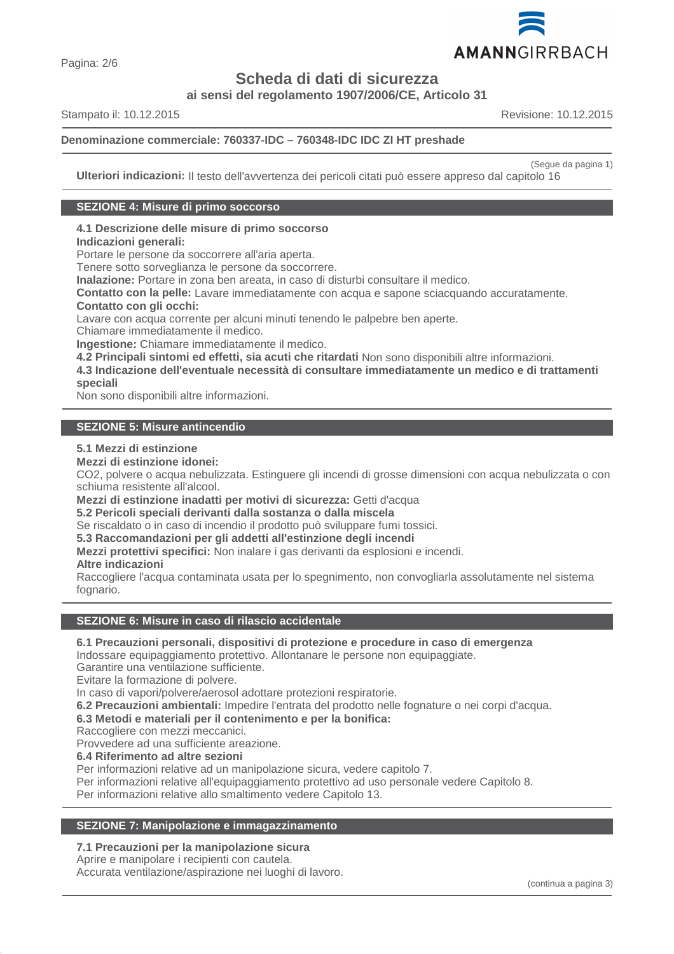

**Scheda di dati di sicurezza**

**ai sensi del regolamento 1907/2006/CE, Articolo 31**

Stampato il: 10.12.2015 Revisione: 10.12.2015

# **Denominazione commerciale: 760337-IDC – 760348-IDC IDC ZI HT preshade**

(Segue da pagina 1)

**Ulteriori indicazioni:** Il testo dell'avvertenza dei pericoli citati può essere appreso dal capitolo 16

#### **SEZIONE 4: Misure di primo soccorso**

# **4.1 Descrizione delle misure di primo soccorso**

# **Indicazioni generali:**

Portare le persone da soccorrere all'aria aperta.

Tenere sotto sorveglianza le persone da soccorrere.

**Inalazione:** Portare in zona ben areata, in caso di disturbi consultare il medico.

**Contatto con la pelle:** Lavare immediatamente con acqua e sapone sciacquando accuratamente.

# **Contatto con gli occhi:**

Lavare con acqua corrente per alcuni minuti tenendo le palpebre ben aperte.

Chiamare immediatamente il medico.

**Ingestione:** Chiamare immediatamente il medico.

**4.2 Principali sintomi ed effetti, sia acuti che ritardati** Non sono disponibili altre informazioni.

**4.3 Indicazione dell'eventuale necessità di consultare immediatamente un medico e di trattamenti speciali**

Non sono disponibili altre informazioni.

# **SEZIONE 5: Misure antincendio**

#### **5.1 Mezzi di estinzione**

**Mezzi di estinzione idonei:**

CO2, polvere o acqua nebulizzata. Estinguere gli incendi di grosse dimensioni con acqua nebulizzata o con schiuma resistente all'alcool.

**Mezzi di estinzione inadatti per motivi di sicurezza:** Getti d'acqua

**5.2 Pericoli speciali derivanti dalla sostanza o dalla miscela**

Se riscaldato o in caso di incendio il prodotto può sviluppare fumi tossici.

**5.3 Raccomandazioni per gli addetti all'estinzione degli incendi**

**Mezzi protettivi specifici:** Non inalare i gas derivanti da esplosioni e incendi.

# **Altre indicazioni**

Raccogliere l'acqua contaminata usata per lo spegnimento, non convogliarla assolutamente nel sistema fognario.

# **SEZIONE 6: Misure in caso di rilascio accidentale**

# **6.1 Precauzioni personali, dispositivi di protezione e procedure in caso di emergenza**

Indossare equipaggiamento protettivo. Allontanare le persone non equipaggiate.

Garantire una ventilazione sufficiente.

Evitare la formazione di polvere.

In caso di vapori/polvere/aerosol adottare protezioni respiratorie.

**6.2 Precauzioni ambientali:** Impedire l'entrata del prodotto nelle fognature o nei corpi d'acqua.

**6.3 Metodi e materiali per il contenimento e per la bonifica:**

Raccogliere con mezzi meccanici.

Provvedere ad una sufficiente areazione.

# **6.4 Riferimento ad altre sezioni**

Per informazioni relative ad un manipolazione sicura, vedere capitolo 7.

Per informazioni relative all'equipaggiamento protettivo ad uso personale vedere Capitolo 8.

Per informazioni relative allo smaltimento vedere Capitolo 13.

# **SEZIONE 7: Manipolazione e immagazzinamento**

# **7.1 Precauzioni per la manipolazione sicura**

Aprire e manipolare i recipienti con cautela. Accurata ventilazione/aspirazione nei luoghi di lavoro.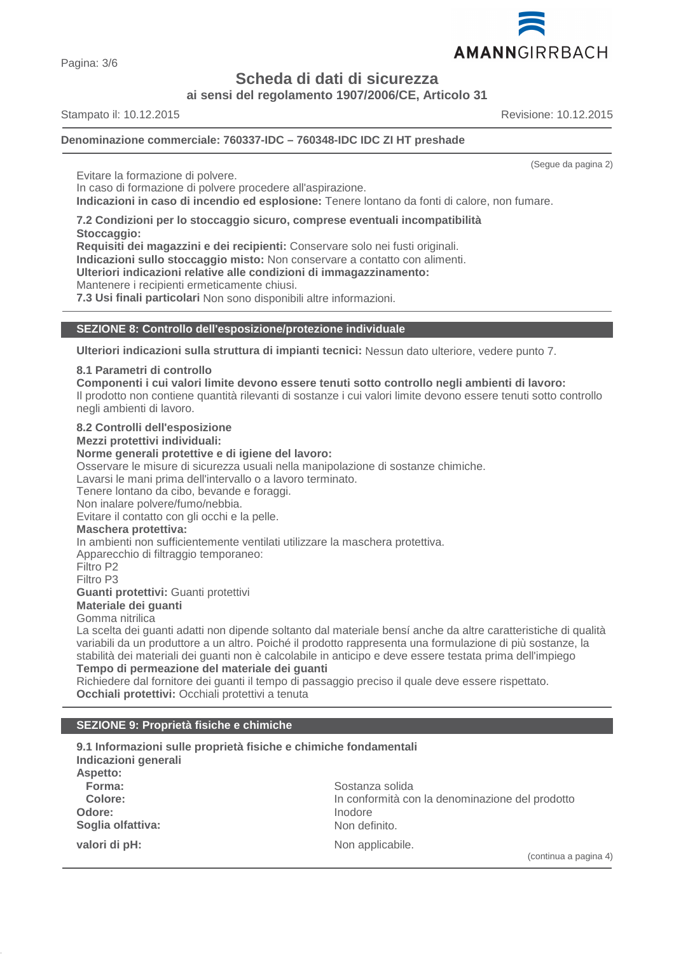AMANNGIRRBACH

(Segue da pagina 2)

Pagina: 3/6

**Scheda di dati di sicurezza**

**ai sensi del regolamento 1907/2006/CE, Articolo 31**

Stampato il: 10.12.2015 Revisione: 10.12.2015

# **Denominazione commerciale: 760337-IDC – 760348-IDC IDC ZI HT preshade**

Evitare la formazione di polvere.

In caso di formazione di polvere procedere all'aspirazione.

**Indicazioni in caso di incendio ed esplosione:** Tenere lontano da fonti di calore, non fumare.

**7.2 Condizioni per lo stoccaggio sicuro, comprese eventuali incompatibilità Stoccaggio:**

**Requisiti dei magazzini e dei recipienti:** Conservare solo nei fusti originali.

**Indicazioni sullo stoccaggio misto:** Non conservare a contatto con alimenti.

**Ulteriori indicazioni relative alle condizioni di immagazzinamento:**

Mantenere i recipienti ermeticamente chiusi.

**7.3 Usi finali particolari** Non sono disponibili altre informazioni.

# **SEZIONE 8: Controllo dell'esposizione/protezione individuale**

**Ulteriori indicazioni sulla struttura di impianti tecnici:** Nessun dato ulteriore, vedere punto 7.

# **8.1 Parametri di controllo**

**Componenti i cui valori limite devono essere tenuti sotto controllo negli ambienti di lavoro:**

Il prodotto non contiene quantità rilevanti di sostanze i cui valori limite devono essere tenuti sotto controllo negli ambienti di lavoro.

# **8.2 Controlli dell'esposizione**

**Mezzi protettivi individuali:**

#### **Norme generali protettive e di igiene del lavoro:**

Osservare le misure di sicurezza usuali nella manipolazione di sostanze chimiche.

Lavarsi le mani prima dell'intervallo o a lavoro terminato.

Tenere lontano da cibo, bevande e foraggi.

Non inalare polvere/fumo/nebbia.

Evitare il contatto con gli occhi e la pelle.

# **Maschera protettiva:**

In ambienti non sufficientemente ventilati utilizzare la maschera protettiva.

Apparecchio di filtraggio temporaneo:

Filtro P2

Filtro P3

**Guanti protettivi:** Guanti protettivi

**Materiale dei guanti**

# Gomma nitrilica

La scelta dei guanti adatti non dipende soltanto dal materiale bensí anche da altre caratteristiche di qualità variabili da un produttore a un altro. Poiché il prodotto rappresenta una formulazione di più sostanze, la stabilità dei materiali dei guanti non è calcolabile in anticipo e deve essere testata prima dell'impiego

# **Tempo di permeazione del materiale dei guanti**

Richiedere dal fornitore dei guanti il tempo di passaggio preciso il quale deve essere rispettato. **Occhiali protettivi:** Occhiali protettivi a tenuta

# **SEZIONE 9: Proprietà fisiche e chimiche**

| Indicazioni generali | 9.1 Informazioni sulle proprietà fisiche e chimiche fondamentali |
|----------------------|------------------------------------------------------------------|
| Aspetto:             |                                                                  |
| Forma:               | Sostanza solida                                                  |
| Colore:              | In conformità con la denominazione del prodotto                  |
| Odore:               | Inodore                                                          |
| Soglia olfattiva:    | Non definito.                                                    |
| valori di pH:        | Non applicabile.                                                 |
|                      | (continua a                                                      |

(a a pagina 4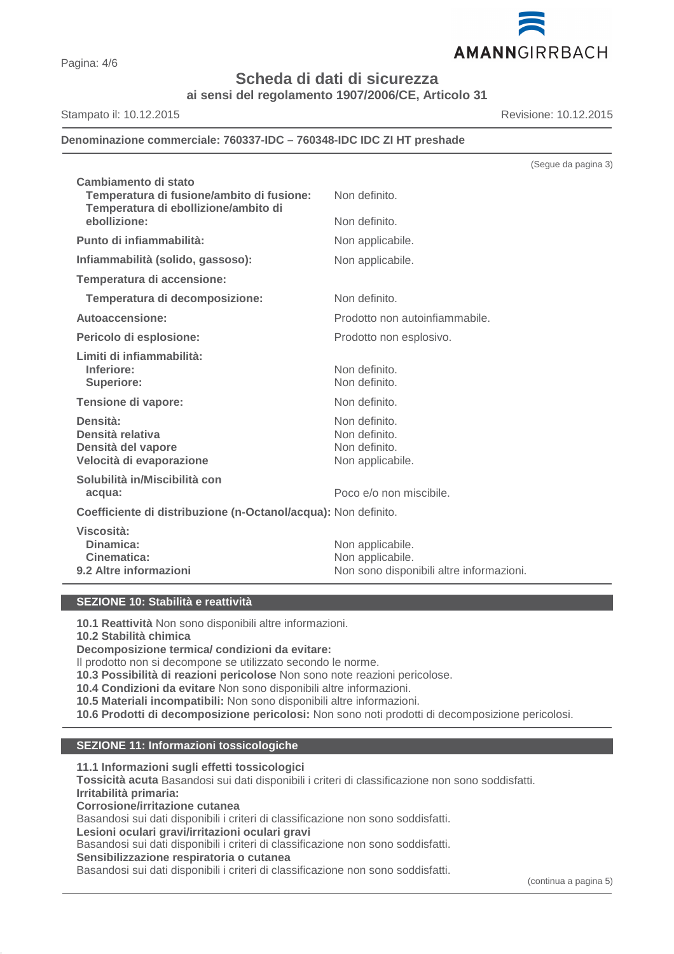

# AMANNGIRRBACH

Pagina: 4/6

**Scheda di dati di sicurezza**

**ai sensi del regolamento 1907/2006/CE, Articolo 31**

# Stampato il: 10.12.2015 Revisione: 10.12.2015

# **Denominazione commerciale: 760337-IDC – 760348-IDC IDC ZI HT preshade**

| Cambiamento di stato<br>Temperatura di fusione/ambito di fusione:<br>Temperatura di ebollizione/ambito di<br>ebollizione: | Non definito.<br>Non definito.                                      |
|---------------------------------------------------------------------------------------------------------------------------|---------------------------------------------------------------------|
| Punto di infiammabilità:                                                                                                  | Non applicabile.                                                    |
| Infiammabilità (solido, gassoso):                                                                                         | Non applicabile.                                                    |
| Temperatura di accensione:                                                                                                |                                                                     |
| Temperatura di decomposizione:                                                                                            | Non definito.                                                       |
| Autoaccensione:                                                                                                           | Prodotto non autoinfiammabile.                                      |
| Pericolo di esplosione:                                                                                                   | Prodotto non esplosivo.                                             |
| Limiti di infiammabilità:<br>Inferiore:<br><b>Superiore:</b>                                                              | Non definito.<br>Non definito.                                      |
| Tensione di vapore:                                                                                                       | Non definito.                                                       |
| Densità:<br>Densità relativa<br>Densità del vapore<br>Velocità di evaporazione                                            | Non definito.<br>Non definito.<br>Non definito.<br>Non applicabile. |
| Solubilità in/Miscibilità con<br>acqua:                                                                                   | Poco e/o non miscibile.                                             |
| Coefficiente di distribuzione (n-Octanol/acqua): Non definito.                                                            |                                                                     |
| Viscosità:<br>Dinamica:<br>Cinematica:                                                                                    | Non applicabile.<br>Non applicabile.                                |

**9.2 Altre informazioni** Non sono disponibili altre informazioni.

# **SEZIONE 10: Stabilità e reattività**

**10.1 Reattività** Non sono disponibili altre informazioni.

**10.2 Stabilità chimica**

# **Decomposizione termica/ condizioni da evitare:**

Il prodotto non si decompone se utilizzato secondo le norme.

**10.3 Possibilità di reazioni pericolose** Non sono note reazioni pericolose.

**10.4 Condizioni da evitare** Non sono disponibili altre informazioni.

**10.5 Materiali incompatibili:** Non sono disponibili altre informazioni.

**10.6 Prodotti di decomposizione pericolosi:** Non sono noti prodotti di decomposizione pericolosi.

# **SEZIONE 11: Informazioni tossicologiche**

**11.1 Informazioni sugli effetti tossicologici**

**Tossicità acuta** Basandosi sui dati disponibili i criteri di classificazione non sono soddisfatti. **Irritabilità primaria:**

**Corrosione/irritazione cutanea**

Basandosi sui dati disponibili i criteri di classificazione non sono soddisfatti.

**Lesioni oculari gravi/irritazioni oculari gravi**

Basandosi sui dati disponibili i criteri di classificazione non sono soddisfatti.

**Sensibilizzazione respiratoria o cutanea**

Basandosi sui dati disponibili i criteri di classificazione non sono soddisfatti.

(Segue da pagina 3)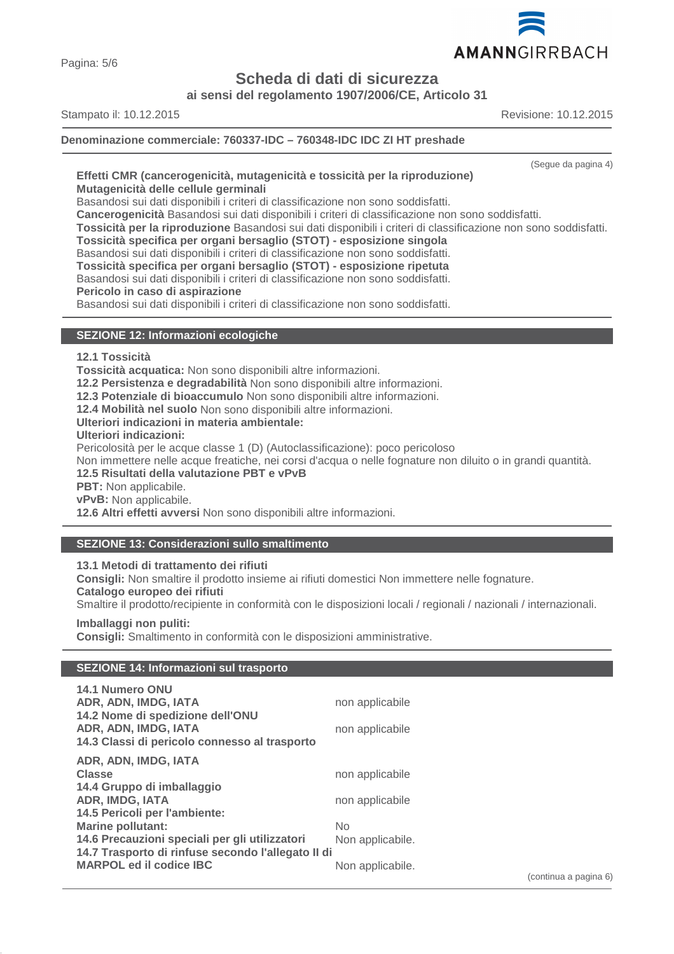

Pagina: 5/6

# **Scheda di dati di sicurezza**

**ai sensi del regolamento 1907/2006/CE, Articolo 31**

Stampato il: 10.12.2015 Revisione: 10.12.2015

**Denominazione commerciale: 760337-IDC – 760348-IDC IDC ZI HT preshade**

(Segue da pagina 4)

#### **Effetti CMR (cancerogenicità, mutagenicità e tossicità per la riproduzione) Mutagenicità delle cellule germinali**

Basandosi sui dati disponibili i criteri di classificazione non sono soddisfatti.

**Cancerogenicità** Basandosi sui dati disponibili i criteri di classificazione non sono soddisfatti.

**Tossicità per la riproduzione** Basandosi sui dati disponibili i criteri di classificazione non sono soddisfatti.

**Tossicità specifica per organi bersaglio (STOT) - esposizione singola**

Basandosi sui dati disponibili i criteri di classificazione non sono soddisfatti.

**Tossicità specifica per organi bersaglio (STOT) - esposizione ripetuta**

Basandosi sui dati disponibili i criteri di classificazione non sono soddisfatti.

**Pericolo in caso di aspirazione**

Basandosi sui dati disponibili i criteri di classificazione non sono soddisfatti.

# **SEZIONE 12: Informazioni ecologiche**

**12.1 Tossicità**

**Tossicità acquatica:** Non sono disponibili altre informazioni.

**12.2 Persistenza e degradabilità** Non sono disponibili altre informazioni.

**12.3 Potenziale di bioaccumulo** Non sono disponibili altre informazioni.

**12.4 Mobilità nel suolo** Non sono disponibili altre informazioni.

**Ulteriori indicazioni in materia ambientale:**

**Ulteriori indicazioni:**

Pericolosità per le acque classe 1 (D) (Autoclassificazione): poco pericoloso

Non immettere nelle acque freatiche, nei corsi d'acqua o nelle fognature non diluito o in grandi quantità.

**12.5 Risultati della valutazione PBT e vPvB**

**PBT:** Non applicabile.

**vPvB:** Non applicabile.

**12.6 Altri effetti avversi** Non sono disponibili altre informazioni.

# **SEZIONE 13: Considerazioni sullo smaltimento**

**13.1 Metodi di trattamento dei rifiuti**

**Consigli:** Non smaltire il prodotto insieme ai rifiuti domestici Non immettere nelle fognature. **Catalogo europeo dei rifiuti**

Smaltire il prodotto/recipiente in conformità con le disposizioni locali / regionali / nazionali / internazionali.

**Imballaggi non puliti:**

**Consigli:** Smaltimento in conformità con le disposizioni amministrative.

# **SEZIONE 14: Informazioni sul trasporto**

| <b>14.1 Numero ONU</b>                             |                  |
|----------------------------------------------------|------------------|
| ADR, ADN, IMDG, IATA                               | non applicabile  |
| 14.2 Nome di spedizione dell'ONU                   |                  |
| ADR, ADN, IMDG, IATA                               | non applicabile  |
| 14.3 Classi di pericolo connesso al trasporto      |                  |
| ADR, ADN, IMDG, IATA                               |                  |
| <b>Classe</b>                                      | non applicabile  |
| 14.4 Gruppo di imballaggio                         |                  |
| <b>ADR, IMDG, IATA</b>                             | non applicabile  |
| 14.5 Pericoli per l'ambiente:                      |                  |
| <b>Marine pollutant:</b>                           | <b>No</b>        |
| 14.6 Precauzioni speciali per gli utilizzatori     | Non applicabile. |
| 14.7 Trasporto di rinfuse secondo l'allegato II di |                  |
| <b>MARPOL ed il codice IBC</b>                     | Non applicabile. |
|                                                    |                  |

(continua a pagina 6)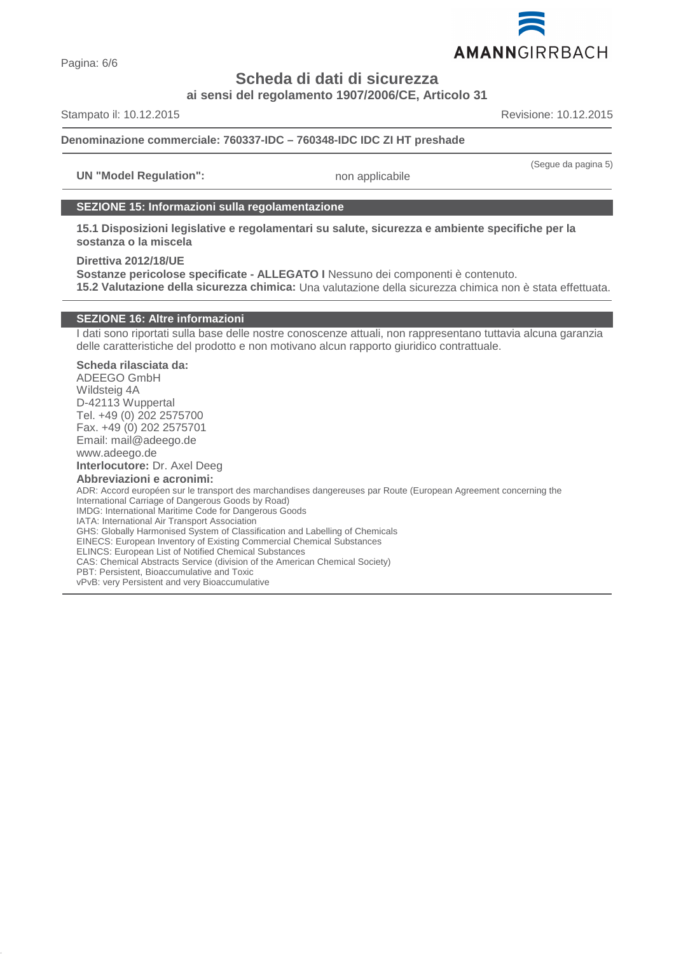

Pagina: 6/6

# **Scheda di dati di sicurezza**

**ai sensi del regolamento 1907/2006/CE, Articolo 31**

Stampato il: 10.12.2015 Revisione: 10.12.2015

(Segue da pagina 5)

# **Denominazione commerciale: 760337-IDC – 760348-IDC IDC ZI HT preshade**

**UN "Model Regulation":** non applicabile

# **SEZIONE 15: Informazioni sulla regolamentazione**

**15.1 Disposizioni legislative e regolamentari su salute, sicurezza e ambiente specifiche per la sostanza o la miscela**

**Direttiva 2012/18/UE**

**Sostanze pericolose specificate - ALLEGATO I** Nessuno dei componenti è contenuto. **15.2 Valutazione della sicurezza chimica:** Una valutazione della sicurezza chimica non è stata effettuata.

# **SEZIONE 16: Altre informazioni**

I dati sono riportati sulla base delle nostre conoscenze attuali, non rappresentano tuttavia alcuna garanzia delle caratteristiche del prodotto e non motivano alcun rapporto giuridico contrattuale.

# **Scheda rilasciata da:**

ADEEGO GmbH Wildsteig 4A D-42113 Wuppertal Tel. +49 (0) 202 2575700 Fax. +49 (0) 202 2575701 Email: mail@adeego.de www.adeego.de

**Interlocutore:** Dr. Axel Deeg

**Abbreviazioni e acronimi:** ADR: Accord européen sur le transport des marchandises dangereuses par Route (European Agreement concerning the International Carriage of Dangerous Goods by Road) IMDG: International Maritime Code for Dangerous Goods IATA: International Air Transport Association GHS: Globally Harmonised System of Classification and Labelling of Chemicals EINECS: European Inventory of Existing Commercial Chemical Substances ELINCS: European List of Notified Chemical Substances CAS: Chemical Abstracts Service (division of the American Chemical Society) PBT: Persistent, Bioaccumulative and Toxic vPvB: very Persistent and very Bioaccumulative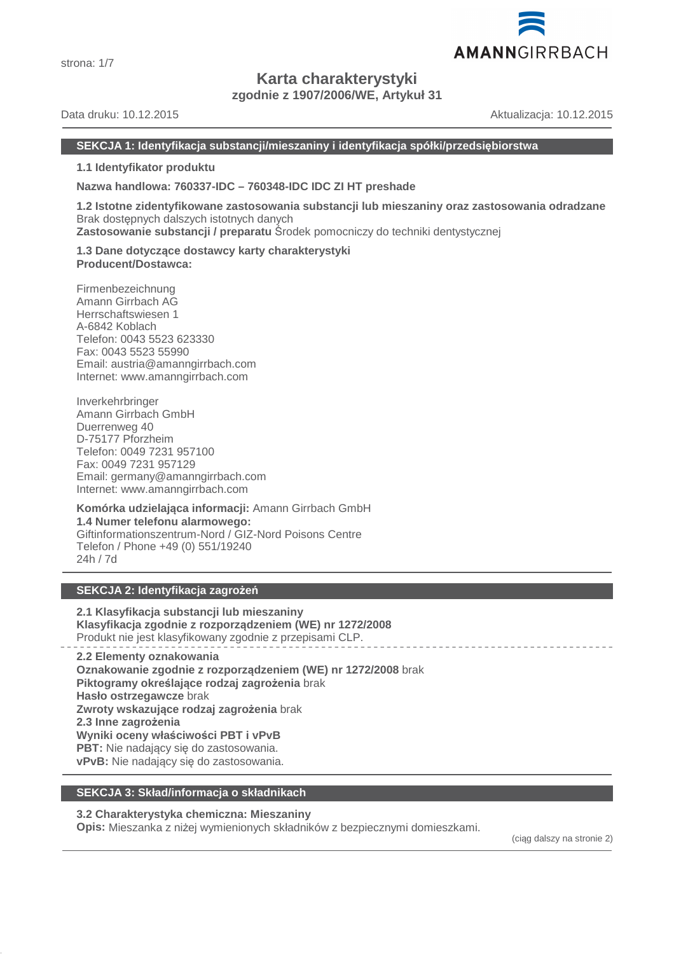

# **Karta charakterystyki**

**zgodnie z 1907/2006/WE, Artykuł 31**

Data druku: 10.12.2015 Aktualizacja: 10.12.2015

# **SEKCJA 1: Identyfikacja substancji/mieszaniny i identyfikacja spółki/przedsiębiorstwa**

**1.1 Identyfikator produktu**

**Nazwa handlowa: 760337-IDC – 760348-IDC IDC ZI HT preshade**

**1.2 Istotne zidentyfikowane zastosowania substancji lub mieszaniny oraz zastosowania odradzane** Brak dostępnych dalszych istotnych danych **Zastosowanie substancji / preparatu** Środek pomocniczy do techniki dentystycznej

**1.3 Dane dotyczące dostawcy karty charakterystyki Producent/Dostawca:**

Firmenbezeichnung Amann Girrbach AG Herrschaftswiesen 1 A-6842 Koblach Telefon: 0043 5523 623330 Fax: 0043 5523 55990 Email: austria@amanngirrbach.com Internet: www.amanngirrbach.com

Inverkehrbringer Amann Girrbach GmbH Duerrenweg 40 D-75177 Pforzheim Telefon: 0049 7231 957100 Fax: 0049 7231 957129 Email: germany@amanngirrbach.com Internet: www.amanngirrbach.com

**Komórka udzielająca informacji:** Amann Girrbach GmbH **1.4 Numer telefonu alarmowego:** Giftinformationszentrum-Nord / GIZ-Nord Poisons Centre Telefon / Phone +49 (0) 551/19240 24h / 7d

# **SEKCJA 2: Identyfikacja zagrożeń**

**2.1 Klasyfikacja substancji lub mieszaniny Klasyfikacja zgodnie z rozporządzeniem (WE) nr 1272/2008** Produkt nie jest klasyfikowany zgodnie z przepisami CLP.

**2.2 Elementy oznakowania Oznakowanie zgodnie z rozporządzeniem (WE) nr 1272/2008** brak **Piktogramy określające rodzaj zagrożenia** brak **Hasło ostrzegawcze** brak **Zwroty wskazujące rodzaj zagrożenia** brak **2.3 Inne zagrożenia Wyniki oceny właściwości PBT i vPvB PBT:** Nie nadający się do zastosowania. **vPvB:** Nie nadający się do zastosowania.

# **SEKCJA 3: Skład/informacja o składnikach**

# **3.2 Charakterystyka chemiczna: Mieszaniny**

**Opis:** Mieszanka z niżej wymienionych składników z bezpiecznymi domieszkami.

(ciąg dalszy na stronie 2)

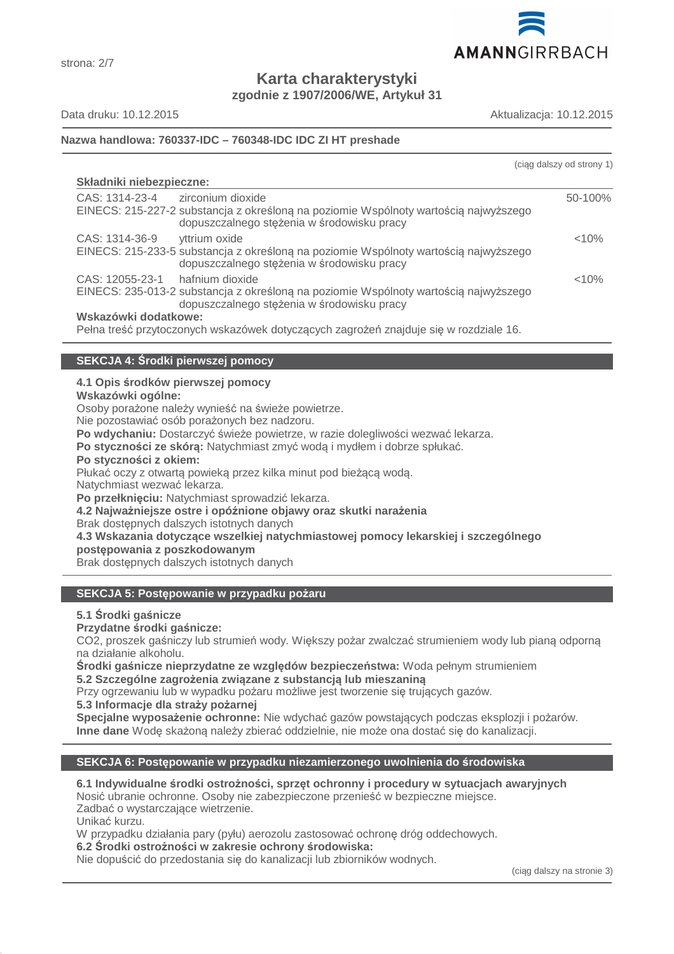

**Karta charakterystyki zgodnie z 1907/2006/WE, Artykuł 31**

Data druku: 10.12.2015 Aktualizacja: 10.12.2015

# **Nazwa handlowa: 760337-IDC – 760348-IDC IDC ZI HT preshade**

| (ciag dalszy od strony 1) |
|---------------------------|
|                           |
| 50-100%                   |
| < 10%                     |
| < 10%                     |
|                           |
|                           |

# **SEKCJA 4: Środki pierwszej pomocy**

# **4.1 Opis środków pierwszej pomocy**

**Wskazówki ogólne:**

Osoby porażone należy wynieść na świeże powietrze.

Nie pozostawiać osób porażonych bez nadzoru.

**Po wdychaniu:** Dostarczyć świeże powietrze, w razie dolegliwości wezwać lekarza.

**Po styczności ze skórą:** Natychmiast zmyć wodą i mydłem i dobrze spłukać.

**Po styczności z okiem:**

Płukać oczy z otwartą powieką przez kilka minut pod bieżącą wodą.

Natychmiast wezwać lekarza.

**Po przełknięciu:** Natychmiast sprowadzić lekarza.

**4.2 Najważniejsze ostre i opóźnione objawy oraz skutki narażenia**

Brak dostępnych dalszych istotnych danych

**4.3 Wskazania dotyczące wszelkiej natychmiastowej pomocy lekarskiej i szczególnego**

**postępowania z poszkodowanym**

Brak dostępnych dalszych istotnych danych

# **SEKCJA 5: Postępowanie w przypadku pożaru**

**5.1 Środki gaśnicze**

# **Przydatne środki gaśnicze:**

CO2, proszek gaśniczy lub strumień wody. Większy pożar zwalczać strumieniem wody lub pianą odporną na działanie alkoholu.

**Środki gaśnicze nieprzydatne ze względów bezpieczeństwa:** Woda pełnym strumieniem **5.2 Szczególne zagrożenia związane z substancją lub mieszaniną**

Przy ogrzewaniu lub w wypadku pożaru możliwe jest tworzenie się trujących gazów.

**5.3 Informacje dla straży pożarnej**

**Specjalne wyposażenie ochronne:** Nie wdychać gazów powstających podczas eksplozji i pożarów. **Inne dane** Wodę skażoną należy zbierać oddzielnie, nie może ona dostać się do kanalizacji.

# **SEKCJA 6: Postępowanie w przypadku niezamierzonego uwolnienia do środowiska**

# **6.1 Indywidualne środki ostrożności, sprzęt ochronny i procedury w sytuacjach awaryjnych**

Nosić ubranie ochronne. Osoby nie zabezpieczone przenieść w bezpieczne miejsce.

Zadbać o wystarczające wietrzenie.

Unikać kurzu.

W przypadku działania pary (pyłu) aerozolu zastosować ochronę dróg oddechowych.

**6.2 Środki ostrożności w zakresie ochrony środowiska:**

Nie dopuścić do przedostania się do kanalizacji lub zbiorników wodnych.

(ciąg dalszy na stronie 3)

# strona: 2/7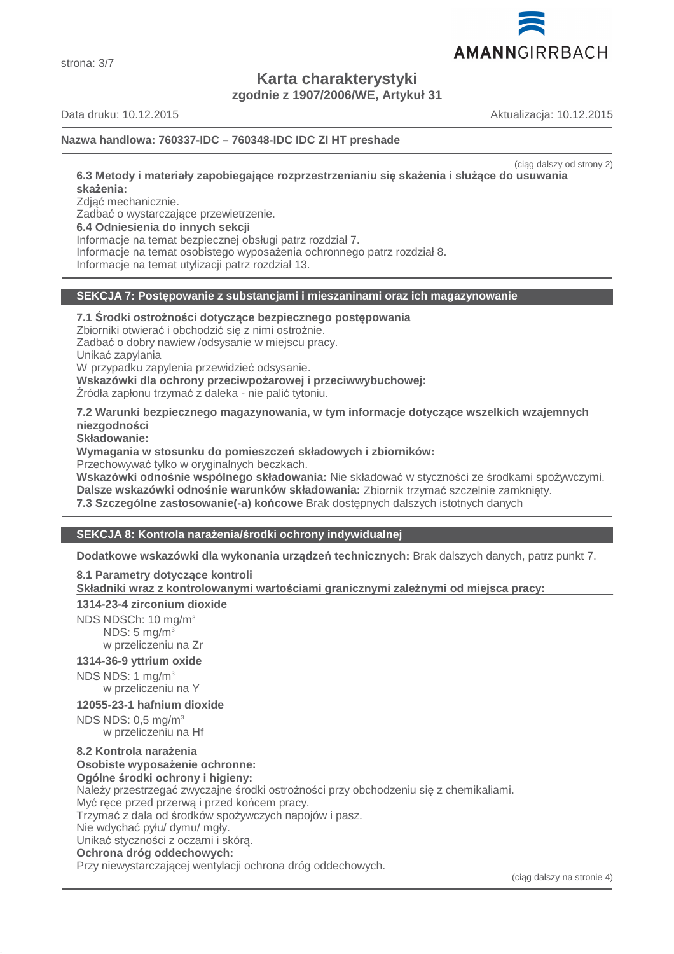

strona: 3/7

**Karta charakterystyki**

**zgodnie z 1907/2006/WE, Artykuł 31**

Data druku: 10.12.2015 Aktualizacja: 10.12.2015

# **Nazwa handlowa: 760337-IDC – 760348-IDC IDC ZI HT preshade**

(ciąg dalszy od strony 2)

**6.3 Metody i materiały zapobiegające rozprzestrzenianiu się skażenia i służące do usuwania skażenia:**

Zdjąć mechanicznie.

Zadbać o wystarczające przewietrzenie.

**6.4 Odniesienia do innych sekcji**

Informacje na temat bezpiecznej obsługi patrz rozdział 7.

Informacje na temat osobistego wyposażenia ochronnego patrz rozdział 8.

Informacje na temat utylizacji patrz rozdział 13.

# **SEKCJA 7: Postępowanie z substancjami i mieszaninami oraz ich magazynowanie**

**7.1 Środki ostrożności dotyczące bezpiecznego postępowania**

Zbiorniki otwierać i obchodzić się z nimi ostrożnie. Zadbać o dobry nawiew /odsysanie w miejscu pracy.

Unikać zapylania

W przypadku zapylenia przewidzieć odsysanie.

**Wskazówki dla ochrony przeciwpożarowej i przeciwwybuchowej:**

Źródła zapłonu trzymać z daleka - nie palić tytoniu.

**7.2 Warunki bezpiecznego magazynowania, w tym informacje dotyczące wszelkich wzajemnych niezgodności**

**Składowanie:**

**Wymagania w stosunku do pomieszczeń składowych i zbiorników:**

Przechowywać tylko w oryginalnych beczkach.

**Wskazówki odnośnie wspólnego składowania:** Nie składować w styczności ze środkami spożywczymi. **Dalsze wskazówki odnośnie warunków składowania:** Zbiornik trzymać szczelnie zamknięty.

**7.3 Szczególne zastosowanie(-a) końcowe** Brak dostępnych dalszych istotnych danych

# **SEKCJA 8: Kontrola narażenia/środki ochrony indywidualnej**

**Dodatkowe wskazówki dla wykonania urządzeń technicznych:** Brak dalszych danych, patrz punkt 7.

**8.1 Parametry dotyczące kontroli**

**Składniki wraz z kontrolowanymi warto ściami granicznymi zale żnymi od miejsca pracy:** 

# **1314-23-4 zirconium dioxide**

NDS NDSCh: 10 mg/m<sup>3</sup> NDS:  $5 \text{ mg/m}^3$ w przeliczeniu na Zr

# **1314-36-9 yttrium oxide**

NDS NDS: 1 mg/m<sup>3</sup> w przeliczeniu na Y

# **12055-23-1 hafnium dioxide**

NDS NDS: 0,5 mg/m<sup>3</sup> w przeliczeniu na Hf

#### **8.2 Kontrola narażenia Osobiste wyposażenie ochronne:**

**Ogólne środki ochrony i higieny:**

Należy przestrzegać zwyczajne środki ostrożności przy obchodzeniu się z chemikaliami. Myć ręce przed przerwą i przed końcem pracy.

Trzymać z dala od środków spożywczych napojów i pasz.

Nie wdychać pyłu/ dymu/ mgły.

Unikać styczności z oczami i skórą.

# **Ochrona dróg oddechowych:**

Przy niewystarczającej wentylacji ochrona dróg oddechowych.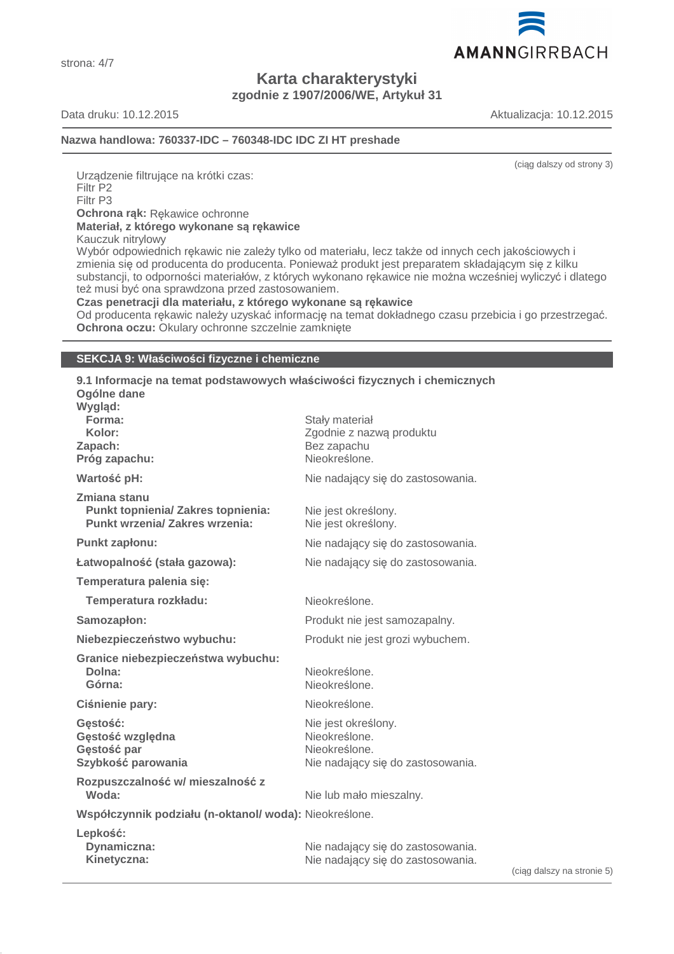strona: 4/7

# **Karta charakterystyki zgodnie z 1907/2006/WE, Artykuł 31**

Data druku: 10.12.2015 Aktualizacja: 10.12.2015

AMANNGIRRBACH

# **Nazwa handlowa: 760337-IDC – 760348-IDC IDC ZI HT preshade**

(ciąg dalszy od strony 3)

Urządzenie filtrujące na krótki czas: Filtr P2 Filtr P3 **Ochrona rąk:** Rękawice ochronne **Materiał, z którego wykonane są rękawice**

Kauczuk nitrylowy

Wybór odpowiednich rękawic nie zależy tylko od materiału, lecz także od innych cech jakościowych i zmienia się od producenta do producenta. Ponieważ produkt jest preparatem składającym się z kilku substancji, to odporności materiałów, z których wykonano rękawice nie można wcześniej wyliczyć i dlatego też musi być ona sprawdzona przed zastosowaniem.

#### **Czas penetracji dla materiału, z którego wykonane są rękawice**

Od producenta rękawic należy uzyskać informację na temat dokładnego czasu przebicia i go przestrzegać. **Ochrona oczu:** Okulary ochronne szczelnie zamknięte

# **SEKCJA 9: Właściwości fizyczne i chemiczne**

# **9.1 Informacje na temat podstawowych właściwości fizycznych i chemicznych Ogólne dane**

| Wygląd:<br>Forma:<br>Kolor:<br>Zapach:                                                             | Stały materiał<br>Zgodnie z nazwą produktu<br>Bez zapachu                                  |
|----------------------------------------------------------------------------------------------------|--------------------------------------------------------------------------------------------|
| Próg zapachu:                                                                                      | Nieokreślone.                                                                              |
| Wartość pH:                                                                                        | Nie nadający się do zastosowania.                                                          |
| Zmiana stanu<br><b>Punkt topnienia/ Zakres topnienia:</b><br><b>Punkt wrzenia/ Zakres wrzenia:</b> | Nie jest określony.<br>Nie jest określony.                                                 |
| Punkt zapłonu:                                                                                     | Nie nadający się do zastosowania.                                                          |
| Łatwopalność (stała gazowa):                                                                       | Nie nadający się do zastosowania.                                                          |
| Temperatura palenia się:                                                                           |                                                                                            |
| Temperatura rozkładu:                                                                              | Nieokreślone.                                                                              |
| Samozapłon:                                                                                        | Produkt nie jest samozapalny.                                                              |
| Niebezpieczeństwo wybuchu:                                                                         | Produkt nie jest grozi wybuchem.                                                           |
| Granice niebezpieczeństwa wybuchu:<br>Dolna:<br>Górna:                                             | Nieokreślone.<br>Nieokreślone.                                                             |
| Ciśnienie pary:                                                                                    | Nieokreślone.                                                                              |
| Gestość:<br>Gęstość względna<br>Gęstość par<br>Szybkość parowania                                  | Nie jest określony.<br>Nieokreślone.<br>Nieokreślone.<br>Nie nadający się do zastosowania. |
| Rozpuszczalność w/ mieszalność z<br>Woda:                                                          | Nie lub mało mieszalny.                                                                    |
| Współczynnik podziału (n-oktanol/woda): Nieokreślone.                                              |                                                                                            |
| Lepkość:<br>Dynamiczna:<br>Kinetyczna:                                                             | Nie nadający się do zastosowania.<br>Nie nadający się do zastosowania.                     |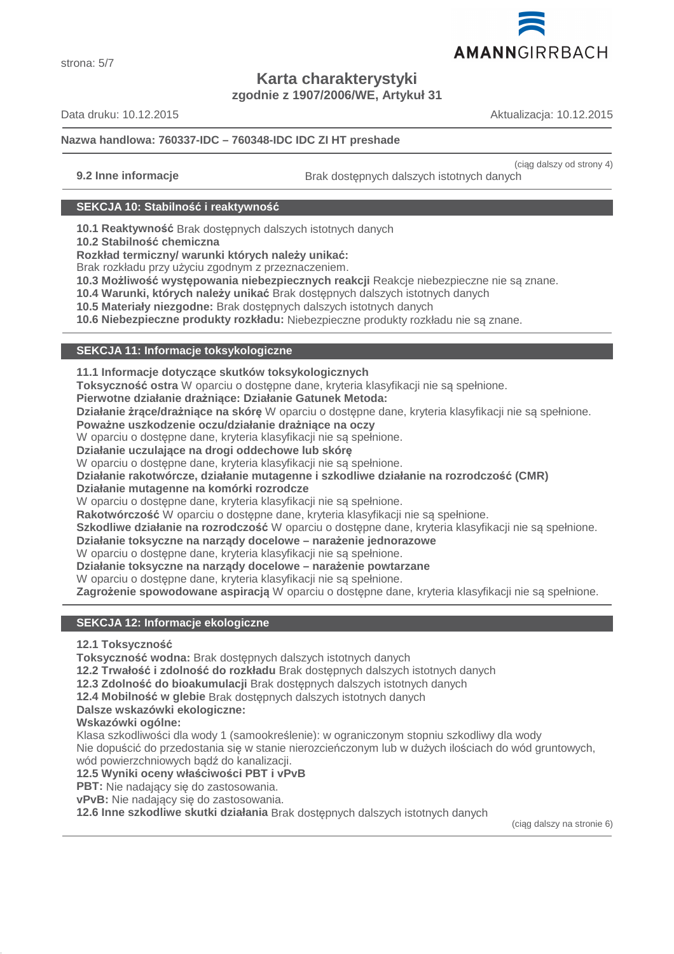

strona: 5/7

# **Karta charakterystyki**

**zgodnie z 1907/2006/WE, Artykuł 31**

Data druku: 10.12.2015 Aktualizacja: 10.12.2015

# **Nazwa handlowa: 760337-IDC – 760348-IDC IDC ZI HT preshade**

(ciąg dalszy od strony 4) **9.2 Inne informacje Brak dostępnych dalszych istotnych danych** 

# **SEKCJA 10: Stabilność i reaktywność**

**10.1 Reaktywność** Brak dostępnych dalszych istotnych danych

**10.2 Stabilność chemiczna**

**Rozkład termiczny/ warunki których należy unikać:**

Brak rozkładu przy użyciu zgodnym z przeznaczeniem.

**10.3 Możliwość występowania niebezpiecznych reakcji** Reakcje niebezpieczne nie są znane.

**10.4 Warunki, których należy unikać** Brak dostępnych dalszych istotnych danych

**10.5 Materiały niezgodne:** Brak dostępnych dalszych istotnych danych

**10.6 Niebezpieczne produkty rozkładu:** Niebezpieczne produkty rozkładu nie są znane.

# **SEKCJA 11: Informacje toksykologiczne**

**11.1 Informacje dotyczące skutków toksykologicznych**

**Toksyczność ostra** W oparciu o dostępne dane, kryteria klasyfikacji nie są spełnione.

**Pierwotne działanie drażniące: Działanie Gatunek Metoda:**

**Działanie żrące/drażniące na skórę** W oparciu o dostępne dane, kryteria klasyfikacji nie są spełnione.

**Poważne uszkodzenie oczu/działanie drażniące na oczy**

W oparciu o dostępne dane, kryteria klasyfikacji nie są spełnione.

**Działanie uczulające na drogi oddechowe lub skórę**

W oparciu o dostępne dane, kryteria klasyfikacji nie są spełnione.

**Działanie rakotwórcze, działanie mutagenne i szkodliwe działanie na rozrodczość (CMR)**

**Działanie mutagenne na komórki rozrodcze**

W oparciu o dostępne dane, kryteria klasyfikacji nie są spełnione.

**Rakotwórczość** W oparciu o dostępne dane, kryteria klasyfikacji nie są spełnione.

**Szkodliwe działanie na rozrodczość** W oparciu o dostępne dane, kryteria klasyfikacji nie są spełnione.

**Działanie toksyczne na narządy docelowe – narażenie jednorazowe**

W oparciu o dostępne dane, kryteria klasyfikacji nie są spełnione.

**Działanie toksyczne na narządy docelowe – narażenie powtarzane**

W oparciu o dostępne dane, kryteria klasyfikacji nie są spełnione.

**Zagrożenie spowodowane aspiracją** W oparciu o dostępne dane, kryteria klasyfikacji nie są spełnione.

# **SEKCJA 12: Informacje ekologiczne**

**12.1 Toksyczność**

**Toksyczność wodna:** Brak dostępnych dalszych istotnych danych

**12.2 Trwałość i zdolność do rozkładu** Brak dostępnych dalszych istotnych danych

**12.3 Zdolność do bioakumulacji** Brak dostępnych dalszych istotnych danych

**12.4 Mobilność w glebie** Brak dostępnych dalszych istotnych danych

**Dalsze wskazówki ekologiczne:**

**Wskazówki ogólne:**

Klasa szkodliwości dla wody 1 (samookreślenie): w ograniczonym stopniu szkodliwy dla wody

Nie dopuścić do przedostania się w stanie nierozcieńczonym lub w dużych ilościach do wód gruntowych, wód powierzchniowych bądź do kanalizacji.

**12.5 Wyniki oceny właściwości PBT i vPvB**

**PBT:** Nie nadający się do zastosowania.

**vPvB:** Nie nadający się do zastosowania.

**12.6 Inne szkodliwe skutki działania** Brak dostępnych dalszych istotnych danych

(ciąg dalszy na stronie 6)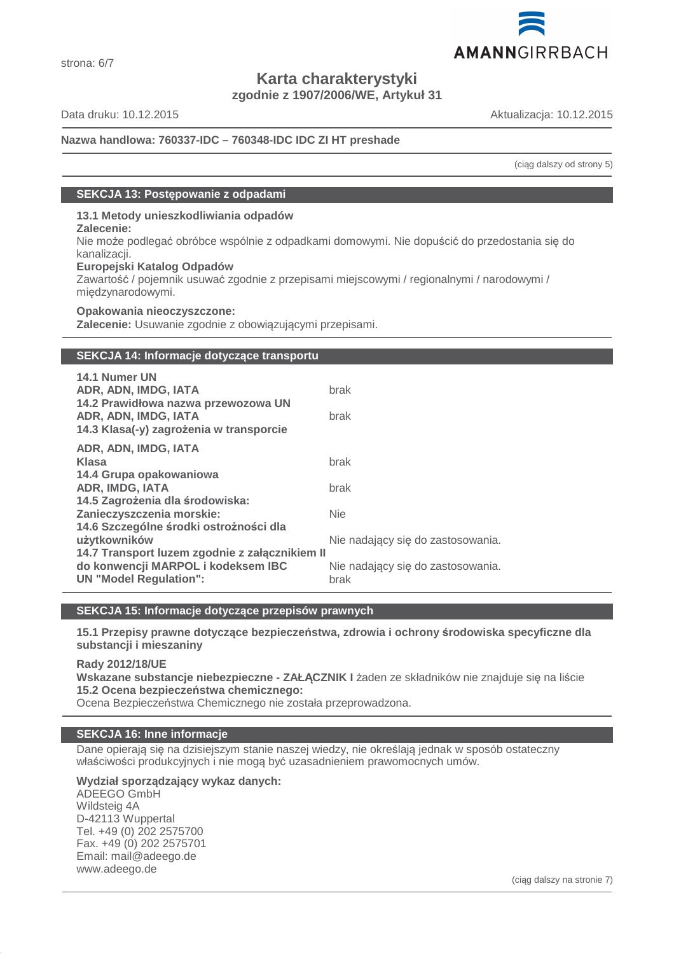

**Karta charakterystyki zgodnie z 1907/2006/WE, Artykuł 31**

strona: 6/7

Data druku: 10.12.2015 Aktualizacja: 10.12.2015

# **Nazwa handlowa: 760337-IDC – 760348-IDC IDC ZI HT preshade**

(ciąg dalszy od strony 5)

# **SEKCJA 13: Postępowanie z odpadami**

# **13.1 Metody unieszkodliwiania odpadów**

#### **Zalecenie:**

Nie może podlegać obróbce wspólnie z odpadkami domowymi. Nie dopuścić do przedostania się do kanalizacji.

#### **Europejski Katalog Odpadów**

Zawartość / pojemnik usuwać zgodnie z przepisami miejscowymi / regionalnymi / narodowymi / międzynarodowymi.

#### **Opakowania nieoczyszczone:**

**Zalecenie:** Usuwanie zgodnie z obowiązującymi przepisami.

# **SEKCJA 14: Informacje dotyczące transportu**

| brak<br>brak                                   |
|------------------------------------------------|
|                                                |
| brak                                           |
|                                                |
| brak                                           |
|                                                |
| <b>Nie</b>                                     |
|                                                |
| Nie nadający się do zastosowania.              |
| 14.7 Transport luzem zgodnie z załącznikiem II |
| Nie nadający się do zastosowania.              |
| brak                                           |
|                                                |

# **SEKCJA 15: Informacje dotyczące przepisów prawnych**

**15.1 Przepisy prawne dotyczące bezpieczeństwa, zdrowia i ochrony środowiska specyficzne dla substancji i mieszaniny**

**Rady 2012/18/UE**

**Wskazane substancje niebezpieczne - ZAŁĄCZNIK I** żaden ze składników nie znajduje się na liście **15.2 Ocena bezpieczeństwa chemicznego:**

Ocena Bezpieczeństwa Chemicznego nie została przeprowadzona.

# **SEKCJA 16: Inne informacje**

Dane opierają się na dzisiejszym stanie naszej wiedzy, nie określają jednak w sposób ostateczny właściwości produkcyjnych i nie mogą być uzasadnieniem prawomocnych umów.

**Wydział sporządzający wykaz danych:**

ADEEGO GmbH Wildsteig 4A D-42113 Wuppertal Tel. +49 (0) 202 2575700 Fax. +49 (0) 202 2575701 Email: mail@adeego.de www.adeego.de

(ciąg dalszy na stronie 7)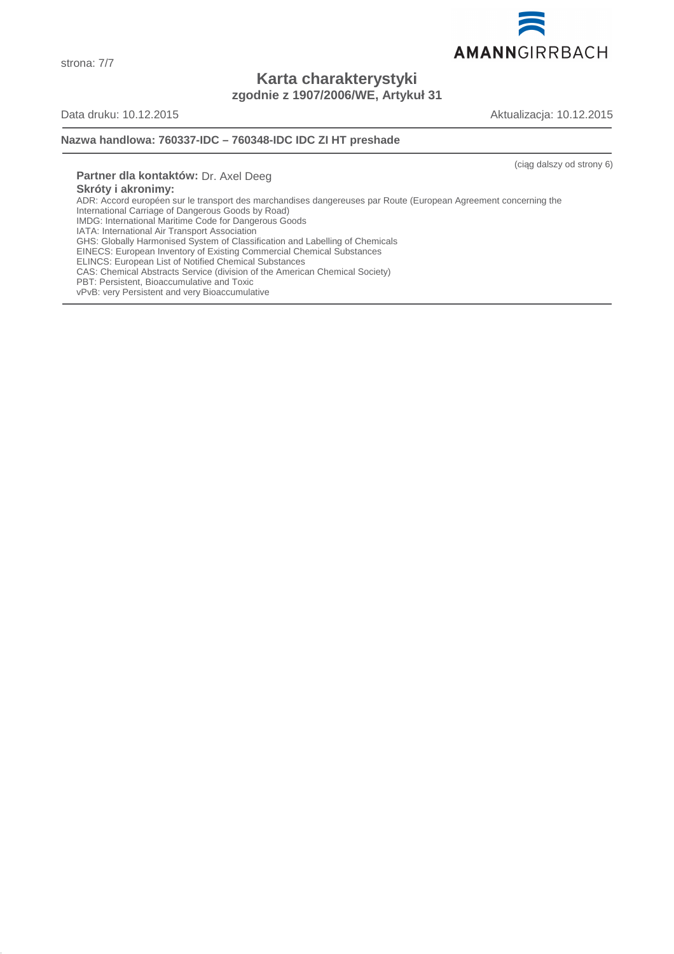

**Karta charakterystyki zgodnie z 1907/2006/WE, Artykuł 31**

strona: 7/7

Data druku: 10.12.2015 Aktualizacja: 10.12.2015

#### **Nazwa handlowa: 760337-IDC – 760348-IDC IDC ZI HT preshade**

(ciąg dalszy od strony 6)

**Partner dla kontaktów:** Dr. Axel Deeg **Skróty i akronimy:** ADR: Accord européen sur le transport des marchandises dangereuses par Route (European Agreement concerning the International Carriage of Dangerous Goods by Road) IMDG: International Maritime Code for Dangerous Goods IATA: International Air Transport Association GHS: Globally Harmonised System of Classification and Labelling of Chemicals EINECS: European Inventory of Existing Commercial Chemical Substances ELINCS: European List of Notified Chemical Substances CAS: Chemical Abstracts Service (division of the American Chemical Society) PBT: Persistent, Bioaccumulative and Toxic vPvB: very Persistent and very Bioaccumulative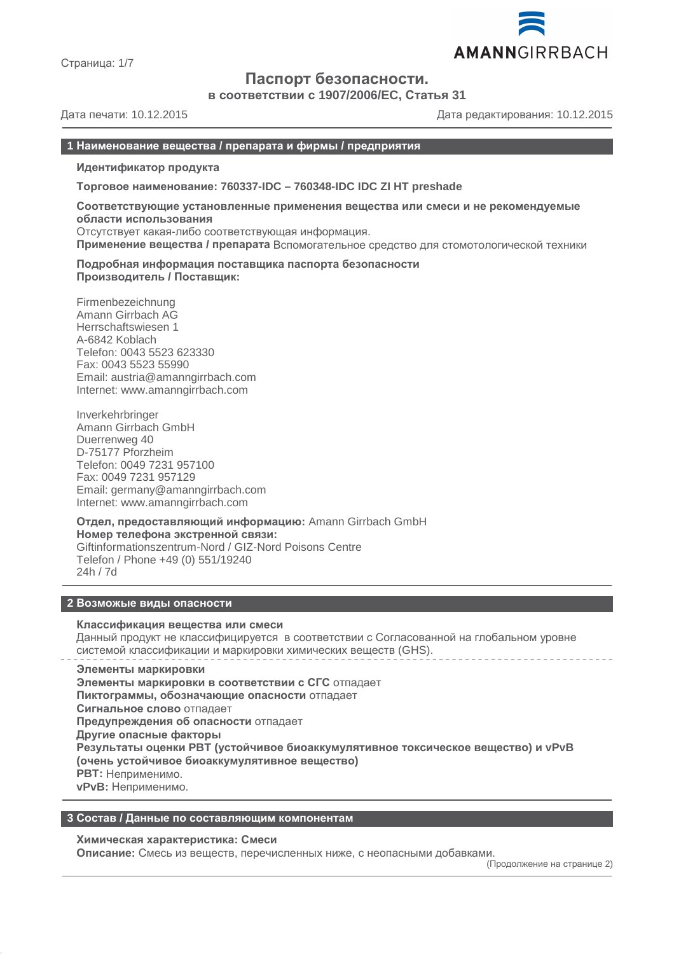

Страница: 1/7

# **Паспорт безопасности.**

**в соответствии с 1907/2006/EC, Статья 31**

Дата печати: 10.12.2015 Дата редактирования: 10.12.2015

#### **1 Наименование вещества / препарата и фирмы / предприятия**

**Идентификатор продукта**

**Торговое наименование: 760337-IDC – 760348-IDC IDC ZI HT preshade**

**Соответствующие установленные применения вещества или смеси и не рекомендуемые области использования** Отсутствует какая-либо соответствующая информация.

**Применение вещества / препарата** Вспомогательное средство для стомотологической техники

**Подробная информация поставщика паспорта безопасности Производитель / Поставщик:**

Firmenbezeichnung Amann Girrbach AG Herrschaftswiesen 1 A-6842 Koblach Telefon: 0043 5523 623330 Fax: 0043 5523 55990 Email: austria@amanngirrbach.com Internet: www.amanngirrbach.com

Inverkehrbringer Amann Girrbach GmbH Duerrenweg 40 D-75177 Pforzheim Telefon: 0049 7231 957100 Fax: 0049 7231 957129 Email: germany@amanngirrbach.com Internet: www.amanngirrbach.com

**Отдел, предоставляющий информацию:** Amann Girrbach GmbH **Номер телефона экстренной связи:** Giftinformationszentrum-Nord / GIZ-Nord Poisons Centre Telefon / Phone +49 (0) 551/19240 24h / 7d

#### **2 Возможые виды опасности**

#### **Классификация вещества или смеси**

Данный продукт не классифицируется в соответствии с Согласованной на глобальном уровне системой классификации и маркировки химических веществ (GHS).

**Элементы маркировки Элементы маркировки в соответствии с СГС** отпадает **Пиктограммы, обозначающие опасности** отпадает **Сигнальное слово** отпадает **Предупреждения об опасности** отпадает **Другие опасные факторы Результаты оценки PBT (устойчивое биоаккумулятивное токсическое вещество) и vPvB (очень устойчивое биоаккумулятивное вещество) PBT:** Неприменимо. **vPvB:** Неприменимо.

**3 Состав / Данные по составляющим компонентам**

**Химическая характеристика: Смеси**

**Описание:** Смесь из веществ, перечисленных ниже, с неопасными добавками.

(Продолжение на странице 2)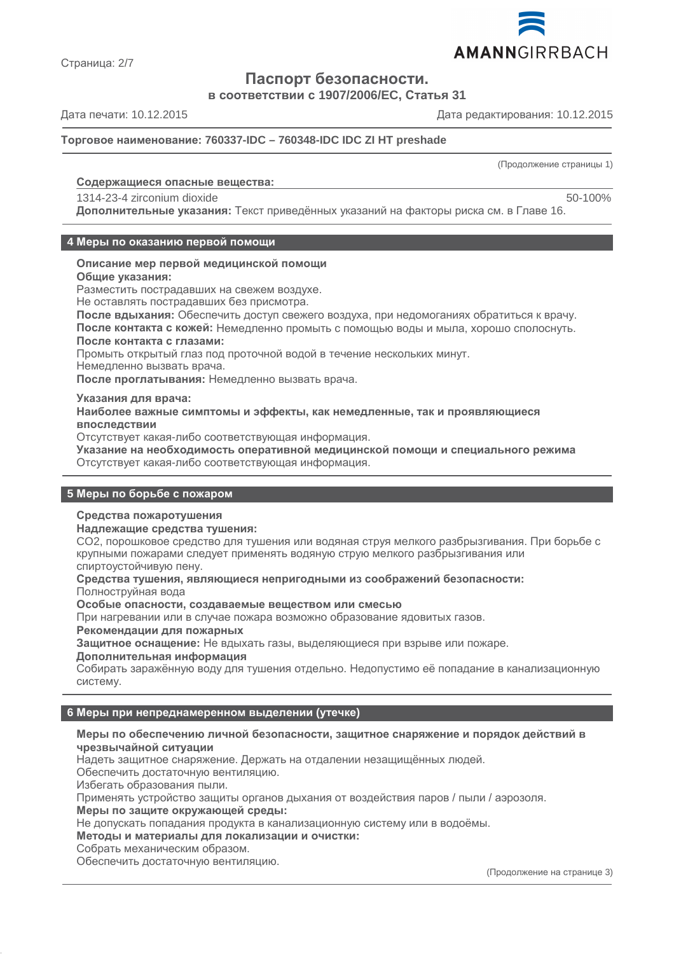

Страница: 2/7

# **Паспорт безопасности.**

**в соответствии с 1907/2006/EC, Статья 31**

Дата печати: 10.12.2015 Дата редактирования: 10.12.2015

**Торговое наименование: 760337-IDC – 760348-IDC IDC ZI HT preshade**

(Продолжение страницы 1)

#### **Содержащиеся опасные вещества :**

# 1314-23-4 zirconium dioxide 50-100%

**Дополнительные указания:** Текст приведённых указаний на факторы риска см. в Главе 16.

#### **4 Меры по оказанию первой помощи**

#### **Описание мер первой медицинской помощи**

**Общие указания:**

Разместить пострадавших на свежем воздухе.

Не оставлять пострадавших без присмотра.

**После вдыхания:** Обеспечить доступ свежего воздуха, при недомоганиях обратиться к врачу. **После контакта с кожей:** Немедленно промыть с помощью воды и мыла, хорошо сполоснуть.

#### **После контакта с глазами:**

Промыть открытый глаз под проточной водой в течение нескольких минут.

Немедленно вызвать врача.

**После проглатывания:** Немедленно вызвать врача.

#### **Указания для врача:**

**Наиболее важные симптомы и эффекты, как немедленные, так и проявляющиеся впоследствии**

Отсутствует какая-либо соответствующая информация.

**Указание на необходимость оперативной медицинской помощи и специального режима** Отсутствует какая-либо соответствующая информация.

# **5 Меры по борьбе с пожаром**

# **Средства пожаротушения**

#### **Надлежащие средства тушения:**

CO2, порошковое средство для тушения или водяная струя мелкого разбрызгивания. При борьбе с крупными пожарами следует применять водяную струю мелкого разбрызгивания или спиртоустойчивую пену.

**Средства тушения, являющиеся непригодными из соображений безопасности:**

Полноструйная вода

**Особые опасности, создаваемые веществом или смесью**

При нагревании или в случае пожара возможно образование ядовитых газов.

#### **Рекомендации для пожарных**

**Защитное оснащение:** Не вдыхать газы, выделяющиеся при взрыве или пожаре.

#### **Дополнительная информация**

Собирать заражённую воду для тушения отдельно. Недопустимо её попадание в канализационную систему.

# **6 Меры при непреднамеренном выделении (утечке)**

#### **Меры по обеспечению личной безопасности, защитное снаряжение и порядок действий в чрезвычайной ситуации**

Надеть защитное снаряжение. Держать на отдалении незащищённых людей.

Обеспечить достаточную вентиляцию.

Избегать образования пыли.

Применять устройство защиты органов дыхания от воздействия паров / пыли / аэрозоля.

**Меры по защите окружающей среды:**

Не допускать попадания продукта в канализационную систему или в водоёмы.

**Методы и материалы для локализации и очистки:**

Собрать механическим образом.

Обеспечить достаточную вентиляцию.

(Продолжение на странице 3)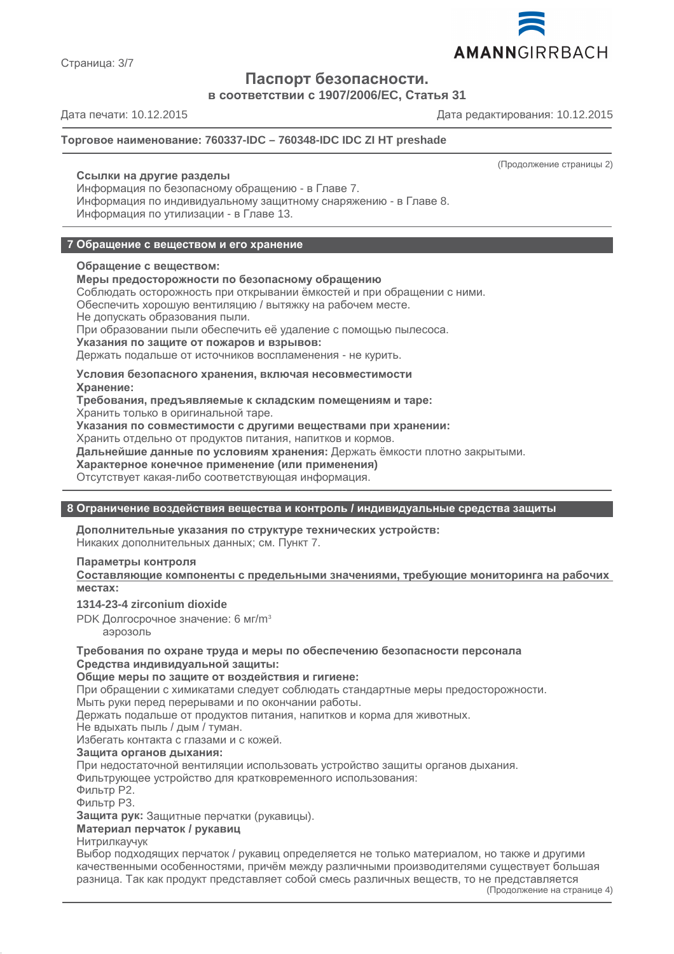

**Паспорт безопасности.**

**в соответствии с 1907/2006/EC, Статья 31**

Дата печати: 10.12.2015 Дата редактирования: 10.12.2015

# **Торговое наименование: 760337-IDC – 760348-IDC IDC ZI HT preshade**

# **Ссылки на другие разделы**

Информация по безопасному обращению - в Главе 7. Информация по индивидуальному защитному снаряжению - в Главе 8. Информация по утилизации - в Главе 13.

# **7 Обращение с веществом и его хранение**

#### **Обращение с веществом:**

# **Меры предосторожности по безопасному обращению**

Соблюдать осторожность при открывании ёмкостей и при обращении с ними.

Обеспечить хорошую вентиляцию / вытяжку на рабочем месте.

Не допускать образования пыли.

При образовании пыли обеспечить её удаление с помощью пылесоса.

**Указания по защите от пожаров и взрывов:**

Держать подальше от источников воспламенения - не курить.

**Условия безопасного хранения, включая несовместимости**

**Хранение:**

**Требования, предъявляемые к складским помещениям и таре:**

Хранить только в оригинальной таре.

**Указания по совместимости с другими веществами при хранении:**

Хранить отдельно от продуктов питания, напитков и кормов.

**Дальнейшие данные по условиям хранения:** Держать ёмкости плотно закрытыми.

**Характерное конечное применение (или применения)**

Отсутствует какая-либо соответствующая информация.

# **8 Ограничение воздействия вещества и контроль / индивидуальные средства защиты**

**Дополнительные указания по структуре технических устройств:** Никаких дополнительных данных; см. Пункт 7.

# **Параметры контроля**

**Составляющие компоненты с предельными значениями, требующие мониторинга на рабочих местах:**

**1314-23-4 zirconium dioxide**

PDK Долгосрочное значение: 6 мг/m<sup>3</sup>

аэрозоль

**Требования по охране труда и меры по обеспечению безопасности персонала Средства индивидуальной защиты:**

# **Общие меры по защите от воздействия и гигиене:**

При обращении с химикатами следует соблюдать стандартные меры предосторожности. Мыть руки перед перерывами и по окончании работы.

Держать подальше от продуктов питания, напитков и корма для животных.

Не вдыхать пыль / дым / туман.

Избегать контакта с глазами и с кожей.

# **Защита органов дыхания:**

При недостаточной вентиляции использовать устройство защиты органов дыхания. Фильтрующее устройство для кратковременного использования:

Фильтр P2.

Фильтр P3.

**Защита рук:** Защитные перчатки (рукавицы).

**Материал перчаток / рукавиц**

Нитрилкаучук

Выбор подходящих перчаток / рукавиц определяется не только материалом, но также и другими качественными особенностями, причём между различными производителями существует большая разница. Так как продукт представляет собой смесь различных веществ, то не представляется

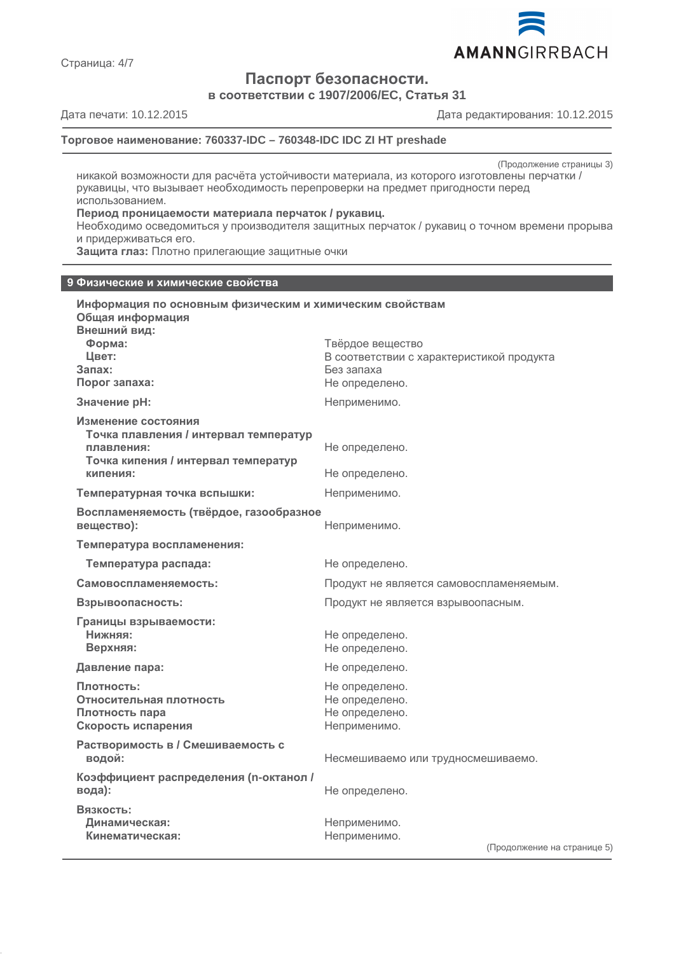

**Паспорт безопасности.**

**в соответствии с 1907/2006/EC, Статья 31**

Страница: 4/7

Дата печати: 10.12.2015 Дата редактирования: 10.12.2015

# **Торговое наименование: 760337-IDC – 760348-IDC IDC ZI HT preshade**

(Продолжение страницы 3)

никакой возможности для расчёта устойчивости материала, из которого изготовлены перчатки / рукавицы, что вызывает необходимость перепроверки на предмет пригодности перед использованием.

#### **Период проницаемости материала перчаток / рукавиц.**

Необходимо осведомиться у производителя защитных перчаток / рукавиц о точном времени прорыва и придерживаться его.

**Защита глаз:** Плотно прилегающие защитные очки

#### **9 Физические и химические свойства**

| Информация по основным физическим и химическим свойствам<br>Общая информация<br>Внешний вид:<br>Форма:<br>Цвет:<br>$3a$ nax:<br>Порог запаха: | Твёрдое вещество<br>В соответствии с характеристикой продукта<br>Без запаха<br>Не определено. |
|-----------------------------------------------------------------------------------------------------------------------------------------------|-----------------------------------------------------------------------------------------------|
| Значение рН:                                                                                                                                  | Неприменимо.                                                                                  |
| Изменение состояния<br>Точка плавления / интервал температур<br>плавления:<br>Точка кипения / интервал температур<br>кипения:                 | Не определено.                                                                                |
|                                                                                                                                               | Не определено.                                                                                |
| Температурная точка вспышки:                                                                                                                  | Неприменимо.                                                                                  |
| Воспламеняемость (твёрдое, газообразное<br>вещество):                                                                                         | Неприменимо.                                                                                  |
| Температура воспламенения:                                                                                                                    |                                                                                               |
| Температура распада:                                                                                                                          | Не определено.                                                                                |
| Самовоспламеняемость:                                                                                                                         | Продукт не является самовоспламеняемым.                                                       |
| Взрывоопасность:                                                                                                                              | Продукт не является взрывоопасным.                                                            |
| Границы взрываемости:<br>Нижняя:<br>Верхняя:                                                                                                  | Не определено.<br>Не определено.                                                              |
| Давление пара:                                                                                                                                | Не определено.                                                                                |
| Плотность:<br>Относительная плотность<br>Плотность пара<br>Скорость испарения                                                                 | Не определено.<br>Не определено.<br>Не определено.<br>Неприменимо.                            |
| Растворимость в / Смешиваемость с<br>водой:                                                                                                   | Несмешиваемо или трудносмешиваемо.                                                            |
| Коэффициент распределения (n-октанол /<br>вода):                                                                                              | Не определено.                                                                                |
| Вязкость:<br>Динамическая:<br>Кинематическая:                                                                                                 | Неприменимо.<br>Неприменимо.<br>(Продолжение на страниц                                       |

 $(e 5)$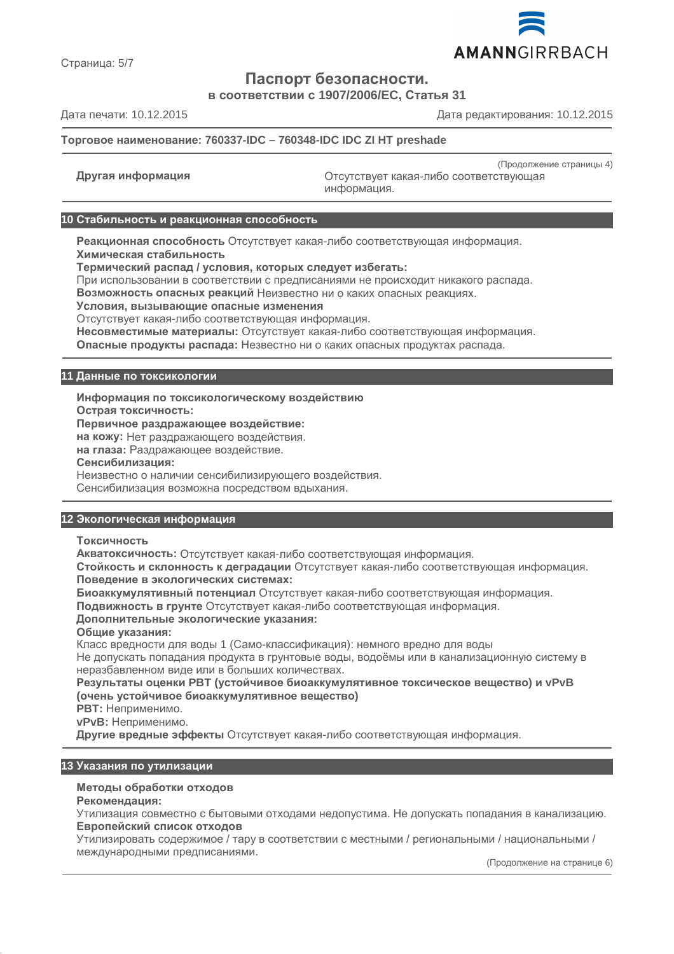

Страница: 5/7

# **Паспорт безопасности.**

**в соответствии с 1907/2006/EC, Статья 31**

Дата печати: 10.12.2015 Дата редактирования: 10.12.2015

# **Торговое наименование: 760337-IDC – 760348-IDC IDC ZI HT preshade**

(Продолжение страницы 4) **Другая информация** Отсутствует какая-либо соответствующая информация.

#### **10 Стабильность и реакционная способность**

**Реакционная способность** Отсутствует какая-либо соответствующая информация. **Химическая стабильность**

**Термический распад / условия, которых следует избегать:**

При использовании в соответствии с предписаниями не происходит никакого распада.

**Возможность опасных реакций** Неизвестно ни о каких опасных реакциях.

**Условия, вызывающие опасные изменения**

Отсутствует какая-либо соответствующая информация.

**Несовместимые материалы:** Отсутствует какая-либо соответствующая информация.

**Опасные продукты распада:** Незвестно ни о каких опасных продуктах распада.

# **11 Данные по токсикологии**

**Информация по токсикологическому воздействию**

**Острая токсичность:**

**Первичное раздражающее воздействие:**

**на кожу:** Нет раздражающего воздействия.

**на глаза:** Раздражающее воздействие.

**Сенсибилизация:**

Неизвестно о наличии сенсибилизирующего воздействия.

Сенсибилизация возможна посредством вдыхания.

# **12 Экологическая информация**

**Токсичность**

**Акватоксичность:** Отсутствует какая-либо соответствующая информация.

**Стойкость и склонность к деградации** Отсутствует какая-либо соответствующая информация. **Поведение в экологических системах:**

**Биоаккумулятивный потенциал** Отсутствует какая-либо соответствующая информация.

**Подвижность в грунте** Отсутствует какая-либо соответствующая информация.

#### **Дополнительные экологические указания:**

**Общие указания:**

Класс вредности для воды 1 (Само-классификация): немного вредно для воды Не допускать попадания продукта в грунтовые воды, водоёмы или в канализационную систему в неразбавленном виде или в больших количествах.

**Результаты оценки PBT (устойчивое биоаккумулятивное токсическое вещество) и vPvB (очень устойчивое биоаккумулятивное вещество)**

**PBT:** Неприменимо.

**vPvB:** Неприменимо.

**Другие вредные эффекты** Отсутствует какая-либо соответствующая информация.

#### **13 Указания по утилизации**

# **Методы обработки отходов**

**Рекомендация:**

Утилизация совместно с бытовыми отходами недопустима. Не допускать попадания в канализацию. **Европейский список отходов**

Утилизировать содержимое / тару в соответствии с местными / региональными / национальными / международными предписаниями.

(Продолжение на странице 6)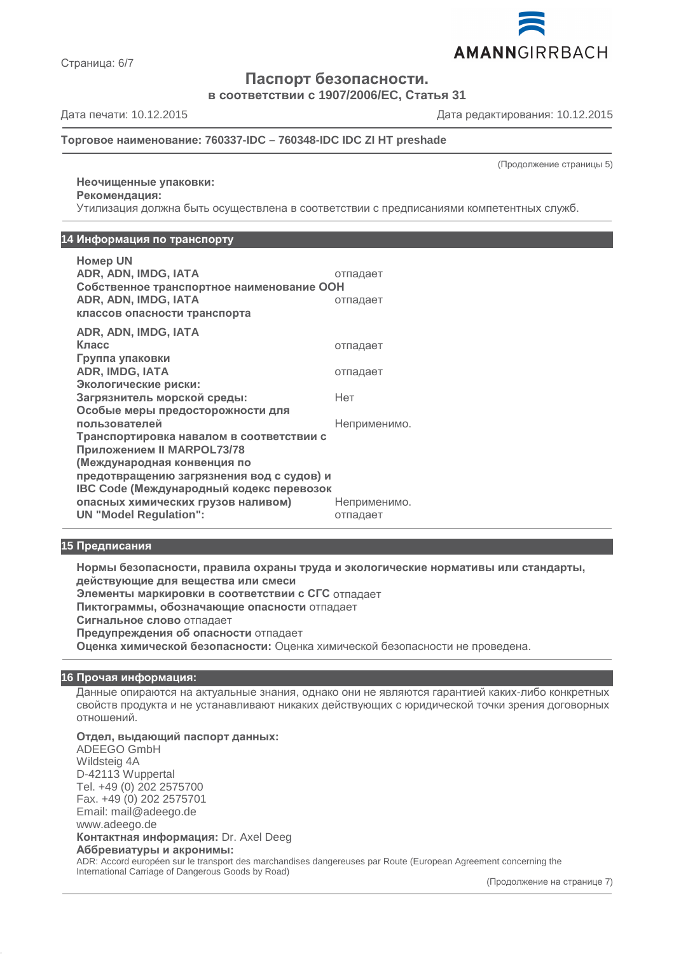

Страница: 6/7

**Паспорт безопасности.**

**в соответствии с 1907/2006/EC, Статья 31**

Дата печати: 10.12.2015 Дата редактирования: 10.12.2015

# **Торговое наименование: 760337-IDC – 760348-IDC IDC ZI HT preshade**

(Продолжение страницы 5)

# **Неочищенные упаковки: Рекомендация:**

Утилизация должна быть осуществлена в соответствии с предписаниями компетентных служб.

# **14 Информация по транспорту**

| <b>Homep UN</b>                           |              |  |
|-------------------------------------------|--------------|--|
| ADR, ADN, IMDG, IATA                      | отпадает     |  |
| Собственное транспортное наименование ООН |              |  |
| ADR, ADN, IMDG, IATA                      | отпадает     |  |
| классов опасности транспорта              |              |  |
| ADR, ADN, IMDG, IATA                      |              |  |
| Класс                                     | отпадает     |  |
| Группа упаковки                           |              |  |
| <b>ADR, IMDG, IATA</b>                    | отпадает     |  |
| Экологические риски:                      |              |  |
| Загрязнитель морской среды:               | Нет          |  |
| Особые меры предосторожности для          |              |  |
| пользователей                             | Неприменимо. |  |
| Транспортировка навалом в соответствии с  |              |  |
| Приложением II MARPOL73/78                |              |  |
| (Международная конвенция по               |              |  |
| предотвращению загрязнения вод с судов) и |              |  |
| IBC Code (Международный кодекс перевозок  |              |  |
| опасных химических грузов наливом)        | Неприменимо. |  |
| <b>UN "Model Regulation":</b>             | отпадает     |  |

# **15 Предписания**

**Нормы безопасности, правила охраны труда и экологические нормативы или стандарты, действующие для вещества или смеси Элементы маркировки в соответствии с СГС** отпадает **Пиктограммы, обозначающие опасности** отпадает **Сигнальное слово** отпадает **Предупреждения об опасности** отпадает **Оценка химической безопасности:** Оценка химической безопасности не проведена.

# **16 Прочая информация:**

Данные опираются на актуальные знания, однако они не являются гарантией каких-либо конкретных свойств продукта и не устанавливают никаких действующих с юридической точки зрения договорных отношений.

# **Отдел, выдающий паспорт данных:**

ADEEGO GmbH Wildsteig 4A D-42113 Wuppertal Tel. +49 (0) 202 2575700 Fax. +49 (0) 202 2575701 Email: mail@adeego.de www.adeego.de **Контактная информация:** Dr. Axel Deeg

#### **Аббревиатуры и акронимы:**

ADR: Accord européen sur le transport des marchandises dangereuses par Route (European Agreement concerning the International Carriage of Dangerous Goods by Road)

(Продолжение на странице 7)